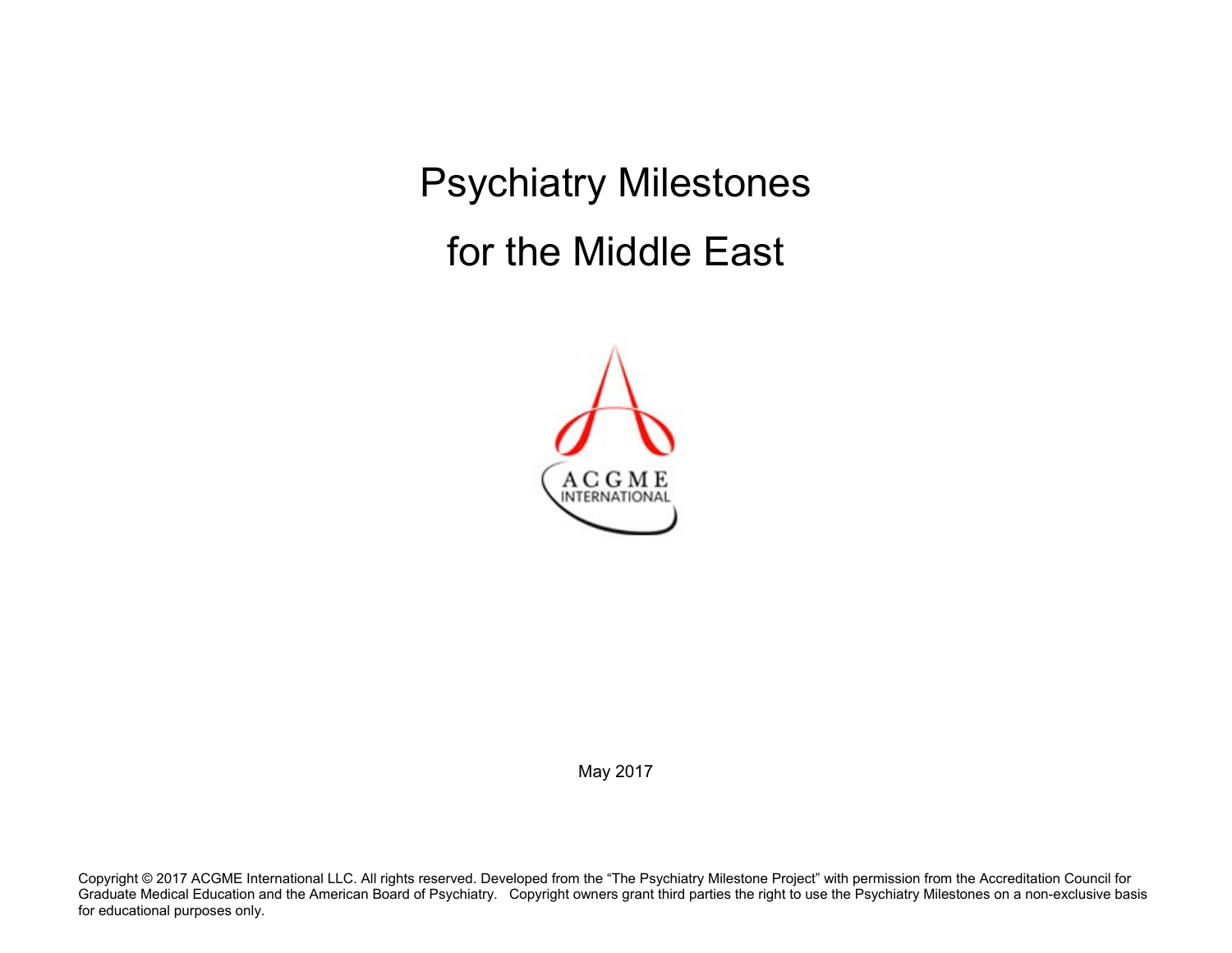Psychiatry Milestones for the Middle East



May 2017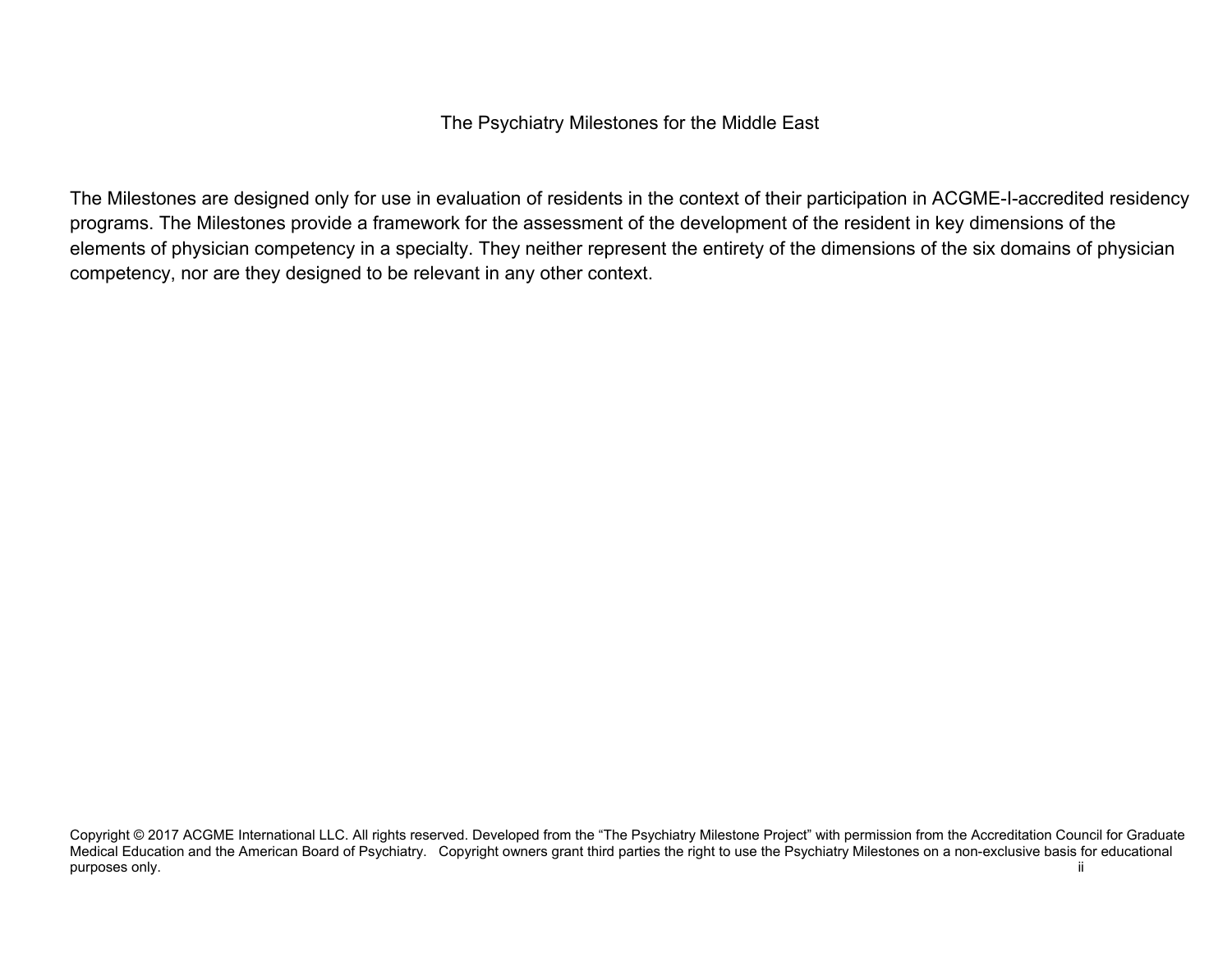The Psychiatry Milestones for the Middle East

The Milestones are designed only for use in evaluation of residents in the context of their participation in ACGME-I-accredited residency programs. The Milestones provide a framework for the assessment of the development of the resident in key dimensions of the elements of physician competency in a specialty. They neither represent the entirety of the dimensions of the six domains of physician competency, nor are they designed to be relevant in any other context.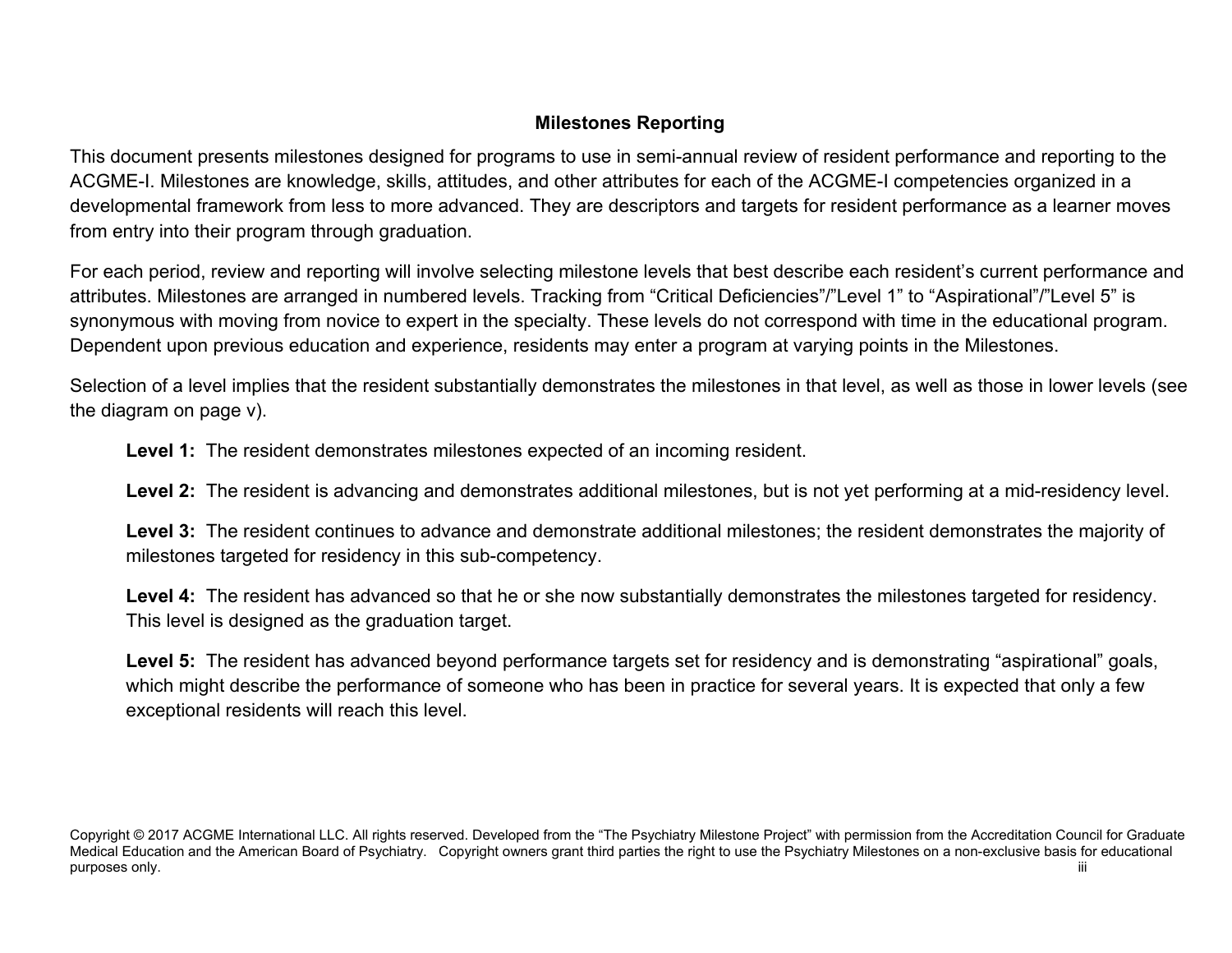# **Milestones Reporting**

This document presents milestones designed for programs to use in semi-annual review of resident performance and reporting to the ACGME-I. Milestones are knowledge, skills, attitudes, and other attributes for each of the ACGME-I competencies organized in a developmental framework from less to more advanced. They are descriptors and targets for resident performance as a learner moves from entry into their program through graduation.

For each period, review and reporting will involve selecting milestone levels that best describe each resident's current performance and attributes. Milestones are arranged in numbered levels. Tracking from "Critical Deficiencies"/"Level 1" to "Aspirational"/"Level 5" is synonymous with moving from novice to expert in the specialty. These levels do not correspond with time in the educational program. Dependent upon previous education and experience, residents may enter a program at varying points in the Milestones.

Selection of a level implies that the resident substantially demonstrates the milestones in that level, as well as those in lower levels (see the diagram on page v).

**Level 1:** The resident demonstrates milestones expected of an incoming resident.

**Level 2:** The resident is advancing and demonstrates additional milestones, but is not yet performing at a mid-residency level.

Level 3: The resident continues to advance and demonstrate additional milestones; the resident demonstrates the majority of milestones targeted for residency in this sub-competency.

**Level 4:** The resident has advanced so that he or she now substantially demonstrates the milestones targeted for residency. This level is designed as the graduation target.

Level 5: The resident has advanced beyond performance targets set for residency and is demonstrating "aspirational" goals, which might describe the performance of someone who has been in practice for several years. It is expected that only a few exceptional residents will reach this level.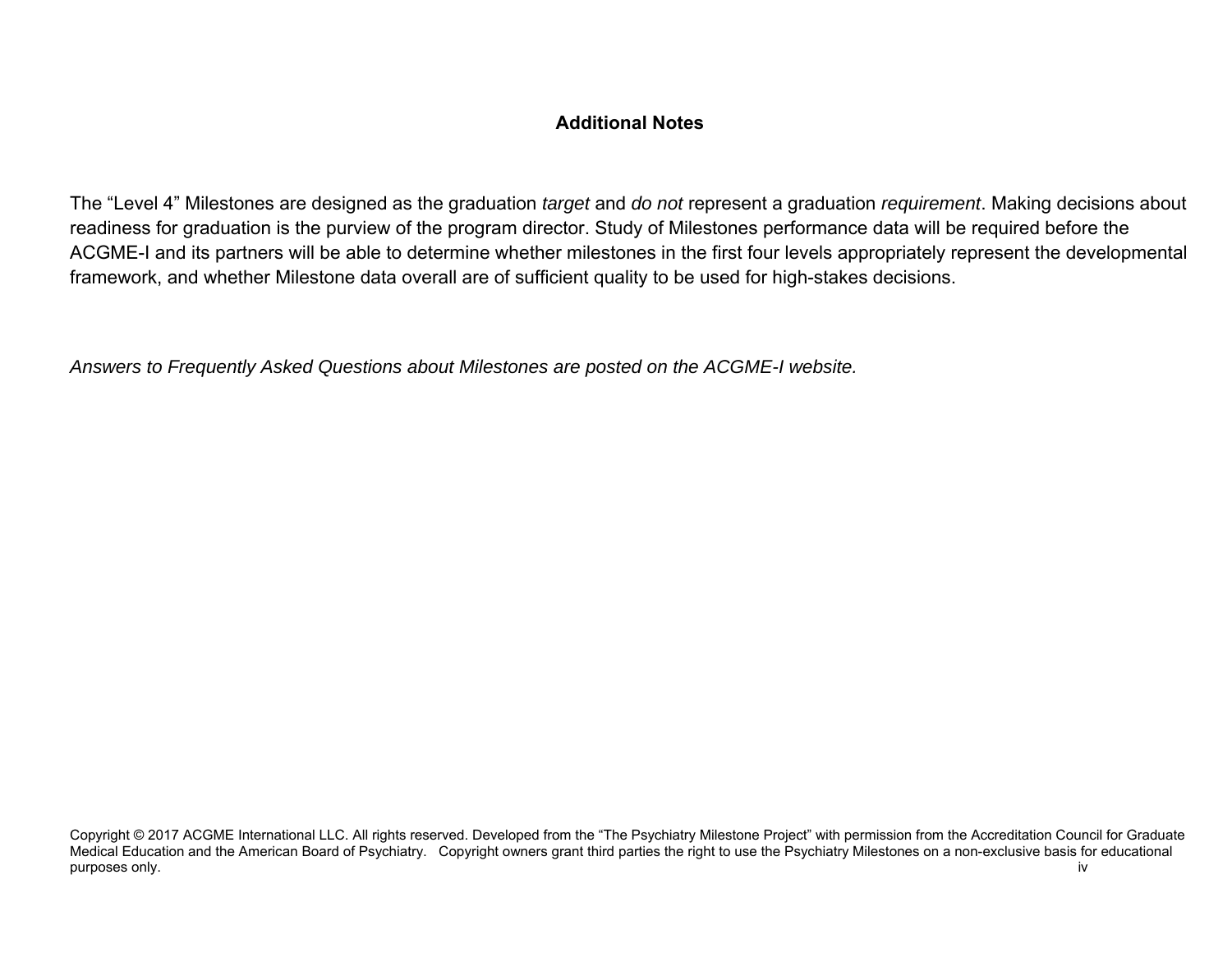# **Additional Notes**

The "Level 4" Milestones are designed as the graduation *target* and *do not* represent a graduation *requirement*. Making decisions about readiness for graduation is the purview of the program director. Study of Milestones performance data will be required before the ACGME-I and its partners will be able to determine whether milestones in the first four levels appropriately represent the developmental framework, and whether Milestone data overall are of sufficient quality to be used for high-stakes decisions.

*Answers to Frequently Asked Questions about Milestones are posted on the ACGME-I website.*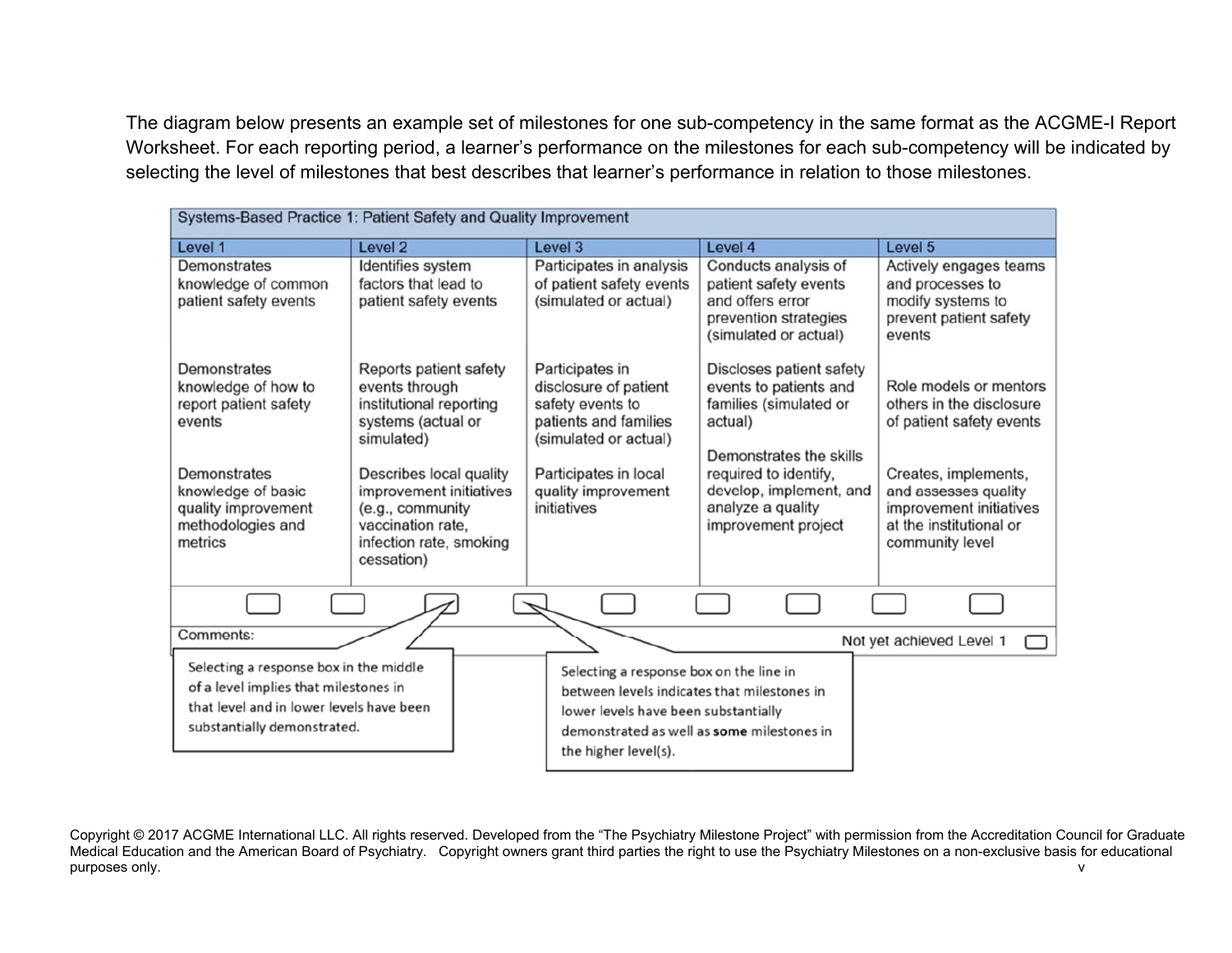The diagram below presents an example set of milestones for one sub-competency in the same format as the ACGME-I Report Worksheet. For each reporting period, a learner's performance on the milestones for each sub-competency will be indicated by selecting the level of milestones that best describes that learner's performance in relation to those milestones.

| Systems-Based Practice 1: Patient Safety and Quality Improvement                                                                                                           |                                                                                                                                                                                                                                                 |                                                                                                                                                                                                      |                                                                                                                                                                                                                    |                                                                                                                                                                                                         |  |
|----------------------------------------------------------------------------------------------------------------------------------------------------------------------------|-------------------------------------------------------------------------------------------------------------------------------------------------------------------------------------------------------------------------------------------------|------------------------------------------------------------------------------------------------------------------------------------------------------------------------------------------------------|--------------------------------------------------------------------------------------------------------------------------------------------------------------------------------------------------------------------|---------------------------------------------------------------------------------------------------------------------------------------------------------------------------------------------------------|--|
| Level 1                                                                                                                                                                    | Level 2                                                                                                                                                                                                                                         | Level 3                                                                                                                                                                                              | Level 4                                                                                                                                                                                                            | Level 5                                                                                                                                                                                                 |  |
| Demonstrates<br>knowledge of common<br>patient safety events                                                                                                               | Identifies system<br>factors that lead to<br>patient safety events                                                                                                                                                                              | Participates in analysis<br>of patient safety events<br>(simulated or actual)                                                                                                                        | Conducts analysis of<br>patient safety events<br>and offers error<br>prevention strategies<br>(simulated or actual)                                                                                                | Actively engages teams<br>and processes to<br>modify systems to<br>prevent patient safety<br>events                                                                                                     |  |
| <b>Demonstrates</b><br>knowledge of how to<br>report patient safety<br>events<br>Demonstrates<br>knowledge of basic<br>quality improvement<br>methodologies and<br>metrics | Reports patient safety<br>events through<br>institutional reporting<br>systems (actual or<br>simulated)<br>Describes local quality<br>improvement initiatives<br>(e.g., community<br>vaccination rate.<br>infection rate, smoking<br>cessation) | Participates in<br>disclosure of patient<br>safety events to<br>patients and families<br>(simulated or actual)<br>Participates in local<br>quality improvement<br>initiatives                        | Discloses patient safety<br>events to patients and<br>families (simulated or<br>actual)<br>Demonstrates the skills<br>required to identify,<br>develop, implement, and<br>analyze a quality<br>improvement project | Role models or mentors<br>others in the disclosure<br>of patient safety events<br>Creates, implements,<br>and assesses quality<br>improvement initiatives<br>at the institutional or<br>community level |  |
|                                                                                                                                                                            |                                                                                                                                                                                                                                                 |                                                                                                                                                                                                      |                                                                                                                                                                                                                    |                                                                                                                                                                                                         |  |
| Comments:                                                                                                                                                                  |                                                                                                                                                                                                                                                 |                                                                                                                                                                                                      |                                                                                                                                                                                                                    | Not yet achieved Level 1                                                                                                                                                                                |  |
| Selecting a response box in the middle<br>of a level implies that milestones in<br>that level and in lower levels have been<br>substantially demonstrated.                 |                                                                                                                                                                                                                                                 | Selecting a response box on the line in<br>between levels indicates that milestones in<br>lower levels have been substantially<br>demonstrated as well as some milestones in<br>the higher level(s). |                                                                                                                                                                                                                    |                                                                                                                                                                                                         |  |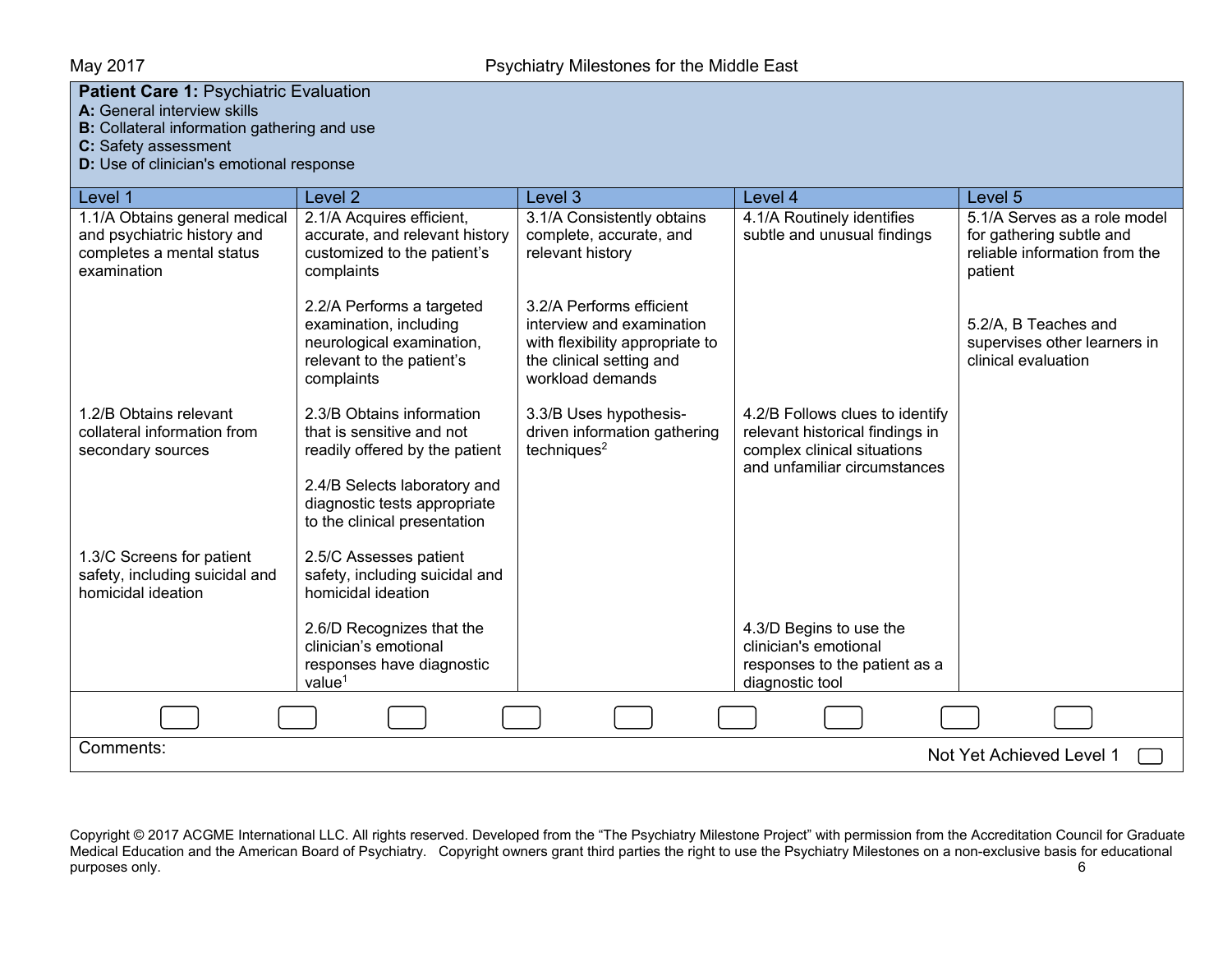#### **Patient Care 1:** Psychiatric Evaluation

**A:** General interview skills

**B:** Collateral information gathering and use

**C:** Safety assessment

**D:** Use of clinician's emotional response

| Level 1                                                                                                  | Level <sub>2</sub>                                                                                                                                                                       | Level 3                                                                                                                                  | Level 4                                                                                                                           | Level <sub>5</sub>                                                                                   |  |  |
|----------------------------------------------------------------------------------------------------------|------------------------------------------------------------------------------------------------------------------------------------------------------------------------------------------|------------------------------------------------------------------------------------------------------------------------------------------|-----------------------------------------------------------------------------------------------------------------------------------|------------------------------------------------------------------------------------------------------|--|--|
| 1.1/A Obtains general medical<br>and psychiatric history and<br>completes a mental status<br>examination | 2.1/A Acquires efficient,<br>accurate, and relevant history<br>customized to the patient's<br>complaints                                                                                 | 3.1/A Consistently obtains<br>complete, accurate, and<br>relevant history                                                                | 4.1/A Routinely identifies<br>subtle and unusual findings                                                                         | 5.1/A Serves as a role model<br>for gathering subtle and<br>reliable information from the<br>patient |  |  |
|                                                                                                          | 2.2/A Performs a targeted<br>examination, including<br>neurological examination,<br>relevant to the patient's<br>complaints                                                              | 3.2/A Performs efficient<br>interview and examination<br>with flexibility appropriate to<br>the clinical setting and<br>workload demands |                                                                                                                                   | 5.2/A, B Teaches and<br>supervises other learners in<br>clinical evaluation                          |  |  |
| 1.2/B Obtains relevant<br>collateral information from<br>secondary sources                               | 2.3/B Obtains information<br>that is sensitive and not<br>readily offered by the patient<br>2.4/B Selects laboratory and<br>diagnostic tests appropriate<br>to the clinical presentation | 3.3/B Uses hypothesis-<br>driven information gathering<br>techniques <sup>2</sup>                                                        | 4.2/B Follows clues to identify<br>relevant historical findings in<br>complex clinical situations<br>and unfamiliar circumstances |                                                                                                      |  |  |
| 1.3/C Screens for patient<br>safety, including suicidal and<br>homicidal ideation                        | 2.5/C Assesses patient<br>safety, including suicidal and<br>homicidal ideation                                                                                                           |                                                                                                                                          |                                                                                                                                   |                                                                                                      |  |  |
|                                                                                                          | 2.6/D Recognizes that the<br>clinician's emotional<br>responses have diagnostic<br>value $1$                                                                                             |                                                                                                                                          | 4.3/D Begins to use the<br>clinician's emotional<br>responses to the patient as a<br>diagnostic tool                              |                                                                                                      |  |  |
|                                                                                                          |                                                                                                                                                                                          |                                                                                                                                          |                                                                                                                                   |                                                                                                      |  |  |
| Comments:                                                                                                | Not Yet Achieved Level 1                                                                                                                                                                 |                                                                                                                                          |                                                                                                                                   |                                                                                                      |  |  |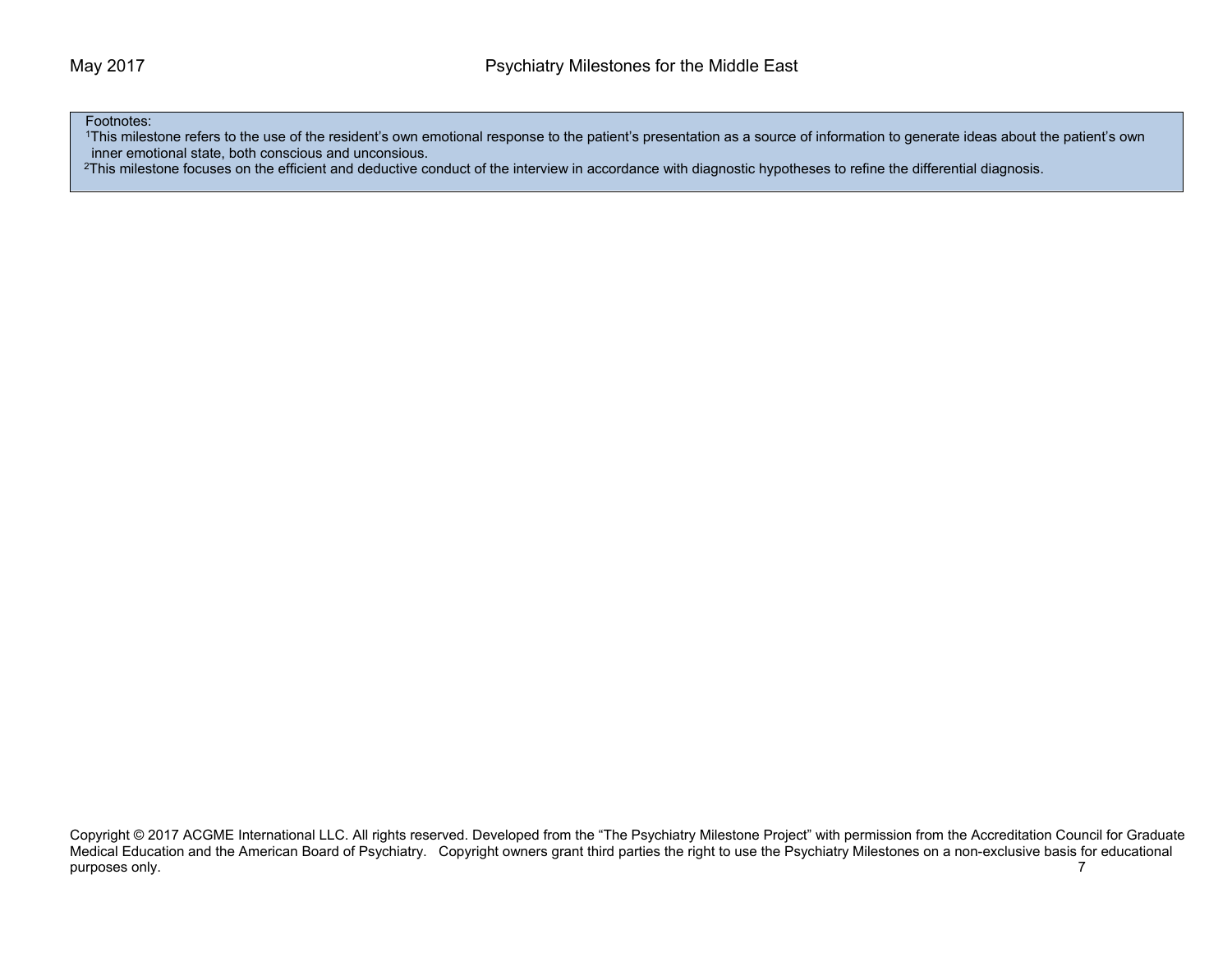Footnotes:

1This milestone refers to the use of the resident's own emotional response to the patient's presentation as a source of information to generate ideas about the patient's own inner emotional state, both conscious and unconsious.

<sup>2</sup>This milestone focuses on the efficient and deductive conduct of the interview in accordance with diagnostic hypotheses to refine the differential diagnosis.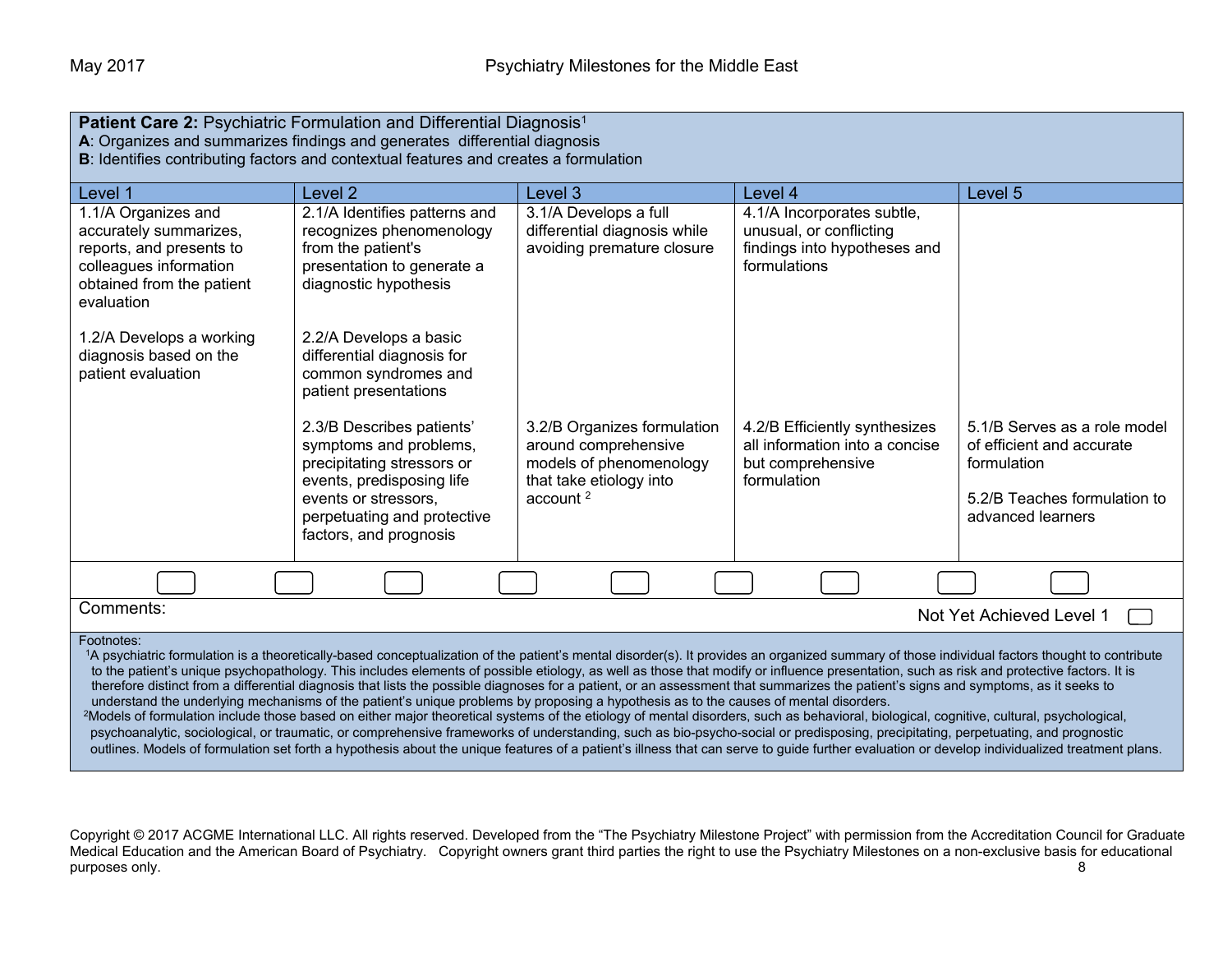| Patient Care 2: Psychiatric Formulation and Differential Diagnosis <sup>1</sup><br>A: Organizes and summarizes findings and generates differential diagnosis<br>B: Identifies contributing factors and contextual features and creates a formulation                                                                                                                                                                                                                                                                                                                                                                                                                                                                                                                                                                                                                                                                                                                                                                                                                                                                                                                                                                                                                                                                                |                                                                                                                                                                                                 |                                                                                                                          |                                                                                                       |                                                                                                                               |
|-------------------------------------------------------------------------------------------------------------------------------------------------------------------------------------------------------------------------------------------------------------------------------------------------------------------------------------------------------------------------------------------------------------------------------------------------------------------------------------------------------------------------------------------------------------------------------------------------------------------------------------------------------------------------------------------------------------------------------------------------------------------------------------------------------------------------------------------------------------------------------------------------------------------------------------------------------------------------------------------------------------------------------------------------------------------------------------------------------------------------------------------------------------------------------------------------------------------------------------------------------------------------------------------------------------------------------------|-------------------------------------------------------------------------------------------------------------------------------------------------------------------------------------------------|--------------------------------------------------------------------------------------------------------------------------|-------------------------------------------------------------------------------------------------------|-------------------------------------------------------------------------------------------------------------------------------|
| Level 1                                                                                                                                                                                                                                                                                                                                                                                                                                                                                                                                                                                                                                                                                                                                                                                                                                                                                                                                                                                                                                                                                                                                                                                                                                                                                                                             | Level 2                                                                                                                                                                                         | Level 3                                                                                                                  | Level 4                                                                                               | Level 5                                                                                                                       |
| 1.1/A Organizes and<br>accurately summarizes,<br>reports, and presents to<br>colleagues information<br>obtained from the patient<br>evaluation                                                                                                                                                                                                                                                                                                                                                                                                                                                                                                                                                                                                                                                                                                                                                                                                                                                                                                                                                                                                                                                                                                                                                                                      | 2.1/A Identifies patterns and<br>recognizes phenomenology<br>from the patient's<br>presentation to generate a<br>diagnostic hypothesis                                                          | 3.1/A Develops a full<br>differential diagnosis while<br>avoiding premature closure                                      | 4.1/A Incorporates subtle,<br>unusual, or conflicting<br>findings into hypotheses and<br>formulations |                                                                                                                               |
| 1.2/A Develops a working<br>diagnosis based on the<br>patient evaluation                                                                                                                                                                                                                                                                                                                                                                                                                                                                                                                                                                                                                                                                                                                                                                                                                                                                                                                                                                                                                                                                                                                                                                                                                                                            | 2.2/A Develops a basic<br>differential diagnosis for<br>common syndromes and<br>patient presentations                                                                                           |                                                                                                                          |                                                                                                       |                                                                                                                               |
|                                                                                                                                                                                                                                                                                                                                                                                                                                                                                                                                                                                                                                                                                                                                                                                                                                                                                                                                                                                                                                                                                                                                                                                                                                                                                                                                     | 2.3/B Describes patients'<br>symptoms and problems,<br>precipitating stressors or<br>events, predisposing life<br>events or stressors.<br>perpetuating and protective<br>factors, and prognosis | 3.2/B Organizes formulation<br>around comprehensive<br>models of phenomenology<br>that take etiology into<br>account $2$ | 4.2/B Efficiently synthesizes<br>all information into a concise<br>but comprehensive<br>formulation   | 5.1/B Serves as a role model<br>of efficient and accurate<br>formulation<br>5.2/B Teaches formulation to<br>advanced learners |
|                                                                                                                                                                                                                                                                                                                                                                                                                                                                                                                                                                                                                                                                                                                                                                                                                                                                                                                                                                                                                                                                                                                                                                                                                                                                                                                                     |                                                                                                                                                                                                 |                                                                                                                          |                                                                                                       |                                                                                                                               |
| Comments:<br>Not Yet Achieved Level 1                                                                                                                                                                                                                                                                                                                                                                                                                                                                                                                                                                                                                                                                                                                                                                                                                                                                                                                                                                                                                                                                                                                                                                                                                                                                                               |                                                                                                                                                                                                 |                                                                                                                          |                                                                                                       |                                                                                                                               |
| Footnotes:<br>1A psychiatric formulation is a theoretically-based conceptualization of the patient's mental disorder(s). It provides an organized summary of those individual factors thought to contribute<br>to the patient's unique psychopathology. This includes elements of possible etiology, as well as those that modify or influence presentation, such as risk and protective factors. It is<br>therefore distinct from a differential diagnosis that lists the possible diagnoses for a patient, or an assessment that summarizes the patient's signs and symptoms, as it seeks to<br>understand the underlying mechanisms of the patient's unique problems by proposing a hypothesis as to the causes of mental disorders.<br><sup>2</sup> Models of formulation include those based on either major theoretical systems of the etiology of mental disorders, such as behavioral, biological, cognitive, cultural, psychological,<br>psychoanalytic, sociological, or traumatic, or comprehensive frameworks of understanding, such as bio-psycho-social or predisposing, precipitating, perpetuating, and prognostic<br>outlines. Models of formulation set forth a hypothesis about the unique features of a patient's illness that can serve to guide further evaluation or develop individualized treatment plans. |                                                                                                                                                                                                 |                                                                                                                          |                                                                                                       |                                                                                                                               |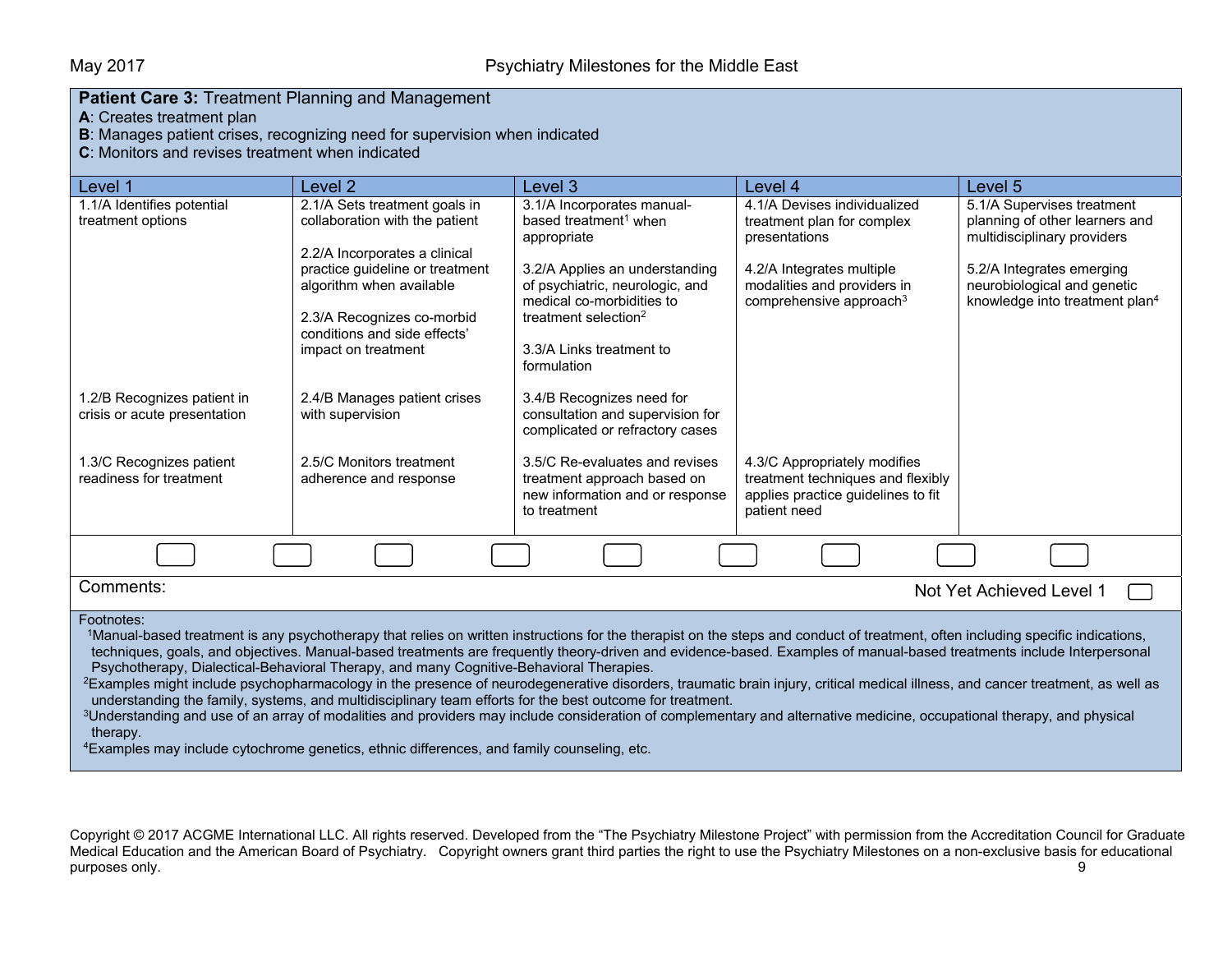|  |  | <b>Patient Care 3: Treatment Planning and Management</b> |
|--|--|----------------------------------------------------------|
|  |  |                                                          |

**A**: Creates treatment plan

**B**: Manages patient crises, recognizing need for supervision when indicated

**C**: Monitors and revises treatment when indicated

| Level 1                                                                                                                                                                                                                                                                                                                                                                                                                                                                                                                                                                                                                                                                                                                                                                                                                                                                                                                                                                                                                                                                                 | Level 2                                                                                      | Level 3                                                                                                          | Level 4                                                                                                                 | Level 5                                                                                                |
|-----------------------------------------------------------------------------------------------------------------------------------------------------------------------------------------------------------------------------------------------------------------------------------------------------------------------------------------------------------------------------------------------------------------------------------------------------------------------------------------------------------------------------------------------------------------------------------------------------------------------------------------------------------------------------------------------------------------------------------------------------------------------------------------------------------------------------------------------------------------------------------------------------------------------------------------------------------------------------------------------------------------------------------------------------------------------------------------|----------------------------------------------------------------------------------------------|------------------------------------------------------------------------------------------------------------------|-------------------------------------------------------------------------------------------------------------------------|--------------------------------------------------------------------------------------------------------|
| 1.1/A Identifies potential<br>treatment options                                                                                                                                                                                                                                                                                                                                                                                                                                                                                                                                                                                                                                                                                                                                                                                                                                                                                                                                                                                                                                         | 2.1/A Sets treatment goals in<br>collaboration with the patient                              | 3.1/A Incorporates manual-<br>based treatment <sup>1</sup> when<br>appropriate                                   | 4.1/A Devises individualized<br>treatment plan for complex<br>presentations                                             | 5.1/A Supervises treatment<br>planning of other learners and<br>multidisciplinary providers            |
|                                                                                                                                                                                                                                                                                                                                                                                                                                                                                                                                                                                                                                                                                                                                                                                                                                                                                                                                                                                                                                                                                         | 2.2/A Incorporates a clinical<br>practice guideline or treatment<br>algorithm when available | 3.2/A Applies an understanding<br>of psychiatric, neurologic, and<br>medical co-morbidities to                   | 4.2/A Integrates multiple<br>modalities and providers in<br>comprehensive approach <sup>3</sup>                         | 5.2/A Integrates emerging<br>neurobiological and genetic<br>knowledge into treatment plan <sup>4</sup> |
|                                                                                                                                                                                                                                                                                                                                                                                                                                                                                                                                                                                                                                                                                                                                                                                                                                                                                                                                                                                                                                                                                         | 2.3/A Recognizes co-morbid<br>conditions and side effects'<br>impact on treatment            | treatment selection <sup>2</sup><br>3.3/A Links treatment to<br>formulation                                      |                                                                                                                         |                                                                                                        |
| 1.2/B Recognizes patient in<br>crisis or acute presentation                                                                                                                                                                                                                                                                                                                                                                                                                                                                                                                                                                                                                                                                                                                                                                                                                                                                                                                                                                                                                             | 2.4/B Manages patient crises<br>with supervision                                             | 3.4/B Recognizes need for<br>consultation and supervision for<br>complicated or refractory cases                 |                                                                                                                         |                                                                                                        |
| 1.3/C Recognizes patient<br>readiness for treatment                                                                                                                                                                                                                                                                                                                                                                                                                                                                                                                                                                                                                                                                                                                                                                                                                                                                                                                                                                                                                                     | 2.5/C Monitors treatment<br>adherence and response                                           | 3.5/C Re-evaluates and revises<br>treatment approach based on<br>new information and or response<br>to treatment | 4.3/C Appropriately modifies<br>treatment techniques and flexibly<br>applies practice guidelines to fit<br>patient need |                                                                                                        |
|                                                                                                                                                                                                                                                                                                                                                                                                                                                                                                                                                                                                                                                                                                                                                                                                                                                                                                                                                                                                                                                                                         |                                                                                              |                                                                                                                  |                                                                                                                         |                                                                                                        |
| Comments:                                                                                                                                                                                                                                                                                                                                                                                                                                                                                                                                                                                                                                                                                                                                                                                                                                                                                                                                                                                                                                                                               |                                                                                              |                                                                                                                  |                                                                                                                         | Not Yet Achieved Level 1                                                                               |
| Footnotes:<br>1Manual-based treatment is any psychotherapy that relies on written instructions for the therapist on the steps and conduct of treatment, often including specific indications,<br>techniques, goals, and objectives. Manual-based treatments are frequently theory-driven and evidence-based. Examples of manual-based treatments include Interpersonal<br>Psychotherapy, Dialectical-Behavioral Therapy, and many Cognitive-Behavioral Therapies.<br><sup>2</sup> Examples might include psychopharmacology in the presence of neurodegenerative disorders, traumatic brain injury, critical medical illness, and cancer treatment, as well as<br>understanding the family, systems, and multidisciplinary team efforts for the best outcome for treatment.<br><sup>3</sup> Understanding and use of an array of modalities and providers may include consideration of complementary and alternative medicine, occupational therapy, and physical<br>therapy.<br><sup>4</sup> Examples may include cytochrome genetics, ethnic differences, and family counseling, etc. |                                                                                              |                                                                                                                  |                                                                                                                         |                                                                                                        |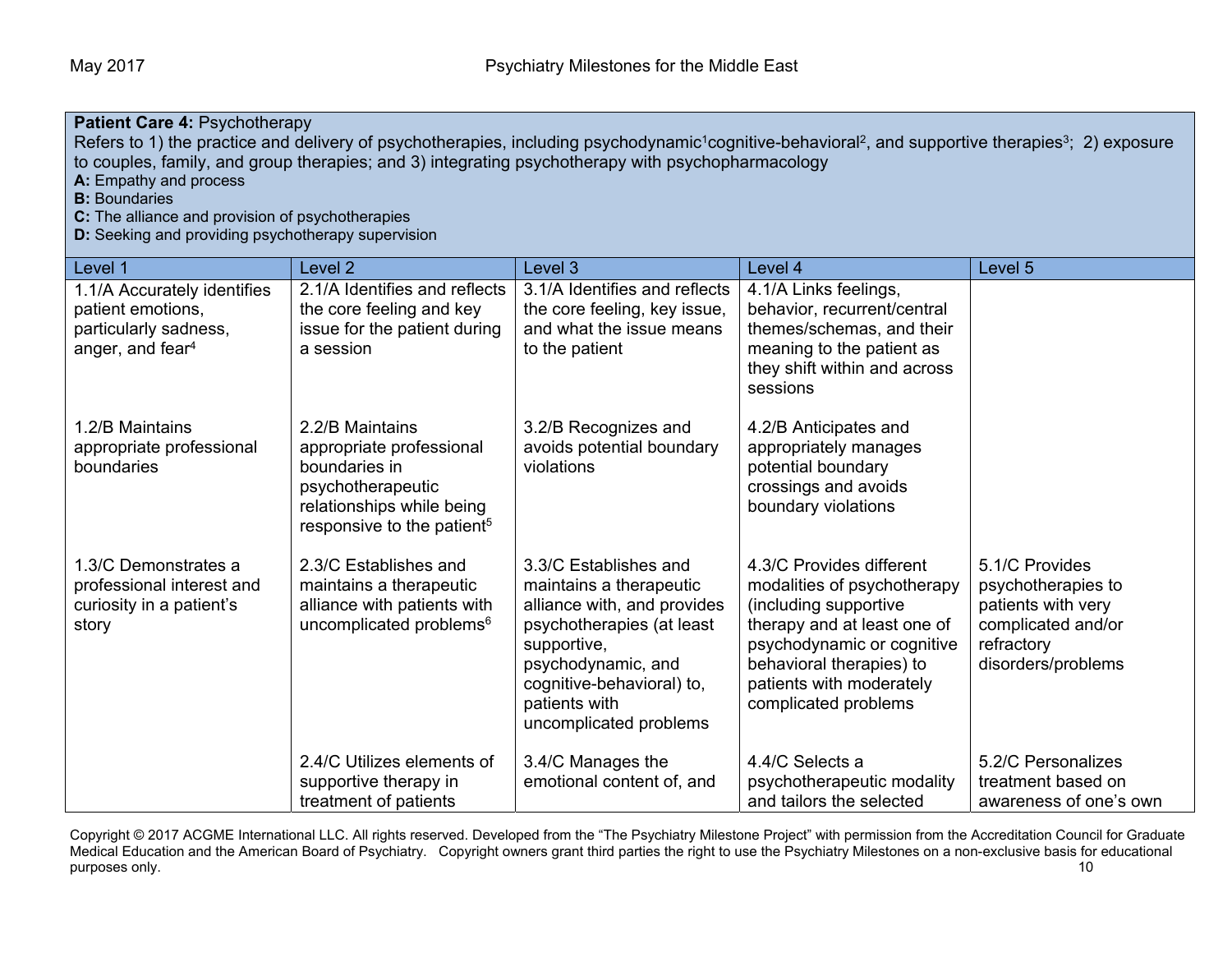## **Patient Care 4:** Psychotherapy

Refers to 1) the practice and delivery of psychotherapies, including psychodynamic<sup>1</sup>cognitive-behavioral<sup>2</sup>, and supportive therapies<sup>3</sup>; 2) exposure to couples, family, and group therapies; and 3) integrating psychotherapy with psychopharmacology

**A:** Empathy and process

**B:** Boundaries

**C:** The alliance and provision of psychotherapies

**D:** Seeking and providing psychotherapy supervision

| Level 1                                                                                                   | Level <sub>2</sub>                                                                                                                                       | Level <sub>3</sub>                                                                                                                                                                                                        | Level 4                                                                                                                                                                                                                       | Level 5                                                                                                              |
|-----------------------------------------------------------------------------------------------------------|----------------------------------------------------------------------------------------------------------------------------------------------------------|---------------------------------------------------------------------------------------------------------------------------------------------------------------------------------------------------------------------------|-------------------------------------------------------------------------------------------------------------------------------------------------------------------------------------------------------------------------------|----------------------------------------------------------------------------------------------------------------------|
| 1.1/A Accurately identifies<br>patient emotions,<br>particularly sadness,<br>anger, and fear <sup>4</sup> | 2.1/A Identifies and reflects<br>the core feeling and key<br>issue for the patient during<br>a session                                                   | 3.1/A Identifies and reflects<br>the core feeling, key issue,<br>and what the issue means<br>to the patient                                                                                                               | 4.1/A Links feelings,<br>behavior, recurrent/central<br>themes/schemas, and their<br>meaning to the patient as<br>they shift within and across<br>sessions                                                                    |                                                                                                                      |
| 1.2/B Maintains<br>appropriate professional<br>boundaries                                                 | 2.2/B Maintains<br>appropriate professional<br>boundaries in<br>psychotherapeutic<br>relationships while being<br>responsive to the patient <sup>5</sup> | 3.2/B Recognizes and<br>avoids potential boundary<br>violations                                                                                                                                                           | 4.2/B Anticipates and<br>appropriately manages<br>potential boundary<br>crossings and avoids<br>boundary violations                                                                                                           |                                                                                                                      |
| 1.3/C Demonstrates a<br>professional interest and<br>curiosity in a patient's<br>story                    | 2.3/C Establishes and<br>maintains a therapeutic<br>alliance with patients with<br>uncomplicated problems <sup>6</sup>                                   | 3.3/C Establishes and<br>maintains a therapeutic<br>alliance with, and provides<br>psychotherapies (at least<br>supportive,<br>psychodynamic, and<br>cognitive-behavioral) to,<br>patients with<br>uncomplicated problems | 4.3/C Provides different<br>modalities of psychotherapy<br>(including supportive<br>therapy and at least one of<br>psychodynamic or cognitive<br>behavioral therapies) to<br>patients with moderately<br>complicated problems | 5.1/C Provides<br>psychotherapies to<br>patients with very<br>complicated and/or<br>refractory<br>disorders/problems |
|                                                                                                           | 2.4/C Utilizes elements of<br>supportive therapy in<br>treatment of patients                                                                             | 3.4/C Manages the<br>emotional content of, and                                                                                                                                                                            | 4.4/C Selects a<br>psychotherapeutic modality<br>and tailors the selected                                                                                                                                                     | 5.2/C Personalizes<br>treatment based on<br>awareness of one's own                                                   |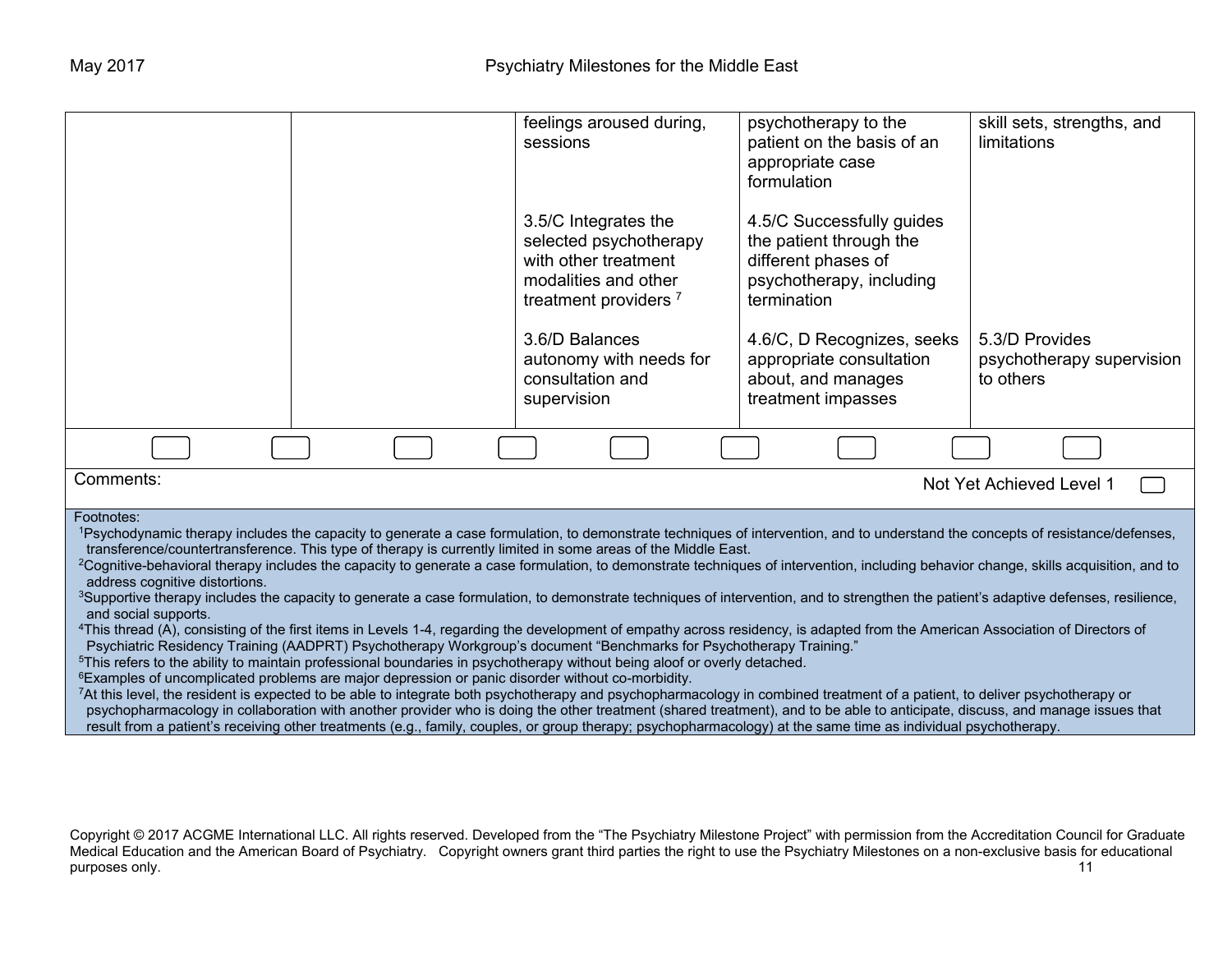|                                                                                                                                                                                                                                                                                                                                                                                                                                                                                                                                                                                                                                                                                                                                                                                                                                                                                                                                                                                                                                                                                                                                                                                                                                                                                                                                                                                                                                                                                                                                                                                                                                                                                                                                                                                                                                                                                             |  | feelings aroused during,<br>sessions                                                                                               | psychotherapy to the<br>patient on the basis of an<br>appropriate case<br>formulation                                  | skill sets, strengths, and<br>limitations                |
|---------------------------------------------------------------------------------------------------------------------------------------------------------------------------------------------------------------------------------------------------------------------------------------------------------------------------------------------------------------------------------------------------------------------------------------------------------------------------------------------------------------------------------------------------------------------------------------------------------------------------------------------------------------------------------------------------------------------------------------------------------------------------------------------------------------------------------------------------------------------------------------------------------------------------------------------------------------------------------------------------------------------------------------------------------------------------------------------------------------------------------------------------------------------------------------------------------------------------------------------------------------------------------------------------------------------------------------------------------------------------------------------------------------------------------------------------------------------------------------------------------------------------------------------------------------------------------------------------------------------------------------------------------------------------------------------------------------------------------------------------------------------------------------------------------------------------------------------------------------------------------------------|--|------------------------------------------------------------------------------------------------------------------------------------|------------------------------------------------------------------------------------------------------------------------|----------------------------------------------------------|
|                                                                                                                                                                                                                                                                                                                                                                                                                                                                                                                                                                                                                                                                                                                                                                                                                                                                                                                                                                                                                                                                                                                                                                                                                                                                                                                                                                                                                                                                                                                                                                                                                                                                                                                                                                                                                                                                                             |  | 3.5/C Integrates the<br>selected psychotherapy<br>with other treatment<br>modalities and other<br>treatment providers <sup>7</sup> | 4.5/C Successfully guides<br>the patient through the<br>different phases of<br>psychotherapy, including<br>termination |                                                          |
|                                                                                                                                                                                                                                                                                                                                                                                                                                                                                                                                                                                                                                                                                                                                                                                                                                                                                                                                                                                                                                                                                                                                                                                                                                                                                                                                                                                                                                                                                                                                                                                                                                                                                                                                                                                                                                                                                             |  | 3.6/D Balances<br>autonomy with needs for<br>consultation and<br>supervision                                                       | 4.6/C, D Recognizes, seeks<br>appropriate consultation<br>about, and manages<br>treatment impasses                     | 5.3/D Provides<br>psychotherapy supervision<br>to others |
|                                                                                                                                                                                                                                                                                                                                                                                                                                                                                                                                                                                                                                                                                                                                                                                                                                                                                                                                                                                                                                                                                                                                                                                                                                                                                                                                                                                                                                                                                                                                                                                                                                                                                                                                                                                                                                                                                             |  |                                                                                                                                    |                                                                                                                        |                                                          |
| Comments:                                                                                                                                                                                                                                                                                                                                                                                                                                                                                                                                                                                                                                                                                                                                                                                                                                                                                                                                                                                                                                                                                                                                                                                                                                                                                                                                                                                                                                                                                                                                                                                                                                                                                                                                                                                                                                                                                   |  |                                                                                                                                    |                                                                                                                        | Not Yet Achieved Level 1                                 |
| Footnotes:<br>1Psychodynamic therapy includes the capacity to generate a case formulation, to demonstrate techniques of intervention, and to understand the concepts of resistance/defenses,<br>transference/countertransference. This type of therapy is currently limited in some areas of the Middle East.<br><sup>2</sup> Cognitive-behavioral therapy includes the capacity to generate a case formulation, to demonstrate techniques of intervention, including behavior change, skills acquisition, and to<br>address cognitive distortions.<br><sup>3</sup> Supportive therapy includes the capacity to generate a case formulation, to demonstrate techniques of intervention, and to strengthen the patient's adaptive defenses, resilience,<br>and social supports.<br><sup>4</sup> This thread (A), consisting of the first items in Levels 1-4, regarding the development of empathy across residency, is adapted from the American Association of Directors of<br>Psychiatric Residency Training (AADPRT) Psychotherapy Workgroup's document "Benchmarks for Psychotherapy Training."<br><sup>5</sup> This refers to the ability to maintain professional boundaries in psychotherapy without being aloof or overly detached.<br><sup>6</sup> Examples of uncomplicated problems are major depression or panic disorder without co-morbidity.<br>7At this level, the resident is expected to be able to integrate both psychotherapy and psychopharmacology in combined treatment of a patient, to deliver psychotherapy or<br>psychopharmacology in collaboration with another provider who is doing the other treatment (shared treatment), and to be able to anticipate, discuss, and manage issues that<br>result from a patient's receiving other treatments (e.g., family, couples, or group therapy; psychopharmacology) at the same time as individual psychotherapy. |  |                                                                                                                                    |                                                                                                                        |                                                          |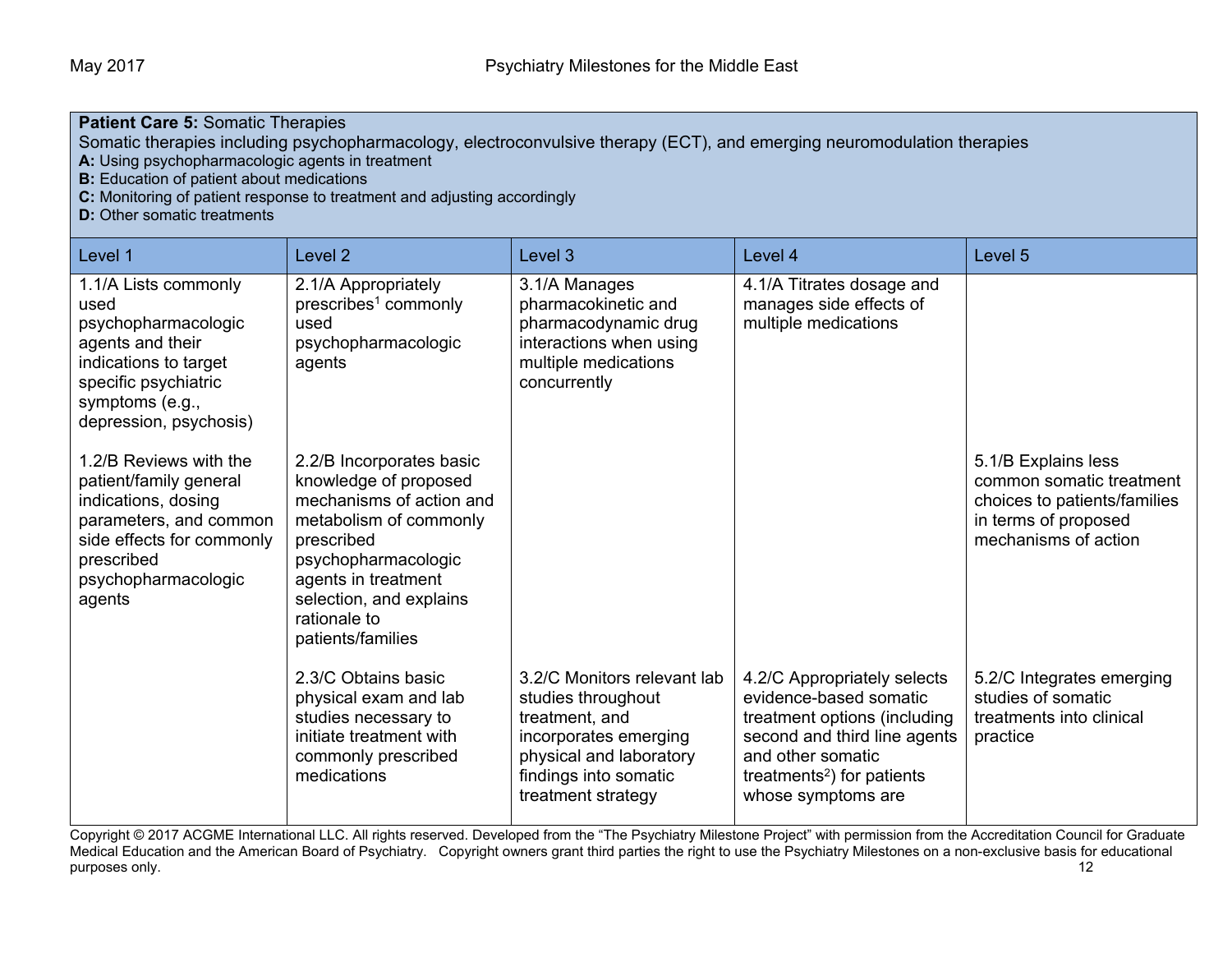| <b>Patient Care 5: Somatic Therapies</b>                                                                                                                                                                                                                                                                                                          |                                                                                                                                                                                                                                     |                                                                                                                                                                        |                                                                                                                                                                                                            |                                                                                                                                 |  |
|---------------------------------------------------------------------------------------------------------------------------------------------------------------------------------------------------------------------------------------------------------------------------------------------------------------------------------------------------|-------------------------------------------------------------------------------------------------------------------------------------------------------------------------------------------------------------------------------------|------------------------------------------------------------------------------------------------------------------------------------------------------------------------|------------------------------------------------------------------------------------------------------------------------------------------------------------------------------------------------------------|---------------------------------------------------------------------------------------------------------------------------------|--|
| Somatic therapies including psychopharmacology, electroconvulsive therapy (ECT), and emerging neuromodulation therapies<br>A: Using psychopharmacologic agents in treatment<br><b>B:</b> Education of patient about medications<br>C: Monitoring of patient response to treatment and adjusting accordingly<br><b>D:</b> Other somatic treatments |                                                                                                                                                                                                                                     |                                                                                                                                                                        |                                                                                                                                                                                                            |                                                                                                                                 |  |
| Level 1                                                                                                                                                                                                                                                                                                                                           | Level <sub>2</sub>                                                                                                                                                                                                                  | Level 3                                                                                                                                                                | Level 4                                                                                                                                                                                                    | Level 5                                                                                                                         |  |
| 1.1/A Lists commonly<br>used<br>psychopharmacologic<br>agents and their<br>indications to target<br>specific psychiatric<br>symptoms (e.g.,<br>depression, psychosis)                                                                                                                                                                             | 2.1/A Appropriately<br>prescribes <sup>1</sup> commonly<br>used<br>psychopharmacologic<br>agents                                                                                                                                    | 3.1/A Manages<br>pharmacokinetic and<br>pharmacodynamic drug<br>interactions when using<br>multiple medications<br>concurrently                                        | 4.1/A Titrates dosage and<br>manages side effects of<br>multiple medications                                                                                                                               |                                                                                                                                 |  |
| 1.2/B Reviews with the<br>patient/family general<br>indications, dosing<br>parameters, and common<br>side effects for commonly<br>prescribed<br>psychopharmacologic<br>agents                                                                                                                                                                     | 2.2/B Incorporates basic<br>knowledge of proposed<br>mechanisms of action and<br>metabolism of commonly<br>prescribed<br>psychopharmacologic<br>agents in treatment<br>selection, and explains<br>rationale to<br>patients/families |                                                                                                                                                                        |                                                                                                                                                                                                            | 5.1/B Explains less<br>common somatic treatment<br>choices to patients/families<br>in terms of proposed<br>mechanisms of action |  |
|                                                                                                                                                                                                                                                                                                                                                   | 2.3/C Obtains basic<br>physical exam and lab<br>studies necessary to<br>initiate treatment with<br>commonly prescribed<br>medications                                                                                               | 3.2/C Monitors relevant lab<br>studies throughout<br>treatment, and<br>incorporates emerging<br>physical and laboratory<br>findings into somatic<br>treatment strategy | 4.2/C Appropriately selects<br>evidence-based somatic<br>treatment options (including<br>second and third line agents<br>and other somatic<br>treatments <sup>2</sup> ) for patients<br>whose symptoms are | 5.2/C Integrates emerging<br>studies of somatic<br>treatments into clinical<br>practice                                         |  |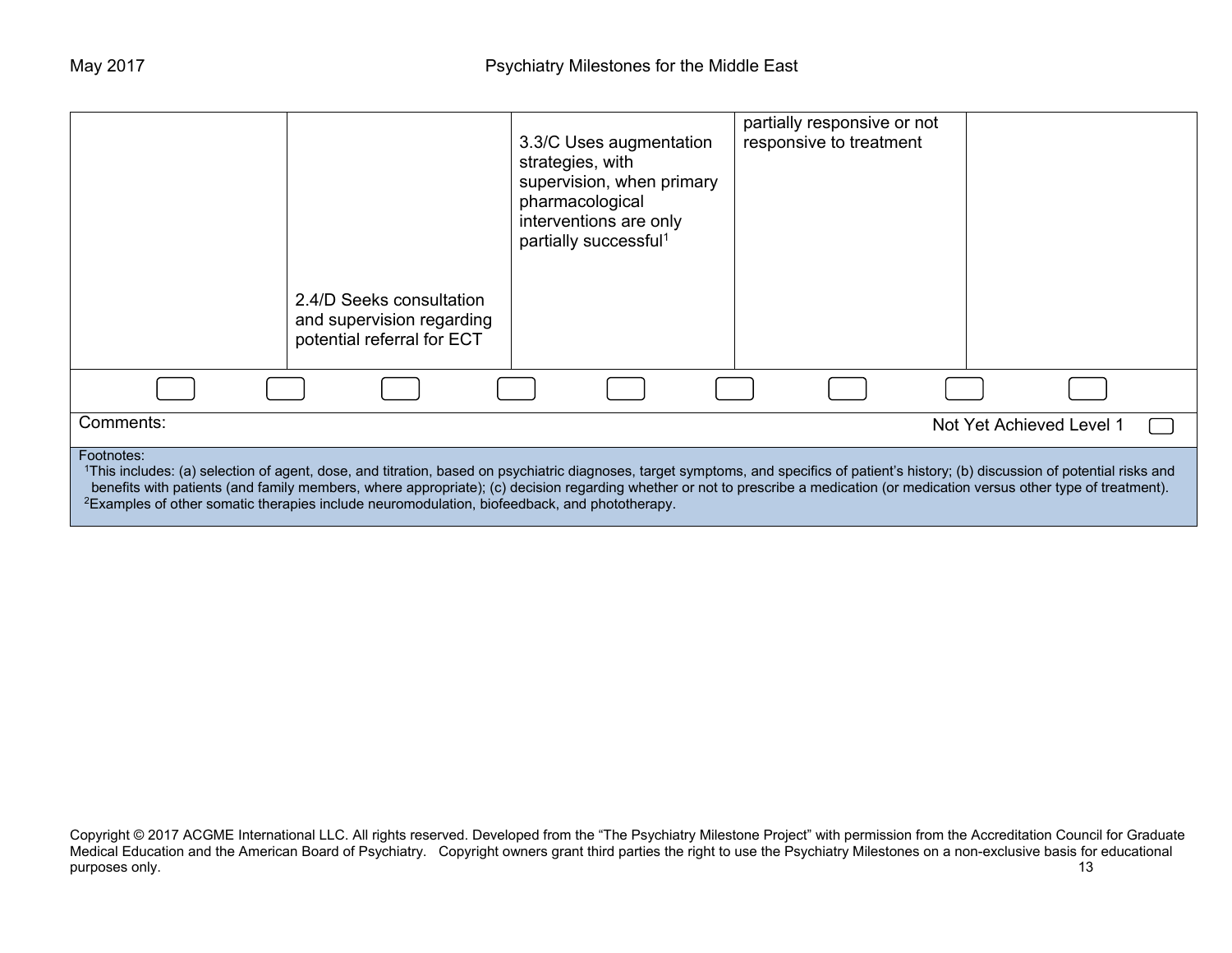|                                                                                                                                                                                                                                                                                                                                                                                                                                                                                                      | 2.4/D Seeks consultation<br>and supervision regarding<br>potential referral for ECT | 3.3/C Uses augmentation<br>strategies, with<br>supervision, when primary<br>pharmacological<br>interventions are only<br>partially successful <sup>1</sup> | partially responsive or not<br>responsive to treatment |                          |  |
|------------------------------------------------------------------------------------------------------------------------------------------------------------------------------------------------------------------------------------------------------------------------------------------------------------------------------------------------------------------------------------------------------------------------------------------------------------------------------------------------------|-------------------------------------------------------------------------------------|------------------------------------------------------------------------------------------------------------------------------------------------------------|--------------------------------------------------------|--------------------------|--|
|                                                                                                                                                                                                                                                                                                                                                                                                                                                                                                      |                                                                                     |                                                                                                                                                            |                                                        |                          |  |
| Comments:                                                                                                                                                                                                                                                                                                                                                                                                                                                                                            |                                                                                     |                                                                                                                                                            |                                                        | Not Yet Achieved Level 1 |  |
| Footnotes:<br>1This includes: (a) selection of agent, dose, and titration, based on psychiatric diagnoses, target symptoms, and specifics of patient's history; (b) discussion of potential risks and<br>benefits with patients (and family members, where appropriate); (c) decision regarding whether or not to prescribe a medication (or medication versus other type of treatment).<br><sup>2</sup> Examples of other somatic therapies include neuromodulation, biofeedback, and phototherapy. |                                                                                     |                                                                                                                                                            |                                                        |                          |  |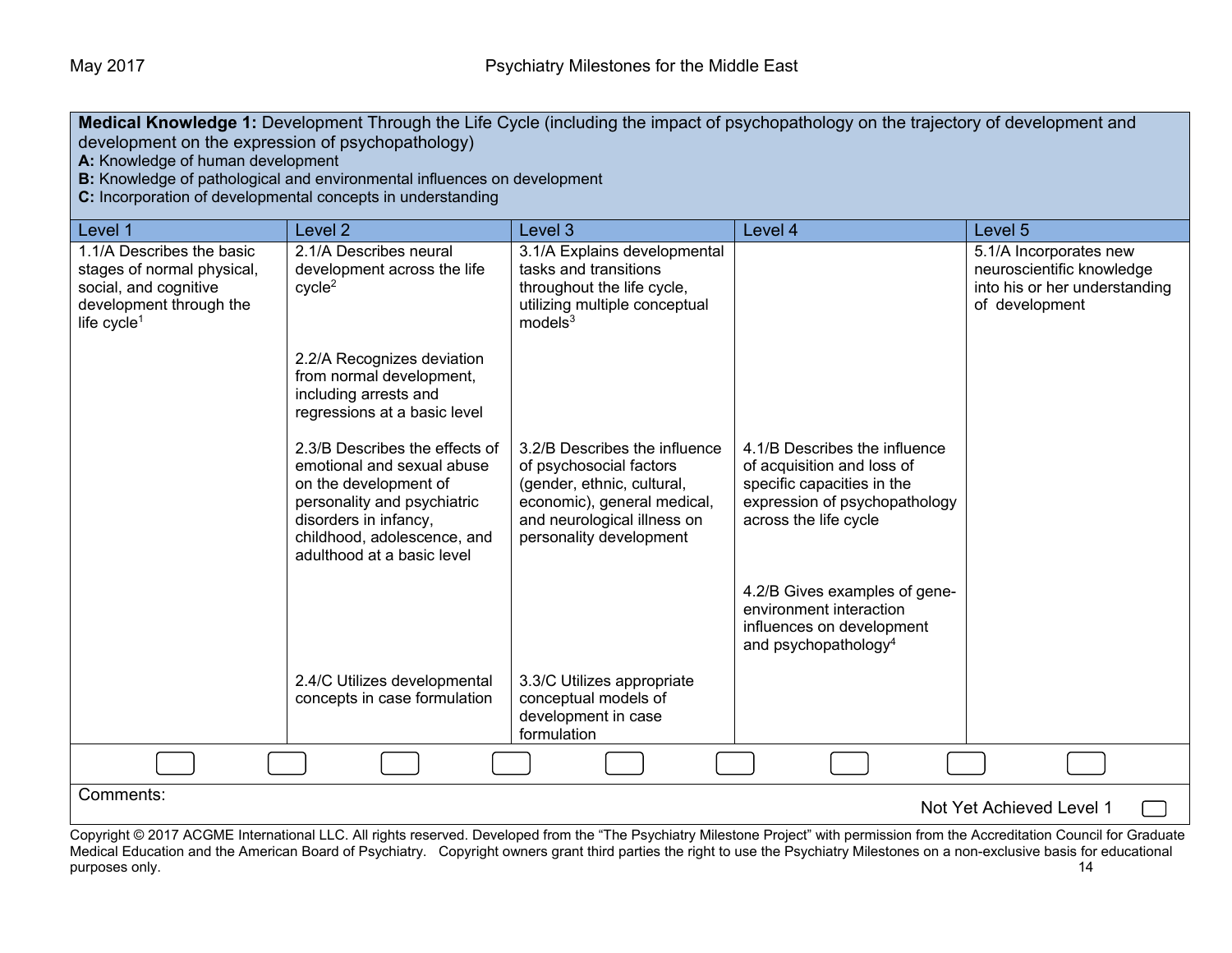| Medical Knowledge 1: Development Through the Life Cycle (including the impact of psychopathology on the trajectory of development and<br>development on the expression of psychopathology)<br>A: Knowledge of human development<br>B: Knowledge of pathological and environmental influences on development<br>C: Incorporation of developmental concepts in understanding |                                                                                                                                                                                                            |                                                                                                                                                                                 |                                                                                                                                                                                                                                                                                                                                                                     |                                                                                                        |
|----------------------------------------------------------------------------------------------------------------------------------------------------------------------------------------------------------------------------------------------------------------------------------------------------------------------------------------------------------------------------|------------------------------------------------------------------------------------------------------------------------------------------------------------------------------------------------------------|---------------------------------------------------------------------------------------------------------------------------------------------------------------------------------|---------------------------------------------------------------------------------------------------------------------------------------------------------------------------------------------------------------------------------------------------------------------------------------------------------------------------------------------------------------------|--------------------------------------------------------------------------------------------------------|
| Level 1                                                                                                                                                                                                                                                                                                                                                                    | Level <sub>2</sub>                                                                                                                                                                                         | Level 3                                                                                                                                                                         | Level 4                                                                                                                                                                                                                                                                                                                                                             | Level 5                                                                                                |
| 1.1/A Describes the basic<br>stages of normal physical,<br>social, and cognitive<br>development through the<br>life cycle <sup>1</sup>                                                                                                                                                                                                                                     | 2.1/A Describes neural<br>development across the life<br>cycle <sup>2</sup>                                                                                                                                | 3.1/A Explains developmental<br>tasks and transitions<br>throughout the life cycle,<br>utilizing multiple conceptual<br>models <sup>3</sup>                                     |                                                                                                                                                                                                                                                                                                                                                                     | 5.1/A Incorporates new<br>neuroscientific knowledge<br>into his or her understanding<br>of development |
|                                                                                                                                                                                                                                                                                                                                                                            | 2.2/A Recognizes deviation<br>from normal development,<br>including arrests and<br>regressions at a basic level                                                                                            |                                                                                                                                                                                 |                                                                                                                                                                                                                                                                                                                                                                     |                                                                                                        |
|                                                                                                                                                                                                                                                                                                                                                                            | 2.3/B Describes the effects of<br>emotional and sexual abuse<br>on the development of<br>personality and psychiatric<br>disorders in infancy,<br>childhood, adolescence, and<br>adulthood at a basic level | 3.2/B Describes the influence<br>of psychosocial factors<br>(gender, ethnic, cultural,<br>economic), general medical,<br>and neurological illness on<br>personality development | 4.1/B Describes the influence<br>of acquisition and loss of<br>specific capacities in the<br>expression of psychopathology<br>across the life cycle                                                                                                                                                                                                                 |                                                                                                        |
|                                                                                                                                                                                                                                                                                                                                                                            |                                                                                                                                                                                                            |                                                                                                                                                                                 | 4.2/B Gives examples of gene-<br>environment interaction<br>influences on development<br>and psychopathology <sup>4</sup>                                                                                                                                                                                                                                           |                                                                                                        |
|                                                                                                                                                                                                                                                                                                                                                                            | 2.4/C Utilizes developmental<br>concepts in case formulation                                                                                                                                               | 3.3/C Utilizes appropriate<br>conceptual models of<br>development in case<br>formulation                                                                                        |                                                                                                                                                                                                                                                                                                                                                                     |                                                                                                        |
|                                                                                                                                                                                                                                                                                                                                                                            |                                                                                                                                                                                                            |                                                                                                                                                                                 |                                                                                                                                                                                                                                                                                                                                                                     |                                                                                                        |
| Comments:                                                                                                                                                                                                                                                                                                                                                                  |                                                                                                                                                                                                            |                                                                                                                                                                                 |                                                                                                                                                                                                                                                                                                                                                                     | Not Yet Achieved Level 1                                                                               |
|                                                                                                                                                                                                                                                                                                                                                                            |                                                                                                                                                                                                            |                                                                                                                                                                                 | Copyright © 2017 ACGME International LLC. All rights reserved. Developed from the "The Psychiatry Milestone Project" with permission from the Accreditation Council for Graduate<br>Medical Education and the American Board of Psychiatry Convright owners grant third parties the right to use the Psychiatry Milestones on a non-exclusive basis for educational |                                                                                                        |

Medical Education and the American Board of Psychiatry. Copyright owners grant third parties the right to use the Psychiatry Milestones on a non-exclusive basis for educational purposes only. (2015) the purposes only. purposes only. 14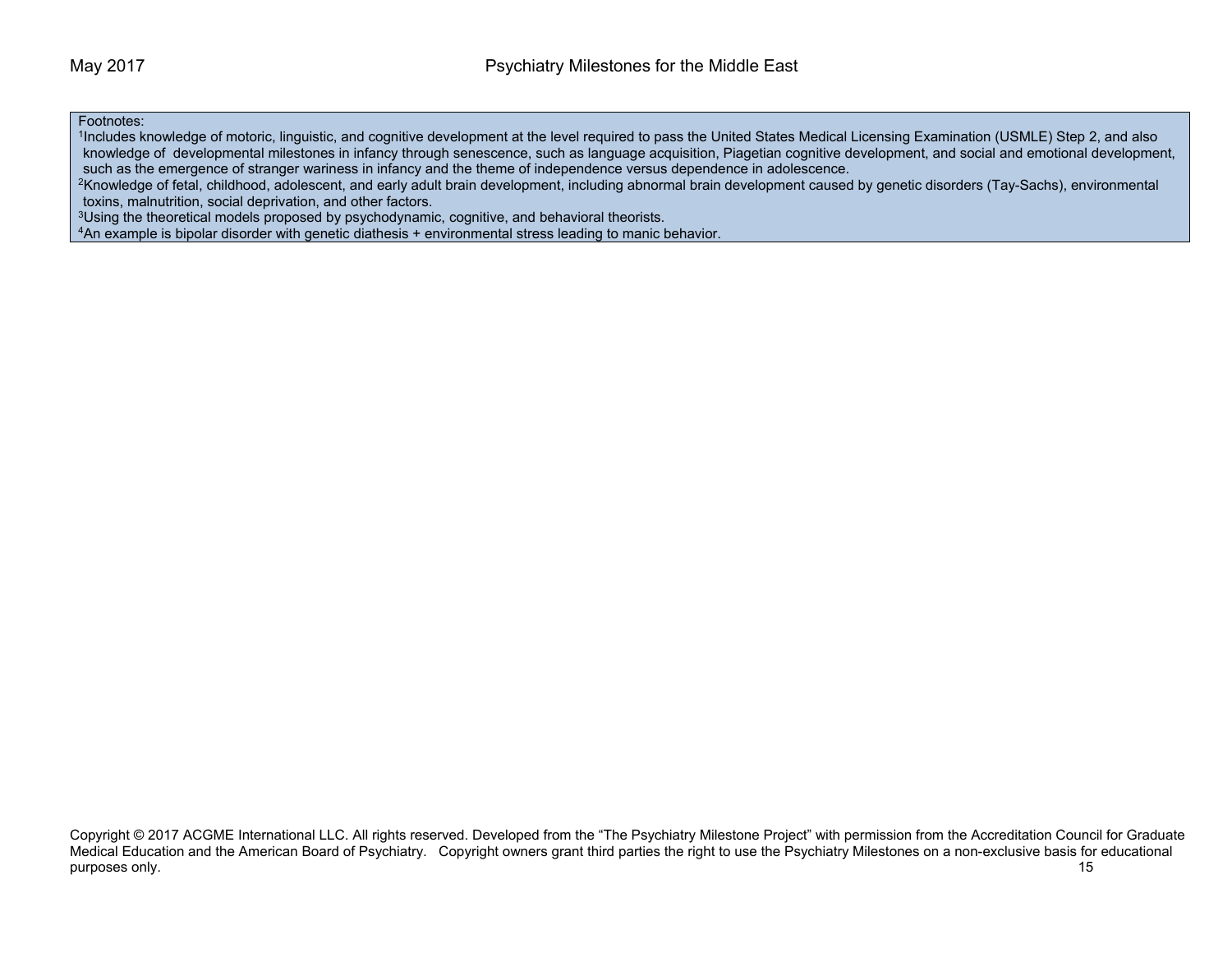### Footnotes:

1Includes knowledge of motoric, linguistic, and cognitive development at the level required to pass the United States Medical Licensing Examination (USMLE) Step 2, and also knowledge of developmental milestones in infancy through senescence, such as language acquisition, Piagetian cognitive development, and social and emotional development, such as the emergence of stranger wariness in infancy and the theme of independence versus dependence in adolescence.<br><sup>2</sup>Knowledge of fetal, childhood, adolescent, and early adult brain development, including abnormal brai

toxins, malnutrition, social deprivation, and other factors.<br><sup>3</sup>Using the theoretical models proposed by psychodynamic, cognitive, and behavioral theorists.<br><sup>4</sup>An example is bipolar disorder with genetic diathesis + enviro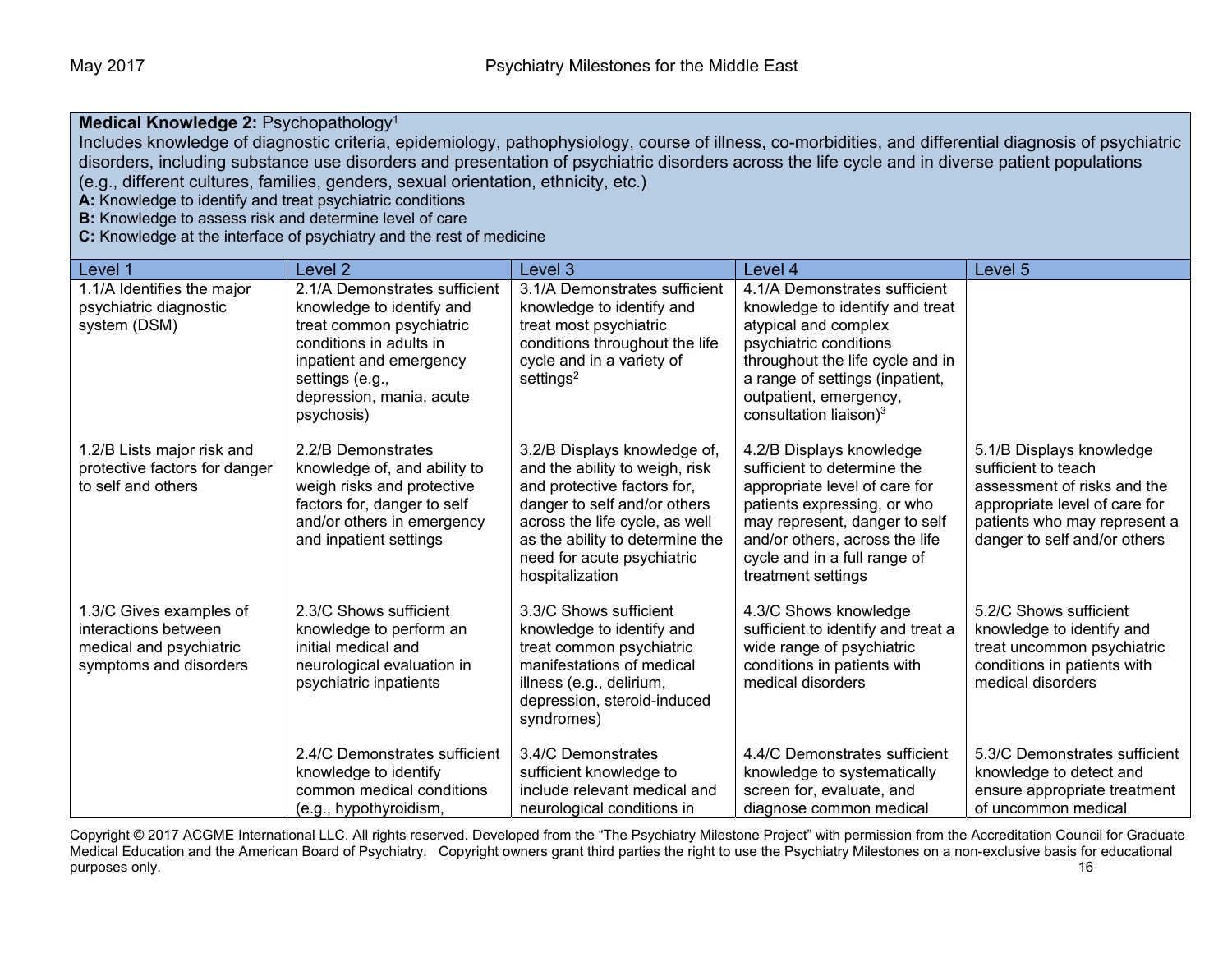### **Medical Knowledge 2:** Psychopathology1

Includes knowledge of diagnostic criteria, epidemiology, pathophysiology, course of illness, co-morbidities, and differential diagnosis of psychiatric disorders, including substance use disorders and presentation of psychiatric disorders across the life cycle and in diverse patient populations (e.g., different cultures, families, genders, sexual orientation, ethnicity, etc.)

**A:** Knowledge to identify and treat psychiatric conditions

**B:** Knowledge to assess risk and determine level of care

**C:** Knowledge at the interface of psychiatry and the rest of medicine

| Level 1                                                                                              | Level <sub>2</sub>                                                                                                                                                                                        | Level 3                                                                                                                                                                                                                                             | Level 4                                                                                                                                                                                                                                                   | Level 5                                                                                                                                                                         |
|------------------------------------------------------------------------------------------------------|-----------------------------------------------------------------------------------------------------------------------------------------------------------------------------------------------------------|-----------------------------------------------------------------------------------------------------------------------------------------------------------------------------------------------------------------------------------------------------|-----------------------------------------------------------------------------------------------------------------------------------------------------------------------------------------------------------------------------------------------------------|---------------------------------------------------------------------------------------------------------------------------------------------------------------------------------|
| 1.1/A Identifies the major<br>psychiatric diagnostic<br>system (DSM)                                 | 2.1/A Demonstrates sufficient<br>knowledge to identify and<br>treat common psychiatric<br>conditions in adults in<br>inpatient and emergency<br>settings (e.g.,<br>depression, mania, acute<br>psychosis) | 3.1/A Demonstrates sufficient<br>knowledge to identify and<br>treat most psychiatric<br>conditions throughout the life<br>cycle and in a variety of<br>settings <sup>2</sup>                                                                        | 4.1/A Demonstrates sufficient<br>knowledge to identify and treat<br>atypical and complex<br>psychiatric conditions<br>throughout the life cycle and in<br>a range of settings (inpatient,<br>outpatient, emergency,<br>consultation liaison) <sup>3</sup> |                                                                                                                                                                                 |
| 1.2/B Lists major risk and<br>protective factors for danger<br>to self and others                    | 2.2/B Demonstrates<br>knowledge of, and ability to<br>weigh risks and protective<br>factors for, danger to self<br>and/or others in emergency<br>and inpatient settings                                   | 3.2/B Displays knowledge of,<br>and the ability to weigh, risk<br>and protective factors for,<br>danger to self and/or others<br>across the life cycle, as well<br>as the ability to determine the<br>need for acute psychiatric<br>hospitalization | 4.2/B Displays knowledge<br>sufficient to determine the<br>appropriate level of care for<br>patients expressing, or who<br>may represent, danger to self<br>and/or others, across the life<br>cycle and in a full range of<br>treatment settings          | 5.1/B Displays knowledge<br>sufficient to teach<br>assessment of risks and the<br>appropriate level of care for<br>patients who may represent a<br>danger to self and/or others |
| 1.3/C Gives examples of<br>interactions between<br>medical and psychiatric<br>symptoms and disorders | 2.3/C Shows sufficient<br>knowledge to perform an<br>initial medical and<br>neurological evaluation in<br>psychiatric inpatients                                                                          | 3.3/C Shows sufficient<br>knowledge to identify and<br>treat common psychiatric<br>manifestations of medical<br>illness (e.g., delirium,<br>depression, steroid-induced<br>syndromes)                                                               | 4.3/C Shows knowledge<br>sufficient to identify and treat a<br>wide range of psychiatric<br>conditions in patients with<br>medical disorders                                                                                                              | 5.2/C Shows sufficient<br>knowledge to identify and<br>treat uncommon psychiatric<br>conditions in patients with<br>medical disorders                                           |
|                                                                                                      | 2.4/C Demonstrates sufficient<br>knowledge to identify<br>common medical conditions<br>(e.g., hypothyroidism,                                                                                             | 3.4/C Demonstrates<br>sufficient knowledge to<br>include relevant medical and<br>neurological conditions in                                                                                                                                         | 4.4/C Demonstrates sufficient<br>knowledge to systematically<br>screen for, evaluate, and<br>diagnose common medical                                                                                                                                      | 5.3/C Demonstrates sufficient<br>knowledge to detect and<br>ensure appropriate treatment<br>of uncommon medical                                                                 |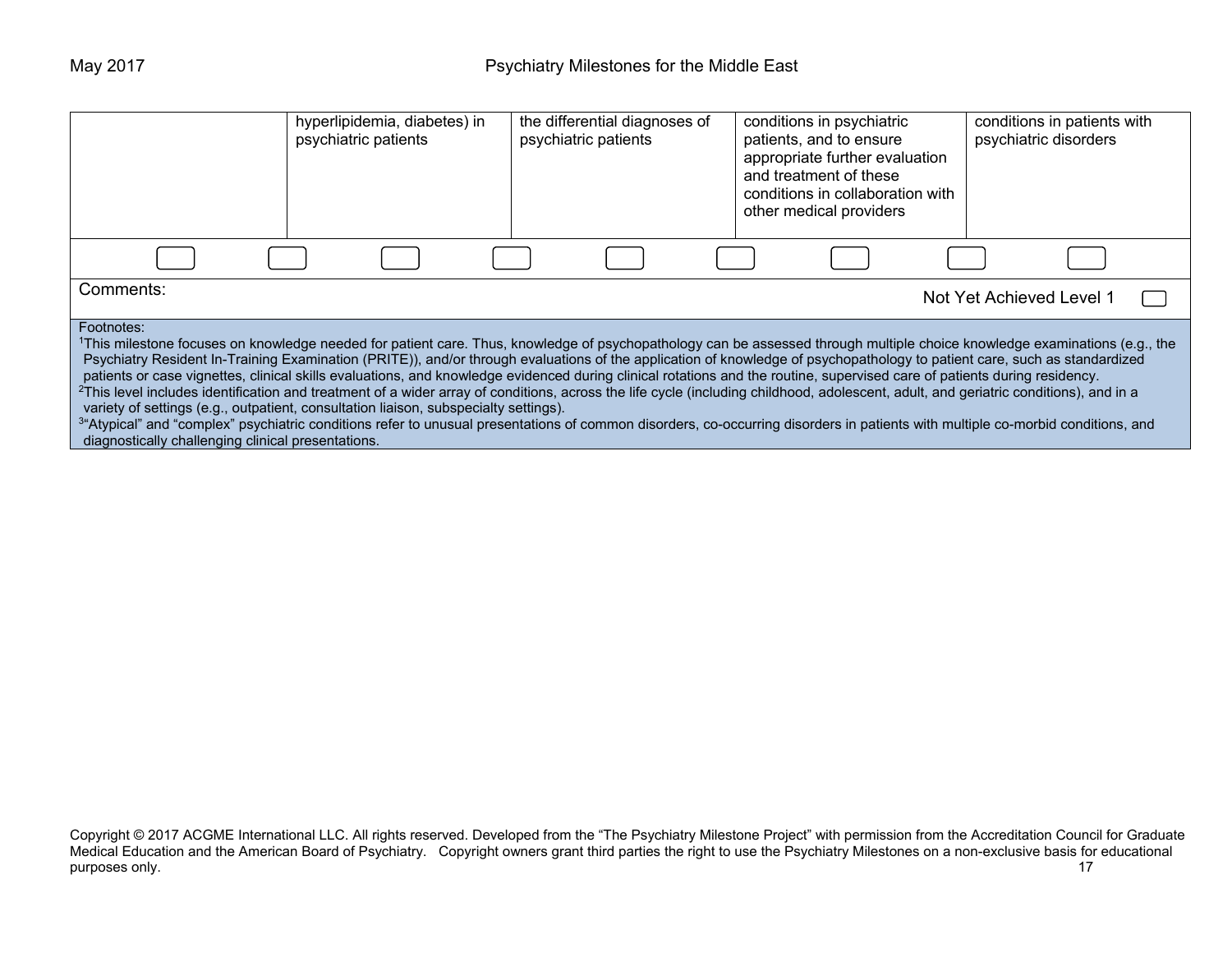|                                                                                                                                                                                                                                                                                                                                                                                                                                                                                                                                                                                                                                                                                                                                                                                                                                                                                                                                                                                                                                                                                                     | hyperlipidemia, diabetes) in<br>psychiatric patients | the differential diagnoses of<br>psychiatric patients | conditions in psychiatric<br>patients, and to ensure<br>appropriate further evaluation<br>and treatment of these<br>conditions in collaboration with<br>other medical providers | conditions in patients with<br>psychiatric disorders |  |
|-----------------------------------------------------------------------------------------------------------------------------------------------------------------------------------------------------------------------------------------------------------------------------------------------------------------------------------------------------------------------------------------------------------------------------------------------------------------------------------------------------------------------------------------------------------------------------------------------------------------------------------------------------------------------------------------------------------------------------------------------------------------------------------------------------------------------------------------------------------------------------------------------------------------------------------------------------------------------------------------------------------------------------------------------------------------------------------------------------|------------------------------------------------------|-------------------------------------------------------|---------------------------------------------------------------------------------------------------------------------------------------------------------------------------------|------------------------------------------------------|--|
|                                                                                                                                                                                                                                                                                                                                                                                                                                                                                                                                                                                                                                                                                                                                                                                                                                                                                                                                                                                                                                                                                                     |                                                      |                                                       |                                                                                                                                                                                 |                                                      |  |
| Comments:                                                                                                                                                                                                                                                                                                                                                                                                                                                                                                                                                                                                                                                                                                                                                                                                                                                                                                                                                                                                                                                                                           | Not Yet Achieved Level 1                             |                                                       |                                                                                                                                                                                 |                                                      |  |
| Footnotes:<br>1This milestone focuses on knowledge needed for patient care. Thus, knowledge of psychopathology can be assessed through multiple choice knowledge examinations (e.g., the<br>Psychiatry Resident In-Training Examination (PRITE)), and/or through evaluations of the application of knowledge of psychopathology to patient care, such as standardized<br>patients or case vignettes, clinical skills evaluations, and knowledge evidenced during clinical rotations and the routine, supervised care of patients during residency.<br><sup>2</sup> This level includes identification and treatment of a wider array of conditions, across the life cycle (including childhood, adolescent, adult, and geriatric conditions), and in a<br>variety of settings (e.g., outpatient, consultation liaison, subspecialty settings).<br><sup>34</sup> Atypical" and "complex" psychiatric conditions refer to unusual presentations of common disorders, co-occurring disorders in patients with multiple co-morbid conditions, and<br>diagnostically challenging clinical presentations. |                                                      |                                                       |                                                                                                                                                                                 |                                                      |  |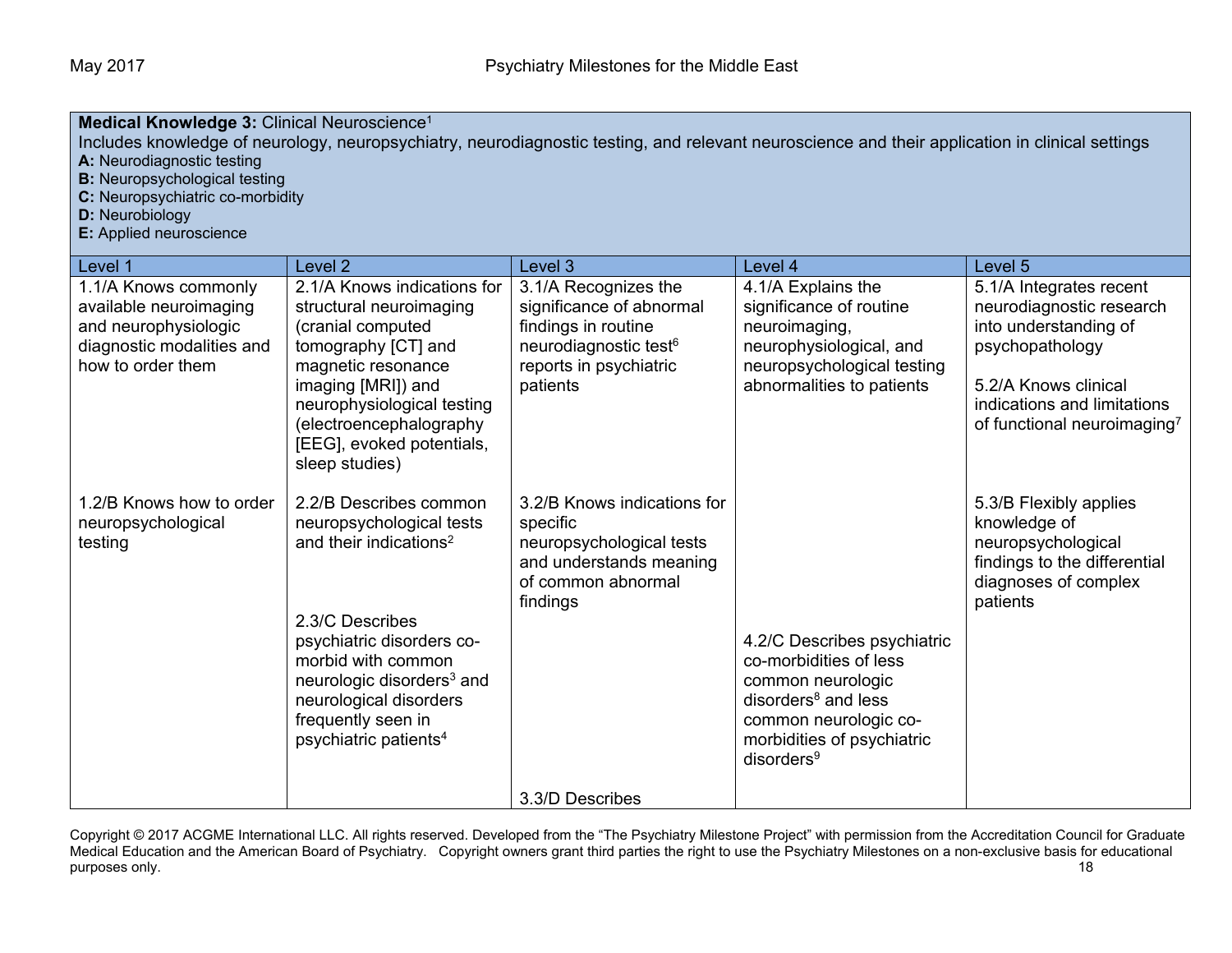| Medical Knowledge 3: Clinical Neuroscience <sup>1</sup><br>Includes knowledge of neurology, neuropsychiatry, neurodiagnostic testing, and relevant neuroscience and their application in clinical settings<br>A: Neurodiagnostic testing<br><b>B:</b> Neuropsychological testing<br>C: Neuropsychiatric co-morbidity<br><b>D:</b> Neurobiology<br>E: Applied neuroscience |                                                                                                                                                                                                                                                                                              |                                                                                                                                                    |                                                                                                                                                                                                |                                                                                                                                                                                                   |
|---------------------------------------------------------------------------------------------------------------------------------------------------------------------------------------------------------------------------------------------------------------------------------------------------------------------------------------------------------------------------|----------------------------------------------------------------------------------------------------------------------------------------------------------------------------------------------------------------------------------------------------------------------------------------------|----------------------------------------------------------------------------------------------------------------------------------------------------|------------------------------------------------------------------------------------------------------------------------------------------------------------------------------------------------|---------------------------------------------------------------------------------------------------------------------------------------------------------------------------------------------------|
| Level 1                                                                                                                                                                                                                                                                                                                                                                   | Level <sub>2</sub>                                                                                                                                                                                                                                                                           | Level 3                                                                                                                                            | Level 4                                                                                                                                                                                        | Level 5                                                                                                                                                                                           |
| 1.1/A Knows commonly<br>available neuroimaging<br>and neurophysiologic<br>diagnostic modalities and<br>how to order them                                                                                                                                                                                                                                                  | 2.1/A Knows indications for<br>structural neuroimaging<br>(cranial computed<br>tomography [CT] and<br>magnetic resonance<br>imaging [MRI]) and<br>neurophysiological testing<br>(electroencephalography<br>[EEG], evoked potentials,<br>sleep studies)                                       | 3.1/A Recognizes the<br>significance of abnormal<br>findings in routine<br>neurodiagnostic test <sup>6</sup><br>reports in psychiatric<br>patients | 4.1/A Explains the<br>significance of routine<br>neuroimaging,<br>neurophysiological, and<br>neuropsychological testing<br>abnormalities to patients                                           | 5.1/A Integrates recent<br>neurodiagnostic research<br>into understanding of<br>psychopathology<br>5.2/A Knows clinical<br>indications and limitations<br>of functional neuroimaging <sup>7</sup> |
| 1.2/B Knows how to order<br>neuropsychological<br>testing                                                                                                                                                                                                                                                                                                                 | 2.2/B Describes common<br>neuropsychological tests<br>and their indications <sup>2</sup><br>2.3/C Describes<br>psychiatric disorders co-<br>morbid with common<br>neurologic disorders <sup>3</sup> and<br>neurological disorders<br>frequently seen in<br>psychiatric patients <sup>4</sup> | 3.2/B Knows indications for<br>specific<br>neuropsychological tests<br>and understands meaning<br>of common abnormal<br>findings                   | 4.2/C Describes psychiatric<br>co-morbidities of less<br>common neurologic<br>disorders <sup>8</sup> and less<br>common neurologic co-<br>morbidities of psychiatric<br>disorders <sup>9</sup> | 5.3/B Flexibly applies<br>knowledge of<br>neuropsychological<br>findings to the differential<br>diagnoses of complex<br>patients                                                                  |
|                                                                                                                                                                                                                                                                                                                                                                           |                                                                                                                                                                                                                                                                                              | 3.3/D Describes                                                                                                                                    |                                                                                                                                                                                                |                                                                                                                                                                                                   |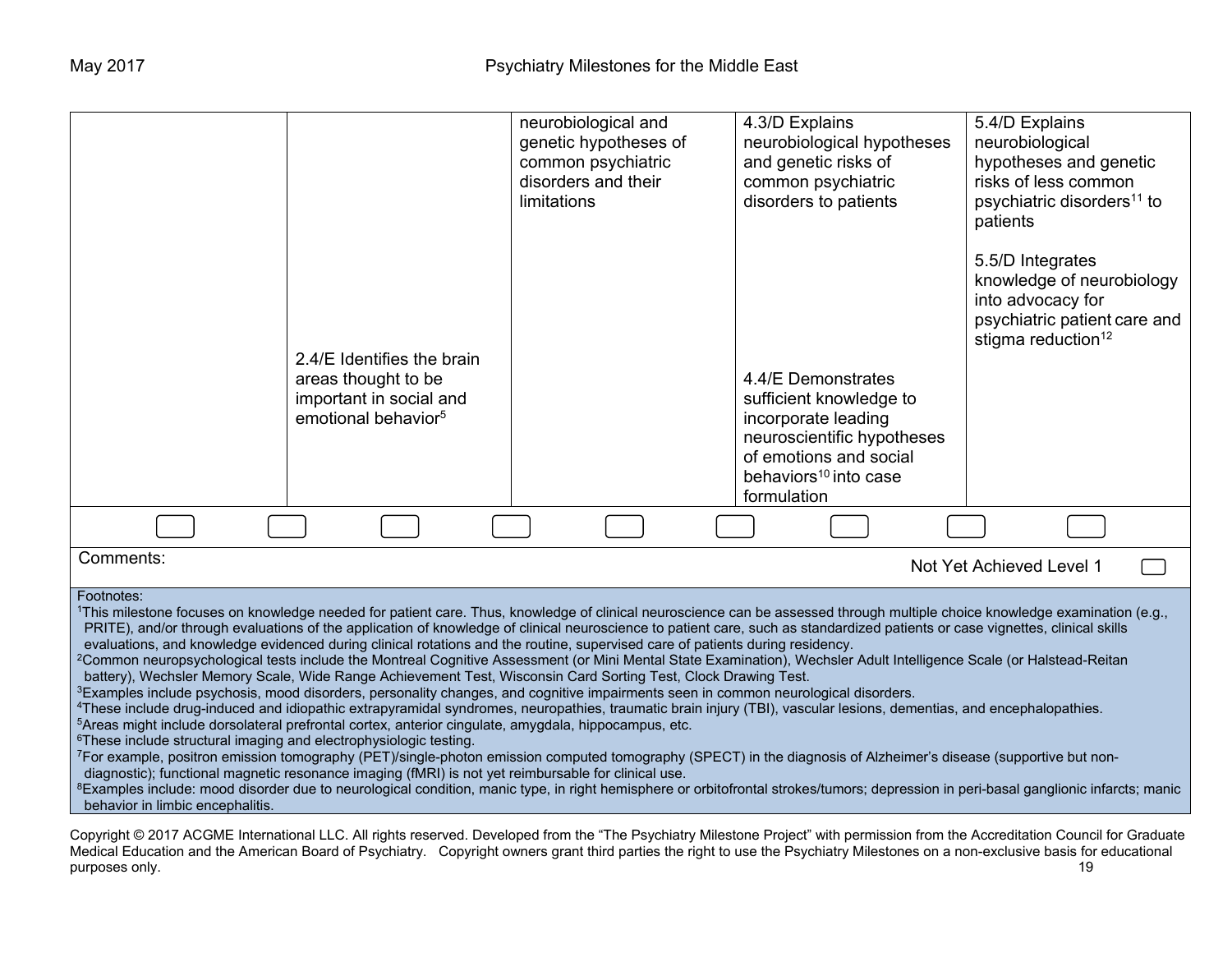|                                                                                                                                                                                                                                                                                                                                                                                                                                                                                                                                                                                                                                                                                                                                                                                                                                                                                                                                                                                                                                                                                                                                                                                                                                                                                                                                                                                                                                                                                                                                                                                                                                                                                                                                                                                                                                                                                            | 2.4/E Identifies the brain<br>areas thought to be<br>important in social and<br>emotional behavior <sup>5</sup> | neurobiological and<br>genetic hypotheses of<br>common psychiatric<br>disorders and their<br>limitations | 4.3/D Explains<br>neurobiological hypotheses<br>and genetic risks of<br>common psychiatric<br>disorders to patients<br>4.4/E Demonstrates<br>sufficient knowledge to<br>incorporate leading<br>neuroscientific hypotheses<br>of emotions and social<br>behaviors <sup>10</sup> into case | 5.4/D Explains<br>neurobiological<br>hypotheses and genetic<br>risks of less common<br>psychiatric disorders <sup>11</sup> to<br>patients<br>5.5/D Integrates<br>knowledge of neurobiology<br>into advocacy for<br>psychiatric patient care and<br>stigma reduction <sup>12</sup> |
|--------------------------------------------------------------------------------------------------------------------------------------------------------------------------------------------------------------------------------------------------------------------------------------------------------------------------------------------------------------------------------------------------------------------------------------------------------------------------------------------------------------------------------------------------------------------------------------------------------------------------------------------------------------------------------------------------------------------------------------------------------------------------------------------------------------------------------------------------------------------------------------------------------------------------------------------------------------------------------------------------------------------------------------------------------------------------------------------------------------------------------------------------------------------------------------------------------------------------------------------------------------------------------------------------------------------------------------------------------------------------------------------------------------------------------------------------------------------------------------------------------------------------------------------------------------------------------------------------------------------------------------------------------------------------------------------------------------------------------------------------------------------------------------------------------------------------------------------------------------------------------------------|-----------------------------------------------------------------------------------------------------------------|----------------------------------------------------------------------------------------------------------|------------------------------------------------------------------------------------------------------------------------------------------------------------------------------------------------------------------------------------------------------------------------------------------|-----------------------------------------------------------------------------------------------------------------------------------------------------------------------------------------------------------------------------------------------------------------------------------|
|                                                                                                                                                                                                                                                                                                                                                                                                                                                                                                                                                                                                                                                                                                                                                                                                                                                                                                                                                                                                                                                                                                                                                                                                                                                                                                                                                                                                                                                                                                                                                                                                                                                                                                                                                                                                                                                                                            |                                                                                                                 |                                                                                                          | formulation                                                                                                                                                                                                                                                                              |                                                                                                                                                                                                                                                                                   |
| Comments:                                                                                                                                                                                                                                                                                                                                                                                                                                                                                                                                                                                                                                                                                                                                                                                                                                                                                                                                                                                                                                                                                                                                                                                                                                                                                                                                                                                                                                                                                                                                                                                                                                                                                                                                                                                                                                                                                  |                                                                                                                 |                                                                                                          |                                                                                                                                                                                                                                                                                          | Not Yet Achieved Level 1                                                                                                                                                                                                                                                          |
| Footnotes:<br>1This milestone focuses on knowledge needed for patient care. Thus, knowledge of clinical neuroscience can be assessed through multiple choice knowledge examination (e.g.,<br>PRITE), and/or through evaluations of the application of knowledge of clinical neuroscience to patient care, such as standardized patients or case vignettes, clinical skills<br>evaluations, and knowledge evidenced during clinical rotations and the routine, supervised care of patients during residency.<br><sup>2</sup> Common neuropsychological tests include the Montreal Cognitive Assessment (or Mini Mental State Examination), Wechsler Adult Intelligence Scale (or Halstead-Reitan<br>battery), Wechsler Memory Scale, Wide Range Achievement Test, Wisconsin Card Sorting Test, Clock Drawing Test.<br><sup>3</sup> Examples include psychosis, mood disorders, personality changes, and cognitive impairments seen in common neurological disorders.<br><sup>4</sup> These include drug-induced and idiopathic extrapyramidal syndromes, neuropathies, traumatic brain injury (TBI), vascular lesions, dementias, and encephalopathies.<br><sup>5</sup> Areas might include dorsolateral prefrontal cortex, anterior cingulate, amygdala, hippocampus, etc.<br><sup>6</sup> These include structural imaging and electrophysiologic testing.<br><sup>7</sup> For example, positron emission tomography (PET)/single-photon emission computed tomography (SPECT) in the diagnosis of Alzheimer's disease (supportive but non-<br>diagnostic); functional magnetic resonance imaging (fMRI) is not yet reimbursable for clinical use.<br><sup>8</sup> Examples include: mood disorder due to neurological condition, manic type, in right hemisphere or orbitofrontal strokes/tumors; depression in peri-basal ganglionic infarcts; manic<br>behavior in limbic encephalitis. |                                                                                                                 |                                                                                                          |                                                                                                                                                                                                                                                                                          |                                                                                                                                                                                                                                                                                   |
| Copyright © 2017 ACGME International LLC. All rights reserved. Developed from the "The Psychiatry Milestone Project" with permission from the Accreditation Council for Graduate                                                                                                                                                                                                                                                                                                                                                                                                                                                                                                                                                                                                                                                                                                                                                                                                                                                                                                                                                                                                                                                                                                                                                                                                                                                                                                                                                                                                                                                                                                                                                                                                                                                                                                           |                                                                                                                 |                                                                                                          |                                                                                                                                                                                                                                                                                          |                                                                                                                                                                                                                                                                                   |

Medical Education and the American Board of Psychiatry. Copyright owners grant third parties the right to use the Psychiatry Milestones on a non-exclusive basis for educational purposes only. 19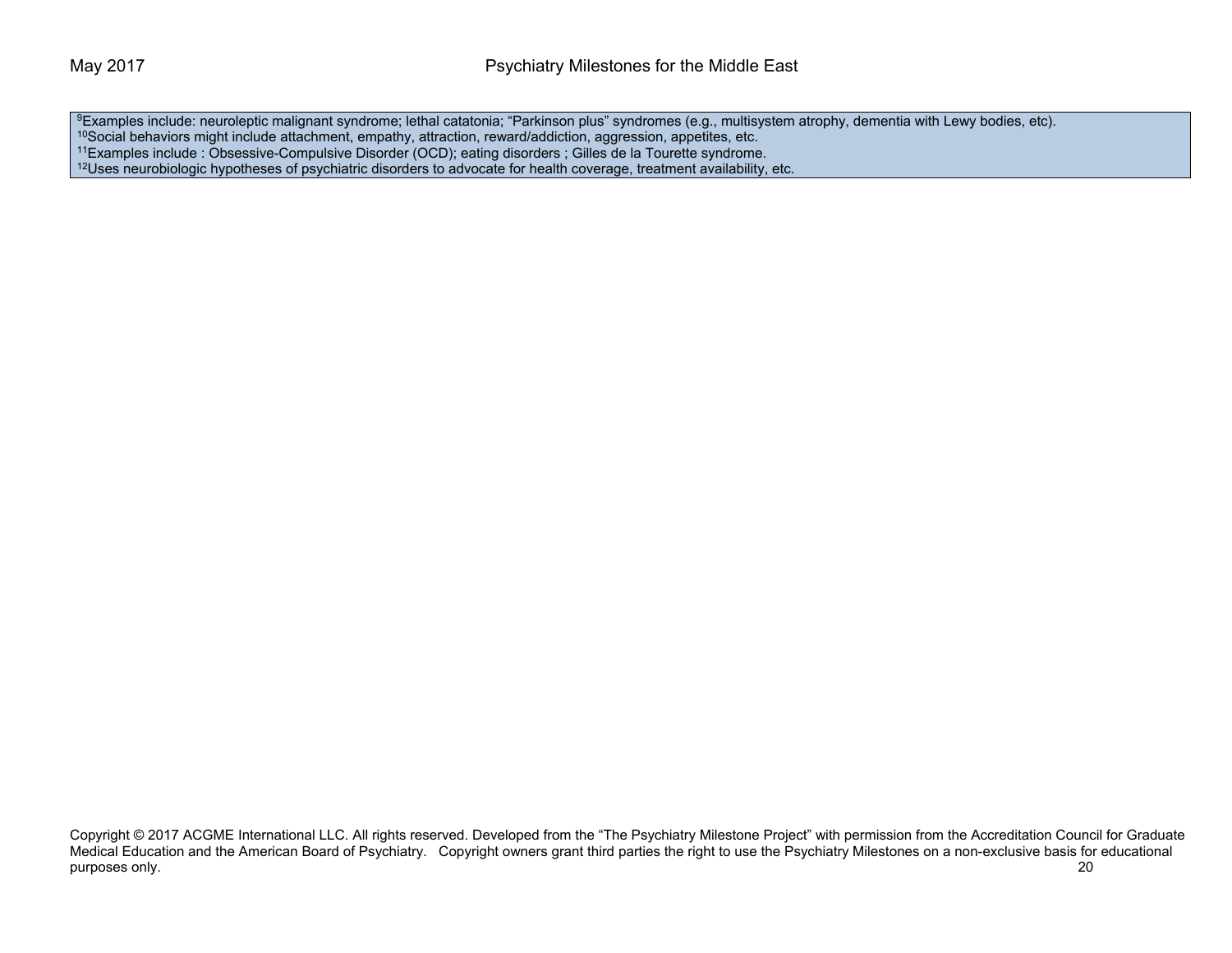<sup>9</sup>Examples include: neuroleptic malignant syndrome; lethal catatonia; "Parkinson plus" syndromes (e.g., multisystem atrophy, dementia with Lewy bodies, etc). <sup>10</sup>Social behaviors might include attachment, empathy, attraction, reward/addiction, aggression, appetites, etc. 11Examples include : Obsessive-Compulsive Disorder (OCD); eating disorders ; Gilles de la Tourette syndrome. <sup>12</sup>Uses neurobiologic hypotheses of psychiatric disorders to advocate for health coverage, treatment availability, etc.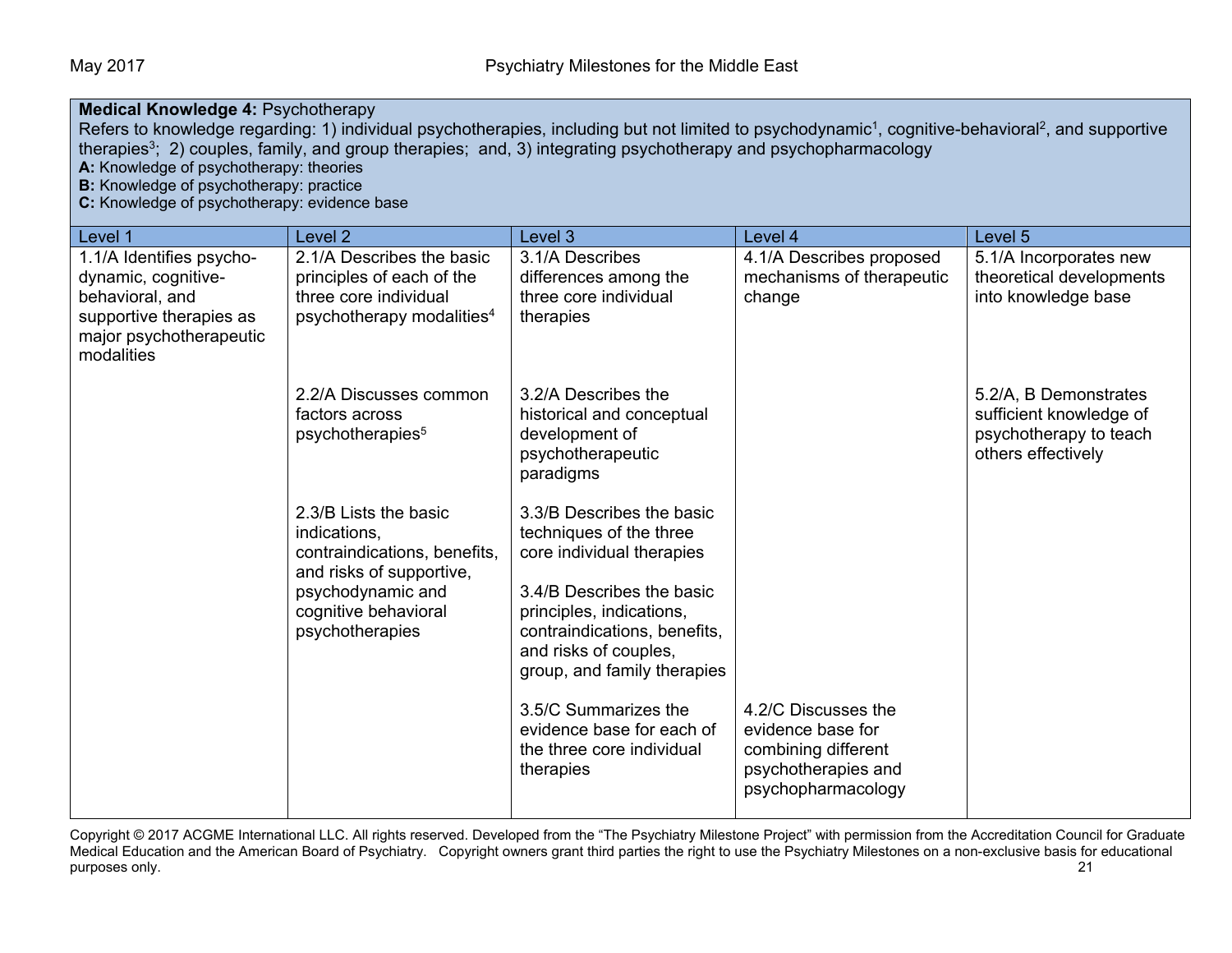#### **Medical Knowledge 4: Psychotherapy** Refers to knowledge regarding: 1) individual psychotherapies, including but not limited to psychodynamic<sup>1</sup>, cognitive-behavioral<sup>2</sup>, and supportive therapies<sup>3</sup>; 2) couples, family, and group therapies; and, 3) integrating psychotherapy and psychopharmacology **A:** Knowledge of psychotherapy: theories **B:** Knowledge of psychotherapy: practice **C:** Knowledge of psychotherapy: evidence base Level 1 Level 2 Level 3 Level 4 Level 5 1.1/A Identifies psychodynamic, cognitive-2.1/A Describes the basic principles of each of the 3.1/A Describes differences among the 4.1/A Describes proposed

| 1.1/A Identifies psycho-<br>dynamic, cognitive-<br>behavioral, and<br>supportive therapies as<br>major psychotherapeutic<br>modalities | 2.1/A Describes the basic<br>principles of each of the<br>three core individual<br>psychotherapy modalities <sup>4</sup>                                          | 3.1/A Describes<br>differences among the<br>three core individual<br>therapies                                                                                                                                                                                                                                                    | 4.1/A Describes proposed<br>mechanisms of therapeutic<br>change                                              | 5.1/A Incorporates new<br>theoretical developments<br>into knowledge base                        |
|----------------------------------------------------------------------------------------------------------------------------------------|-------------------------------------------------------------------------------------------------------------------------------------------------------------------|-----------------------------------------------------------------------------------------------------------------------------------------------------------------------------------------------------------------------------------------------------------------------------------------------------------------------------------|--------------------------------------------------------------------------------------------------------------|--------------------------------------------------------------------------------------------------|
|                                                                                                                                        | 2.2/A Discusses common<br>factors across<br>psychotherapies <sup>5</sup>                                                                                          | 3.2/A Describes the<br>historical and conceptual<br>development of<br>psychotherapeutic<br>paradigms                                                                                                                                                                                                                              |                                                                                                              | 5.2/A, B Demonstrates<br>sufficient knowledge of<br>psychotherapy to teach<br>others effectively |
|                                                                                                                                        | 2.3/B Lists the basic<br>indications,<br>contraindications, benefits,<br>and risks of supportive,<br>psychodynamic and<br>cognitive behavioral<br>psychotherapies | 3.3/B Describes the basic<br>techniques of the three<br>core individual therapies<br>3.4/B Describes the basic<br>principles, indications,<br>contraindications, benefits,<br>and risks of couples,<br>group, and family therapies<br>3.5/C Summarizes the<br>evidence base for each of<br>the three core individual<br>therapies | 4.2/C Discusses the<br>evidence base for<br>combining different<br>psychotherapies and<br>psychopharmacology |                                                                                                  |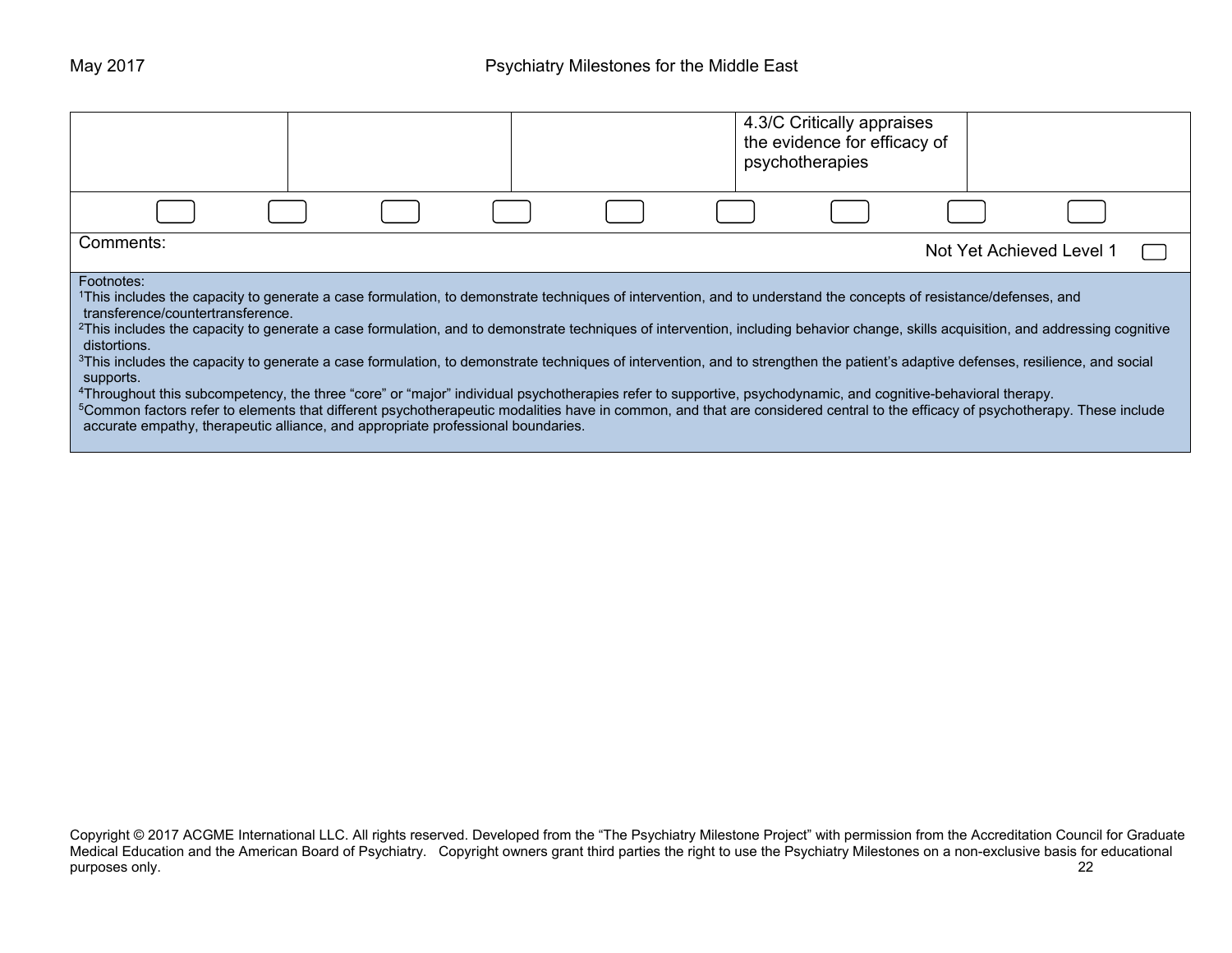|                                                                                                                                                                                                                                                                                                                                                                                                                                                                                                                                                                                                                                                                                                                                                                                                                                                                                                                                                                                                                                                                                                                  |  |  | 4.3/C Critically appraises<br>the evidence for efficacy of<br>psychotherapies |                          |  |  |
|------------------------------------------------------------------------------------------------------------------------------------------------------------------------------------------------------------------------------------------------------------------------------------------------------------------------------------------------------------------------------------------------------------------------------------------------------------------------------------------------------------------------------------------------------------------------------------------------------------------------------------------------------------------------------------------------------------------------------------------------------------------------------------------------------------------------------------------------------------------------------------------------------------------------------------------------------------------------------------------------------------------------------------------------------------------------------------------------------------------|--|--|-------------------------------------------------------------------------------|--------------------------|--|--|
|                                                                                                                                                                                                                                                                                                                                                                                                                                                                                                                                                                                                                                                                                                                                                                                                                                                                                                                                                                                                                                                                                                                  |  |  |                                                                               |                          |  |  |
| Comments:                                                                                                                                                                                                                                                                                                                                                                                                                                                                                                                                                                                                                                                                                                                                                                                                                                                                                                                                                                                                                                                                                                        |  |  |                                                                               | Not Yet Achieved Level 1 |  |  |
| Footnotes:<br><sup>1</sup> This includes the capacity to generate a case formulation, to demonstrate techniques of intervention, and to understand the concepts of resistance/defenses, and<br>transference/countertransference.<br><sup>2</sup> This includes the capacity to generate a case formulation, and to demonstrate techniques of intervention, including behavior change, skills acquisition, and addressing cognitive<br>distortions.<br><sup>3</sup> This includes the capacity to generate a case formulation, to demonstrate techniques of intervention, and to strengthen the patient's adaptive defenses, resilience, and social<br>supports.<br>4Throughout this subcompetency, the three "core" or "major" individual psychotherapies refer to supportive, psychodynamic, and cognitive-behavioral therapy.<br><sup>5</sup> Common factors refer to elements that different psychotherapeutic modalities have in common, and that are considered central to the efficacy of psychotherapy. These include<br>accurate empathy, therapeutic alliance, and appropriate professional boundaries. |  |  |                                                                               |                          |  |  |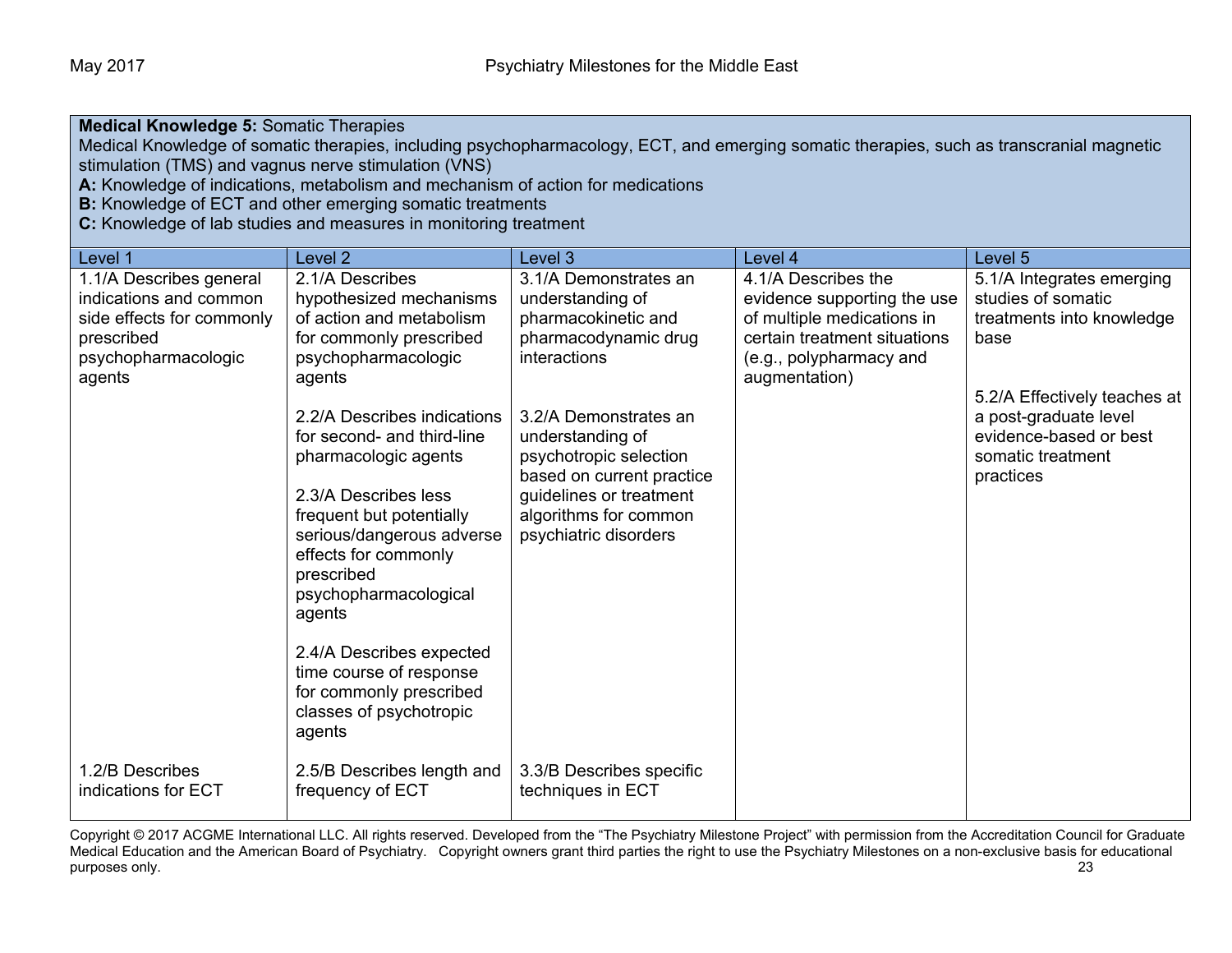**Medical Knowledge 5:** Somatic Therapies

Medical Knowledge of somatic therapies, including psychopharmacology, ECT, and emerging somatic therapies, such as transcranial magnetic stimulation (TMS) and vagnus nerve stimulation (VNS)

**A:** Knowledge of indications, metabolism and mechanism of action for medications

**B:** Knowledge of ECT and other emerging somatic treatments

**C:** Knowledge of lab studies and measures in monitoring treatment

| Level 1                                | Level <sub>2</sub>                             | Level <sub>3</sub>                                  | Level 4                      | Level 5                        |
|----------------------------------------|------------------------------------------------|-----------------------------------------------------|------------------------------|--------------------------------|
| 1.1/A Describes general                | 2.1/A Describes                                | 3.1/A Demonstrates an                               | 4.1/A Describes the          | 5.1/A Integrates emerging      |
| indications and common                 | hypothesized mechanisms                        | understanding of                                    | evidence supporting the use  | studies of somatic             |
| side effects for commonly              | of action and metabolism                       | pharmacokinetic and                                 | of multiple medications in   | treatments into knowledge      |
| prescribed                             | for commonly prescribed                        | pharmacodynamic drug                                | certain treatment situations | base                           |
| psychopharmacologic                    | psychopharmacologic                            | interactions                                        | (e.g., polypharmacy and      |                                |
| agents                                 | agents                                         |                                                     | augmentation)                |                                |
|                                        |                                                |                                                     |                              | 5.2/A Effectively teaches at   |
|                                        | 2.2/A Describes indications                    | 3.2/A Demonstrates an                               |                              | a post-graduate level          |
|                                        | for second- and third-line                     | understanding of                                    |                              | evidence-based or best         |
|                                        | pharmacologic agents                           | psychotropic selection<br>based on current practice |                              | somatic treatment<br>practices |
|                                        | 2.3/A Describes less                           | guidelines or treatment                             |                              |                                |
|                                        | frequent but potentially                       | algorithms for common                               |                              |                                |
|                                        | serious/dangerous adverse                      | psychiatric disorders                               |                              |                                |
|                                        | effects for commonly                           |                                                     |                              |                                |
|                                        | prescribed                                     |                                                     |                              |                                |
|                                        | psychopharmacological                          |                                                     |                              |                                |
|                                        | agents                                         |                                                     |                              |                                |
|                                        |                                                |                                                     |                              |                                |
|                                        | 2.4/A Describes expected                       |                                                     |                              |                                |
|                                        | time course of response                        |                                                     |                              |                                |
|                                        | for commonly prescribed                        |                                                     |                              |                                |
|                                        | classes of psychotropic                        |                                                     |                              |                                |
|                                        | agents                                         |                                                     |                              |                                |
|                                        |                                                |                                                     |                              |                                |
| 1.2/B Describes<br>indications for ECT | 2.5/B Describes length and<br>frequency of ECT | 3.3/B Describes specific<br>techniques in ECT       |                              |                                |
|                                        |                                                |                                                     |                              |                                |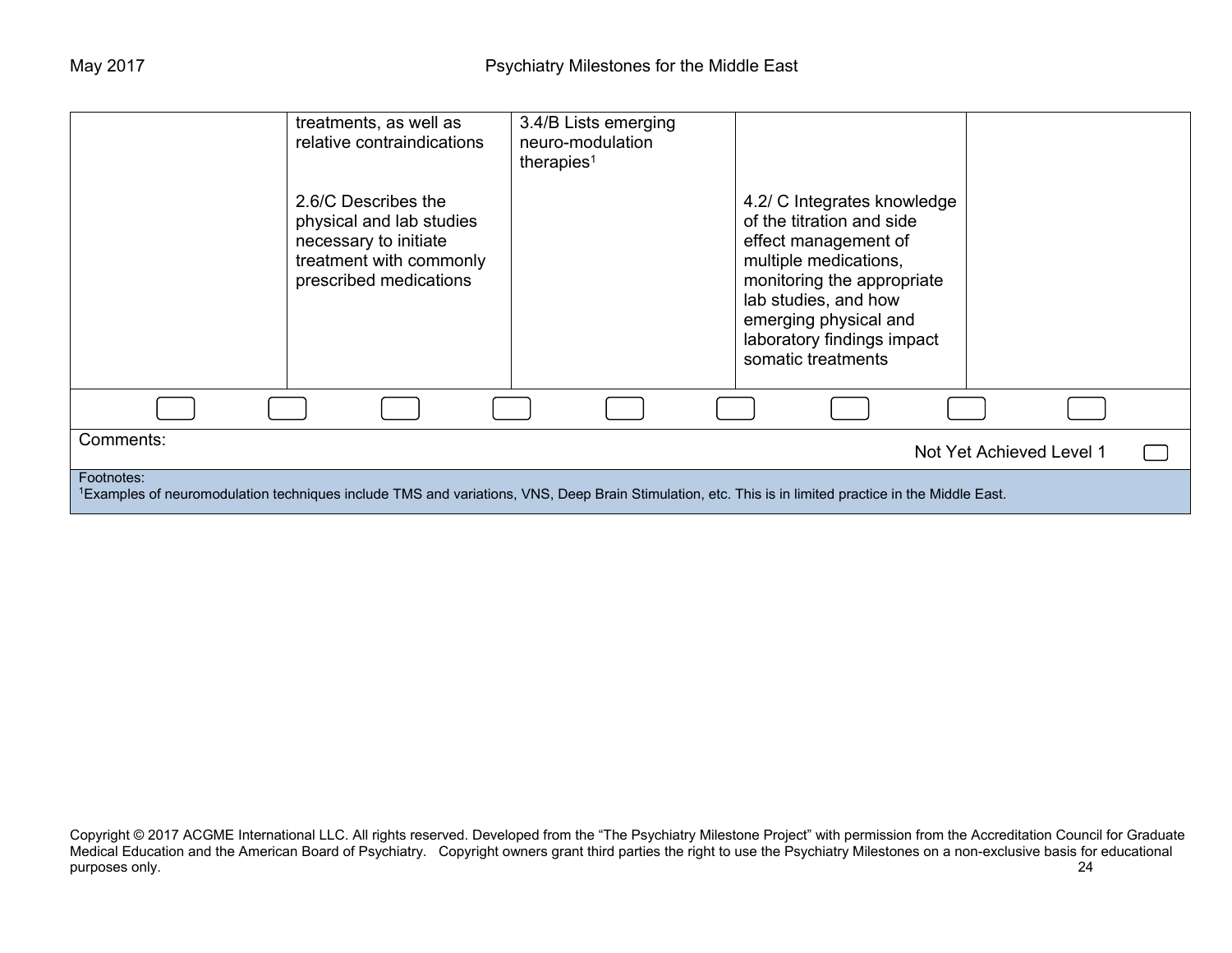|                                                                                                                                                                                 | treatments, as well as<br>relative contraindications<br>2.6/C Describes the<br>physical and lab studies<br>necessary to initiate<br>treatment with commonly<br>prescribed medications | 3.4/B Lists emerging<br>neuro-modulation<br>therapies <sup>1</sup> | 4.2/ C Integrates knowledge<br>of the titration and side<br>effect management of<br>multiple medications,<br>monitoring the appropriate<br>lab studies, and how<br>emerging physical and<br>laboratory findings impact<br>somatic treatments |                          |  |
|---------------------------------------------------------------------------------------------------------------------------------------------------------------------------------|---------------------------------------------------------------------------------------------------------------------------------------------------------------------------------------|--------------------------------------------------------------------|----------------------------------------------------------------------------------------------------------------------------------------------------------------------------------------------------------------------------------------------|--------------------------|--|
|                                                                                                                                                                                 |                                                                                                                                                                                       |                                                                    |                                                                                                                                                                                                                                              |                          |  |
| Comments:                                                                                                                                                                       |                                                                                                                                                                                       |                                                                    |                                                                                                                                                                                                                                              | Not Yet Achieved Level 1 |  |
| Footnotes:<br><sup>1</sup> Examples of neuromodulation techniques include TMS and variations, VNS, Deep Brain Stimulation, etc. This is in limited practice in the Middle East. |                                                                                                                                                                                       |                                                                    |                                                                                                                                                                                                                                              |                          |  |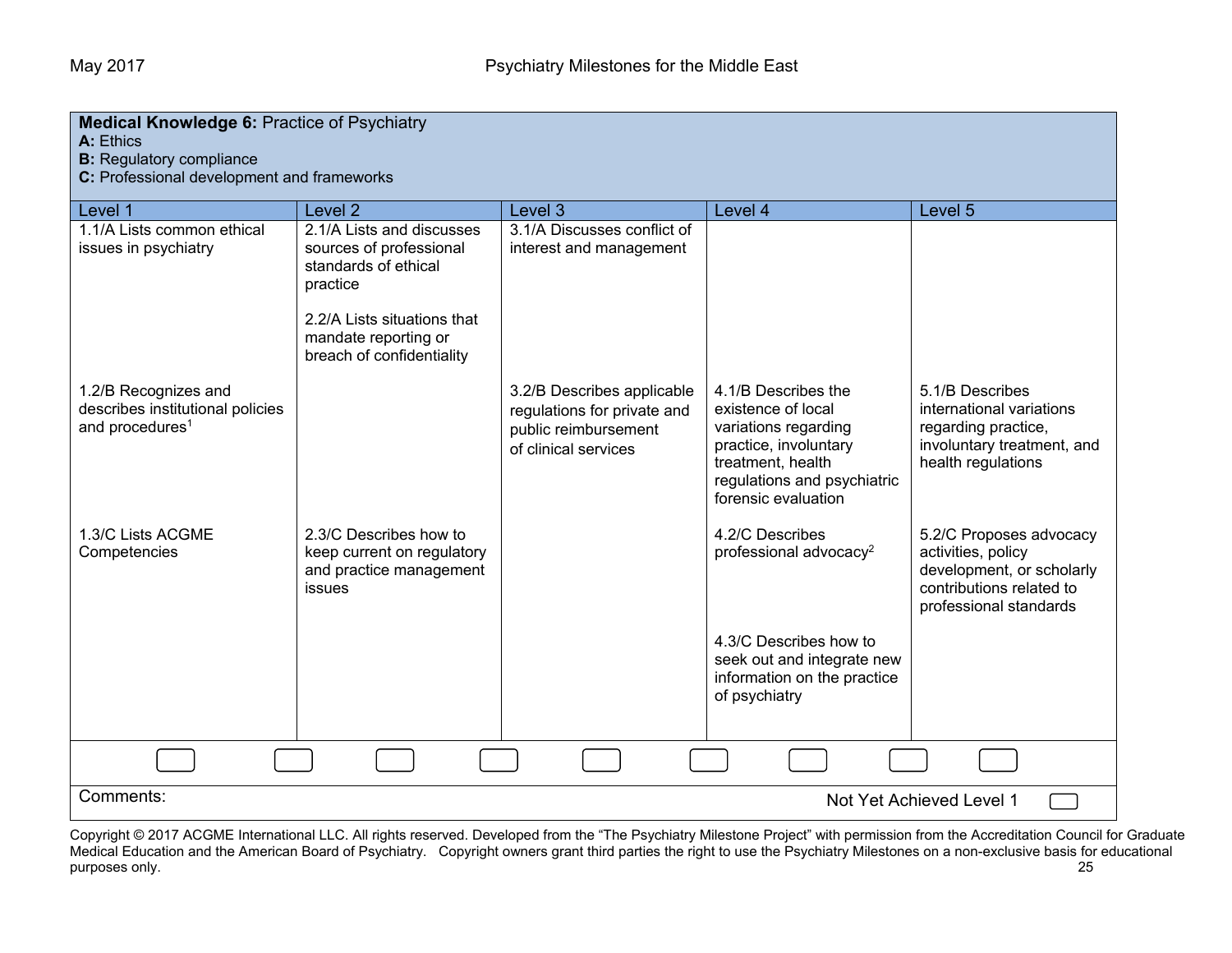| <b>Medical Knowledge 6: Practice of Psychiatry</b><br>A: Ethics<br><b>B:</b> Regulatory compliance<br>C: Professional development and frameworks |                                                                                                                                                                              |                                                                                                           |                                                                                                                                                                       |                                                                                                                                  |
|--------------------------------------------------------------------------------------------------------------------------------------------------|------------------------------------------------------------------------------------------------------------------------------------------------------------------------------|-----------------------------------------------------------------------------------------------------------|-----------------------------------------------------------------------------------------------------------------------------------------------------------------------|----------------------------------------------------------------------------------------------------------------------------------|
| Level 1                                                                                                                                          | Level <sub>2</sub>                                                                                                                                                           | Level 3                                                                                                   | Level 4                                                                                                                                                               | Level 5                                                                                                                          |
| 1.1/A Lists common ethical<br>issues in psychiatry                                                                                               | 2.1/A Lists and discusses<br>sources of professional<br>standards of ethical<br>practice<br>2.2/A Lists situations that<br>mandate reporting or<br>breach of confidentiality | 3.1/A Discusses conflict of<br>interest and management                                                    |                                                                                                                                                                       |                                                                                                                                  |
| 1.2/B Recognizes and<br>describes institutional policies<br>and procedures <sup>1</sup>                                                          |                                                                                                                                                                              | 3.2/B Describes applicable<br>regulations for private and<br>public reimbursement<br>of clinical services | 4.1/B Describes the<br>existence of local<br>variations regarding<br>practice, involuntary<br>treatment, health<br>regulations and psychiatric<br>forensic evaluation | 5.1/B Describes<br>international variations<br>regarding practice,<br>involuntary treatment, and<br>health regulations           |
| 1.3/C Lists ACGME<br>Competencies                                                                                                                | 2.3/C Describes how to<br>keep current on regulatory<br>and practice management<br>issues                                                                                    |                                                                                                           | 4.2/C Describes<br>professional advocacy <sup>2</sup><br>4.3/C Describes how to<br>seek out and integrate new<br>information on the practice<br>of psychiatry         | 5.2/C Proposes advocacy<br>activities, policy<br>development, or scholarly<br>contributions related to<br>professional standards |
|                                                                                                                                                  |                                                                                                                                                                              |                                                                                                           |                                                                                                                                                                       |                                                                                                                                  |
| Comments:<br>Not Yet Achieved Level 1                                                                                                            |                                                                                                                                                                              |                                                                                                           |                                                                                                                                                                       |                                                                                                                                  |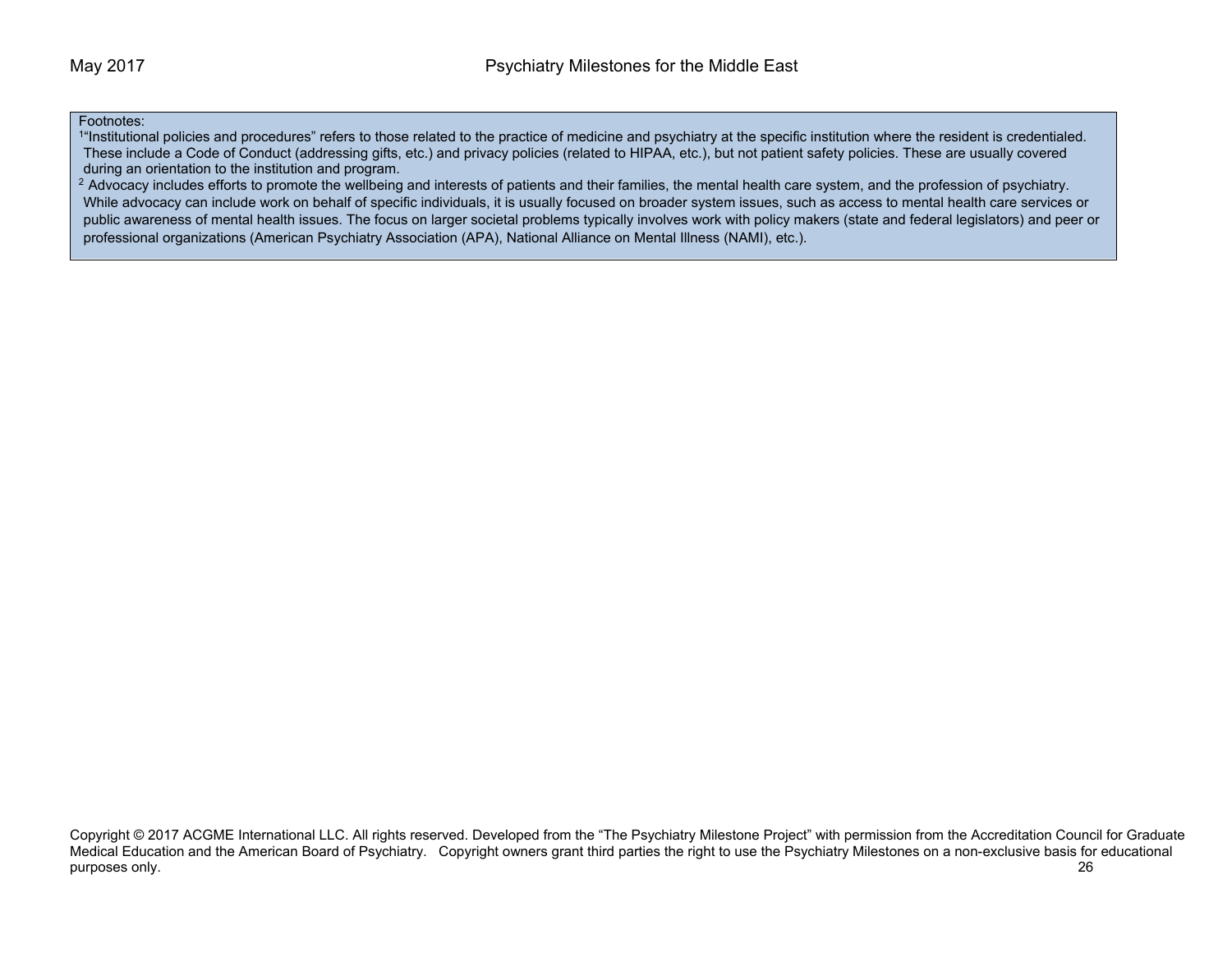### Footnotes:

<sup>1</sup>"Institutional policies and procedures" refers to those related to the practice of medicine and psychiatry at the specific institution where the resident is credentialed. These include a Code of Conduct (addressing gifts, etc.) and privacy policies (related to HIPAA, etc.), but not patient safety policies. These are usually covered during an orientation to the institution and program.

<sup>2</sup> Advocacy includes efforts to promote the wellbeing and interests of patients and their families, the mental health care system, and the profession of psychiatry. While advocacy can include work on behalf of specific individuals, it is usually focused on broader system issues, such as access to mental health care services or public awareness of mental health issues. The focus on larger societal problems typically involves work with policy makers (state and federal legislators) and peer or professional organizations (American Psychiatry Association (APA), National Alliance on Mental Illness (NAMI), etc.).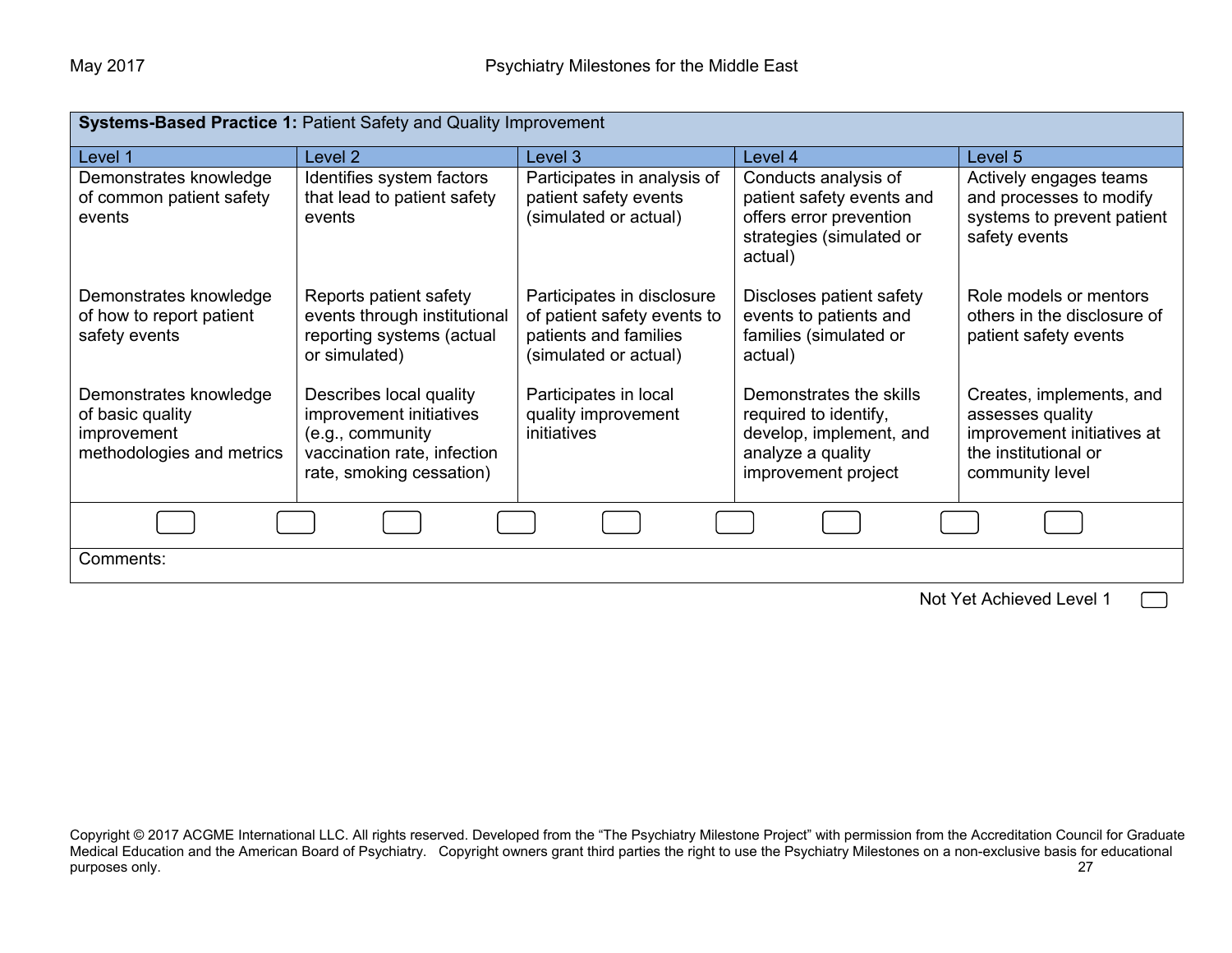| <b>Systems-Based Practice 1: Patient Safety and Quality Improvement</b>                |                                                                                                                                   |                                                                                                             |                                                                                                                         |                                                                                                                       |
|----------------------------------------------------------------------------------------|-----------------------------------------------------------------------------------------------------------------------------------|-------------------------------------------------------------------------------------------------------------|-------------------------------------------------------------------------------------------------------------------------|-----------------------------------------------------------------------------------------------------------------------|
| Level 1                                                                                | Level 2                                                                                                                           | Level 3                                                                                                     | Level 4                                                                                                                 | Level 5                                                                                                               |
| Demonstrates knowledge<br>of common patient safety<br>events                           | Identifies system factors<br>that lead to patient safety<br>events                                                                | Participates in analysis of<br>patient safety events<br>(simulated or actual)                               | Conducts analysis of<br>patient safety events and<br>offers error prevention<br>strategies (simulated or<br>actual)     | Actively engages teams<br>and processes to modify<br>systems to prevent patient<br>safety events                      |
| Demonstrates knowledge<br>of how to report patient<br>safety events                    | Reports patient safety<br>events through institutional<br>reporting systems (actual<br>or simulated)                              | Participates in disclosure<br>of patient safety events to<br>patients and families<br>(simulated or actual) | Discloses patient safety<br>events to patients and<br>families (simulated or<br>actual)                                 | Role models or mentors<br>others in the disclosure of<br>patient safety events                                        |
| Demonstrates knowledge<br>of basic quality<br>improvement<br>methodologies and metrics | Describes local quality<br>improvement initiatives<br>(e.g., community<br>vaccination rate, infection<br>rate, smoking cessation) | Participates in local<br>quality improvement<br>initiatives                                                 | Demonstrates the skills<br>required to identify,<br>develop, implement, and<br>analyze a quality<br>improvement project | Creates, implements, and<br>assesses quality<br>improvement initiatives at<br>the institutional or<br>community level |
|                                                                                        |                                                                                                                                   |                                                                                                             |                                                                                                                         |                                                                                                                       |
| Comments:                                                                              |                                                                                                                                   |                                                                                                             |                                                                                                                         |                                                                                                                       |
| Not Yet Achieved Level 1                                                               |                                                                                                                                   |                                                                                                             |                                                                                                                         |                                                                                                                       |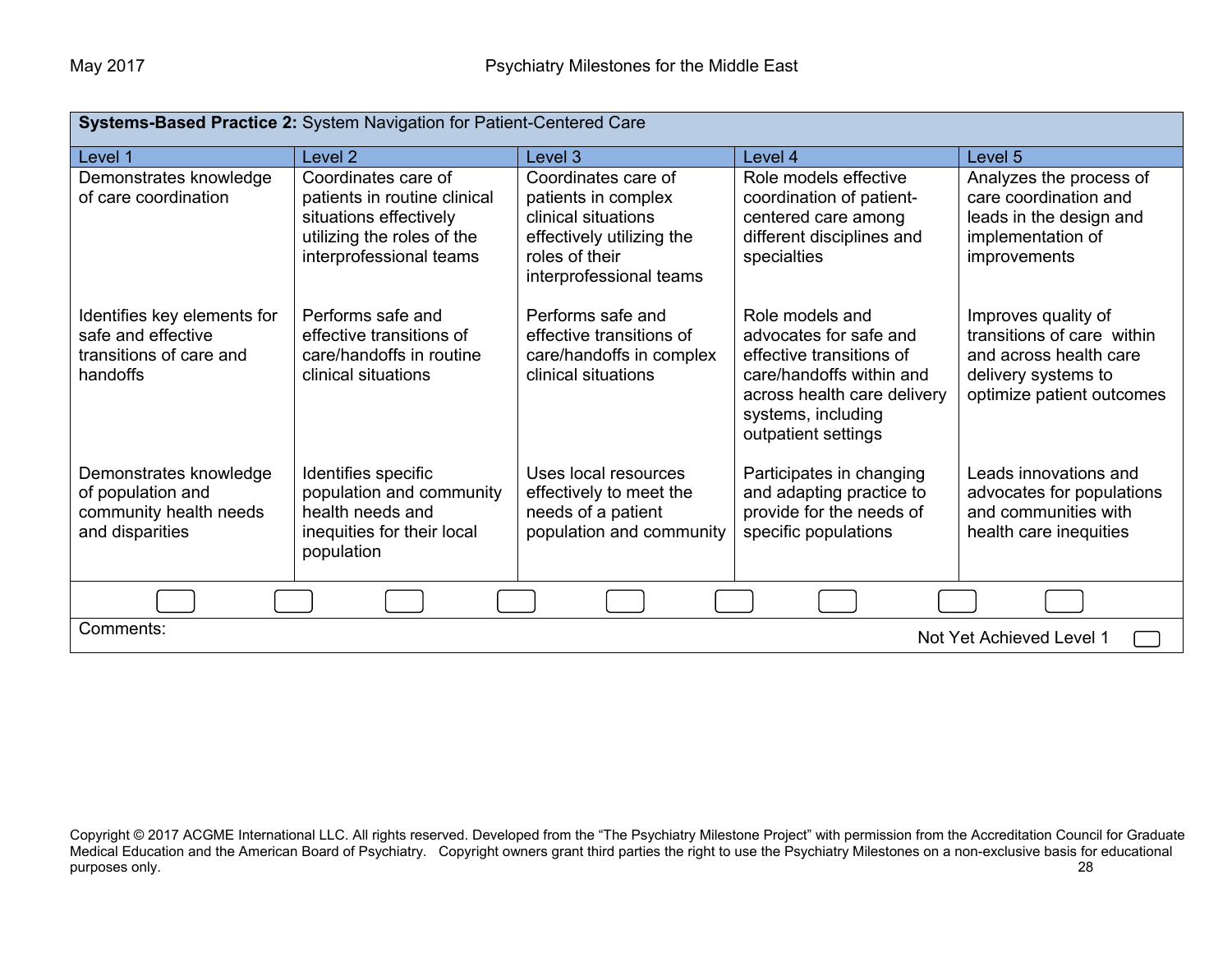| Systems-Based Practice 2: System Navigation for Patient-Centered Care                    |                                                                                                                                        |                                                                                                                                             |                                                                                                                                                                               |                                                                                                                                 |
|------------------------------------------------------------------------------------------|----------------------------------------------------------------------------------------------------------------------------------------|---------------------------------------------------------------------------------------------------------------------------------------------|-------------------------------------------------------------------------------------------------------------------------------------------------------------------------------|---------------------------------------------------------------------------------------------------------------------------------|
| Level 1                                                                                  | Level <sub>2</sub>                                                                                                                     | Level 3                                                                                                                                     | Level 4                                                                                                                                                                       | Level 5                                                                                                                         |
| Demonstrates knowledge<br>of care coordination                                           | Coordinates care of<br>patients in routine clinical<br>situations effectively<br>utilizing the roles of the<br>interprofessional teams | Coordinates care of<br>patients in complex<br>clinical situations<br>effectively utilizing the<br>roles of their<br>interprofessional teams | Role models effective<br>coordination of patient-<br>centered care among<br>different disciplines and<br>specialties                                                          | Analyzes the process of<br>care coordination and<br>leads in the design and<br>implementation of<br><i>improvements</i>         |
| Identifies key elements for<br>safe and effective<br>transitions of care and<br>handoffs | Performs safe and<br>effective transitions of<br>care/handoffs in routine<br>clinical situations                                       | Performs safe and<br>effective transitions of<br>care/handoffs in complex<br>clinical situations                                            | Role models and<br>advocates for safe and<br>effective transitions of<br>care/handoffs within and<br>across health care delivery<br>systems, including<br>outpatient settings | Improves quality of<br>transitions of care within<br>and across health care<br>delivery systems to<br>optimize patient outcomes |
| Demonstrates knowledge<br>of population and<br>community health needs<br>and disparities | Identifies specific<br>population and community<br>health needs and<br>inequities for their local<br>population                        | Uses local resources<br>effectively to meet the<br>needs of a patient<br>population and community                                           | Participates in changing<br>and adapting practice to<br>provide for the needs of<br>specific populations                                                                      | Leads innovations and<br>advocates for populations<br>and communities with<br>health care inequities                            |
|                                                                                          |                                                                                                                                        |                                                                                                                                             |                                                                                                                                                                               |                                                                                                                                 |
| Comments:<br>Not Yet Achieved Level 1                                                    |                                                                                                                                        |                                                                                                                                             |                                                                                                                                                                               |                                                                                                                                 |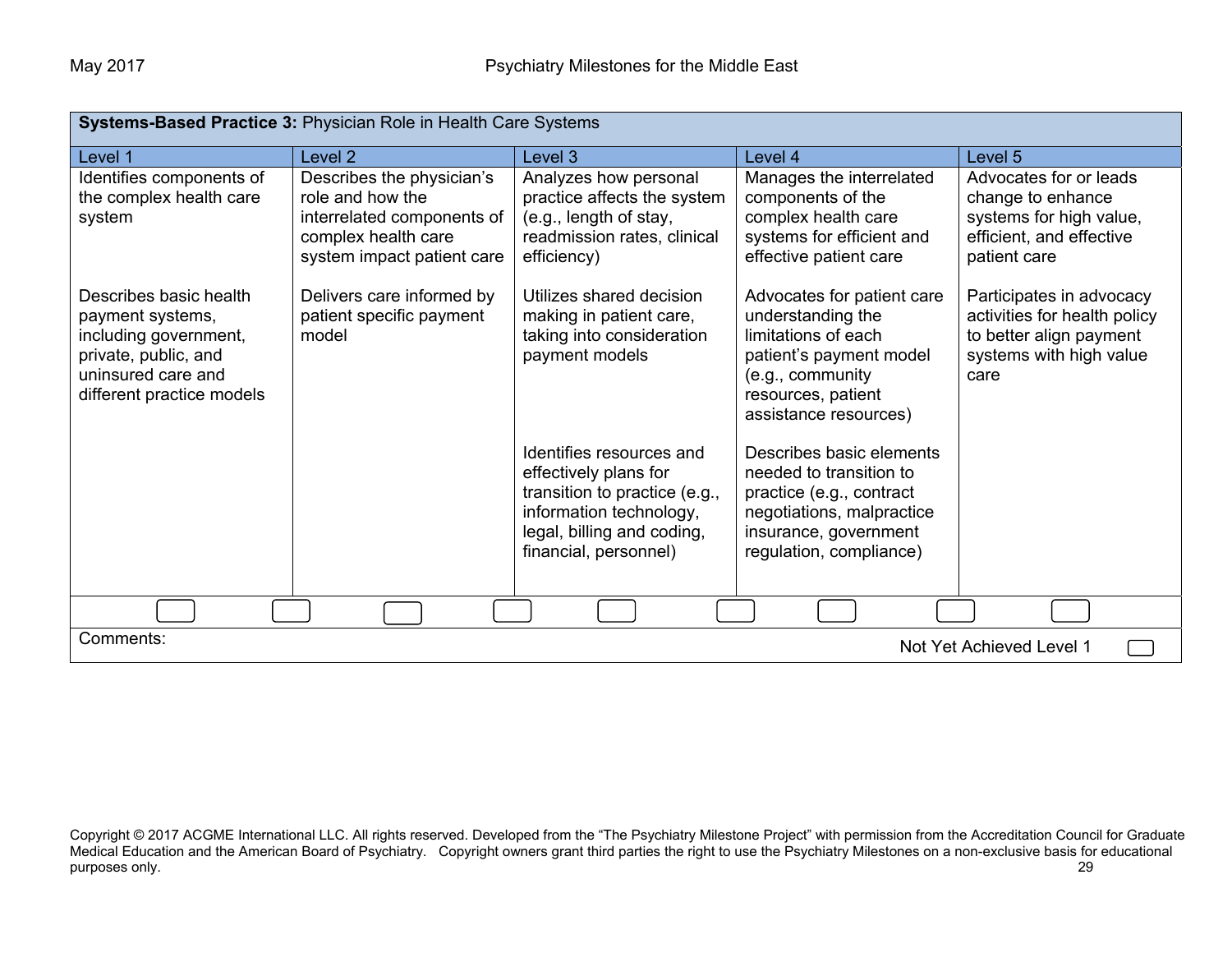| Systems-Based Practice 3: Physician Role in Health Care Systems                                                                                |                                                                                                                                  |                                                                                                                                                                      |                                                                                                                                                                      |                                                                                                                        |
|------------------------------------------------------------------------------------------------------------------------------------------------|----------------------------------------------------------------------------------------------------------------------------------|----------------------------------------------------------------------------------------------------------------------------------------------------------------------|----------------------------------------------------------------------------------------------------------------------------------------------------------------------|------------------------------------------------------------------------------------------------------------------------|
| Level 1                                                                                                                                        | Level <sub>2</sub>                                                                                                               | Level 3                                                                                                                                                              | Level 4                                                                                                                                                              | Level 5                                                                                                                |
| Identifies components of<br>the complex health care<br>system                                                                                  | Describes the physician's<br>role and how the<br>interrelated components of<br>complex health care<br>system impact patient care | Analyzes how personal<br>practice affects the system<br>(e.g., length of stay,<br>readmission rates, clinical<br>efficiency)                                         | Manages the interrelated<br>components of the<br>complex health care<br>systems for efficient and<br>effective patient care                                          | Advocates for or leads<br>change to enhance<br>systems for high value,<br>efficient, and effective<br>patient care     |
| Describes basic health<br>payment systems,<br>including government,<br>private, public, and<br>uninsured care and<br>different practice models | Delivers care informed by<br>patient specific payment<br>model                                                                   | Utilizes shared decision<br>making in patient care,<br>taking into consideration<br>payment models                                                                   | Advocates for patient care<br>understanding the<br>limitations of each<br>patient's payment model<br>(e.g., community<br>resources, patient<br>assistance resources) | Participates in advocacy<br>activities for health policy<br>to better align payment<br>systems with high value<br>care |
|                                                                                                                                                |                                                                                                                                  | Identifies resources and<br>effectively plans for<br>transition to practice (e.g.,<br>information technology,<br>legal, billing and coding,<br>financial, personnel) | Describes basic elements<br>needed to transition to<br>practice (e.g., contract<br>negotiations, malpractice<br>insurance, government<br>regulation, compliance)     |                                                                                                                        |
|                                                                                                                                                |                                                                                                                                  |                                                                                                                                                                      |                                                                                                                                                                      |                                                                                                                        |
| Comments:<br>Not Yet Achieved Level 1                                                                                                          |                                                                                                                                  |                                                                                                                                                                      |                                                                                                                                                                      |                                                                                                                        |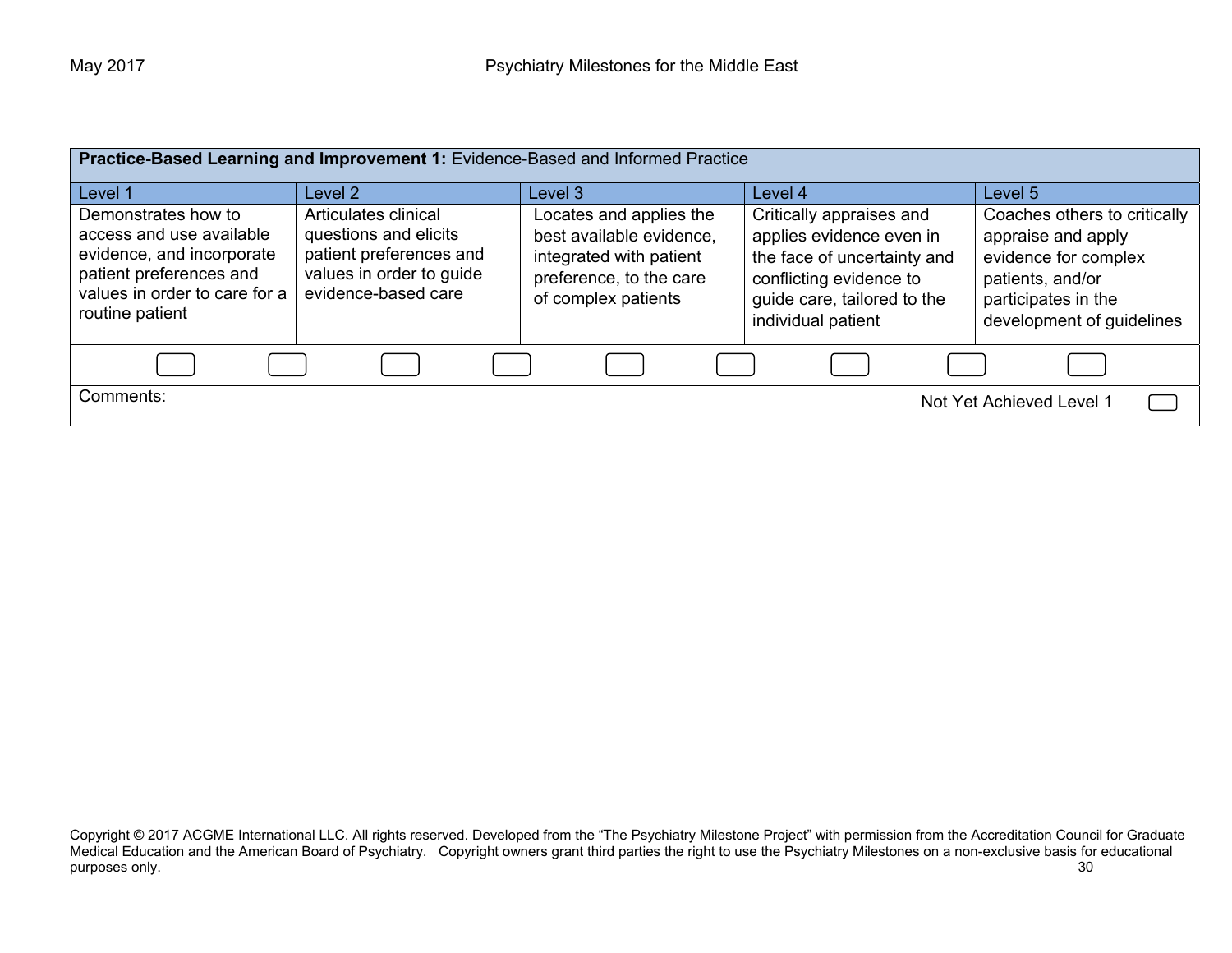| Practice-Based Learning and Improvement 1: Evidence-Based and Informed Practice                                                                             |                                                                                                                             |                                                                                                                                  |                                                                                                                                                                     |                                                                                                                                                    |
|-------------------------------------------------------------------------------------------------------------------------------------------------------------|-----------------------------------------------------------------------------------------------------------------------------|----------------------------------------------------------------------------------------------------------------------------------|---------------------------------------------------------------------------------------------------------------------------------------------------------------------|----------------------------------------------------------------------------------------------------------------------------------------------------|
| Level 1                                                                                                                                                     | Level 2                                                                                                                     | Level 3                                                                                                                          | Level 4                                                                                                                                                             | Level 5                                                                                                                                            |
| Demonstrates how to<br>access and use available<br>evidence, and incorporate<br>patient preferences and<br>values in order to care for a<br>routine patient | Articulates clinical<br>questions and elicits<br>patient preferences and<br>values in order to guide<br>evidence-based care | Locates and applies the<br>best available evidence,<br>integrated with patient<br>preference, to the care<br>of complex patients | Critically appraises and<br>applies evidence even in<br>the face of uncertainty and<br>conflicting evidence to<br>guide care, tailored to the<br>individual patient | Coaches others to critically<br>appraise and apply<br>evidence for complex<br>patients, and/or<br>participates in the<br>development of guidelines |
|                                                                                                                                                             |                                                                                                                             |                                                                                                                                  |                                                                                                                                                                     |                                                                                                                                                    |
| Comments:<br>Not Yet Achieved Level 1                                                                                                                       |                                                                                                                             |                                                                                                                                  |                                                                                                                                                                     |                                                                                                                                                    |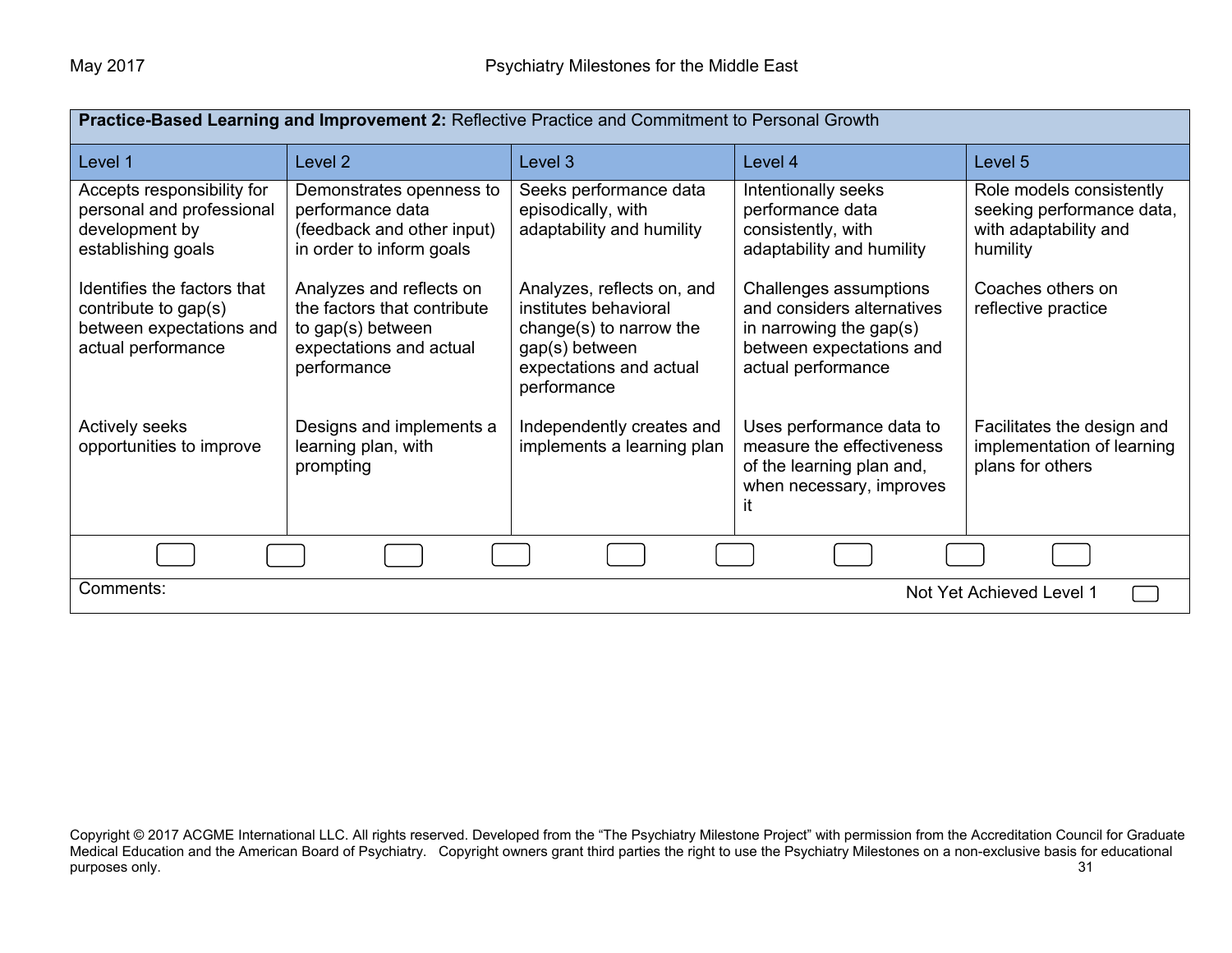| Practice-Based Learning and Improvement 2: Reflective Practice and Commitment to Personal Growth      |                                                                                                                        |                                                                                                                                            |                                                                                                                                      |                                                                                            |
|-------------------------------------------------------------------------------------------------------|------------------------------------------------------------------------------------------------------------------------|--------------------------------------------------------------------------------------------------------------------------------------------|--------------------------------------------------------------------------------------------------------------------------------------|--------------------------------------------------------------------------------------------|
| Level 1                                                                                               | Level 2                                                                                                                | Level 3                                                                                                                                    | Level 4                                                                                                                              | Level 5                                                                                    |
| Accepts responsibility for<br>personal and professional<br>development by<br>establishing goals       | Demonstrates openness to<br>performance data<br>(feedback and other input)<br>in order to inform goals                 | Seeks performance data<br>episodically, with<br>adaptability and humility                                                                  | Intentionally seeks<br>performance data<br>consistently, with<br>adaptability and humility                                           | Role models consistently<br>seeking performance data,<br>with adaptability and<br>humility |
| Identifies the factors that<br>contribute to gap(s)<br>between expectations and<br>actual performance | Analyzes and reflects on<br>the factors that contribute<br>to gap(s) between<br>expectations and actual<br>performance | Analyzes, reflects on, and<br>institutes behavioral<br>change(s) to narrow the<br>gap(s) between<br>expectations and actual<br>performance | Challenges assumptions<br>and considers alternatives<br>in narrowing the gap $(s)$<br>between expectations and<br>actual performance | Coaches others on<br>reflective practice                                                   |
| <b>Actively seeks</b><br>opportunities to improve                                                     | Designs and implements a<br>learning plan, with<br>prompting                                                           | Independently creates and<br>implements a learning plan                                                                                    | Uses performance data to<br>measure the effectiveness<br>of the learning plan and,<br>when necessary, improves<br>it                 | Facilitates the design and<br>implementation of learning<br>plans for others               |
|                                                                                                       |                                                                                                                        |                                                                                                                                            |                                                                                                                                      |                                                                                            |
| Comments:<br>Not Yet Achieved Level 1                                                                 |                                                                                                                        |                                                                                                                                            |                                                                                                                                      |                                                                                            |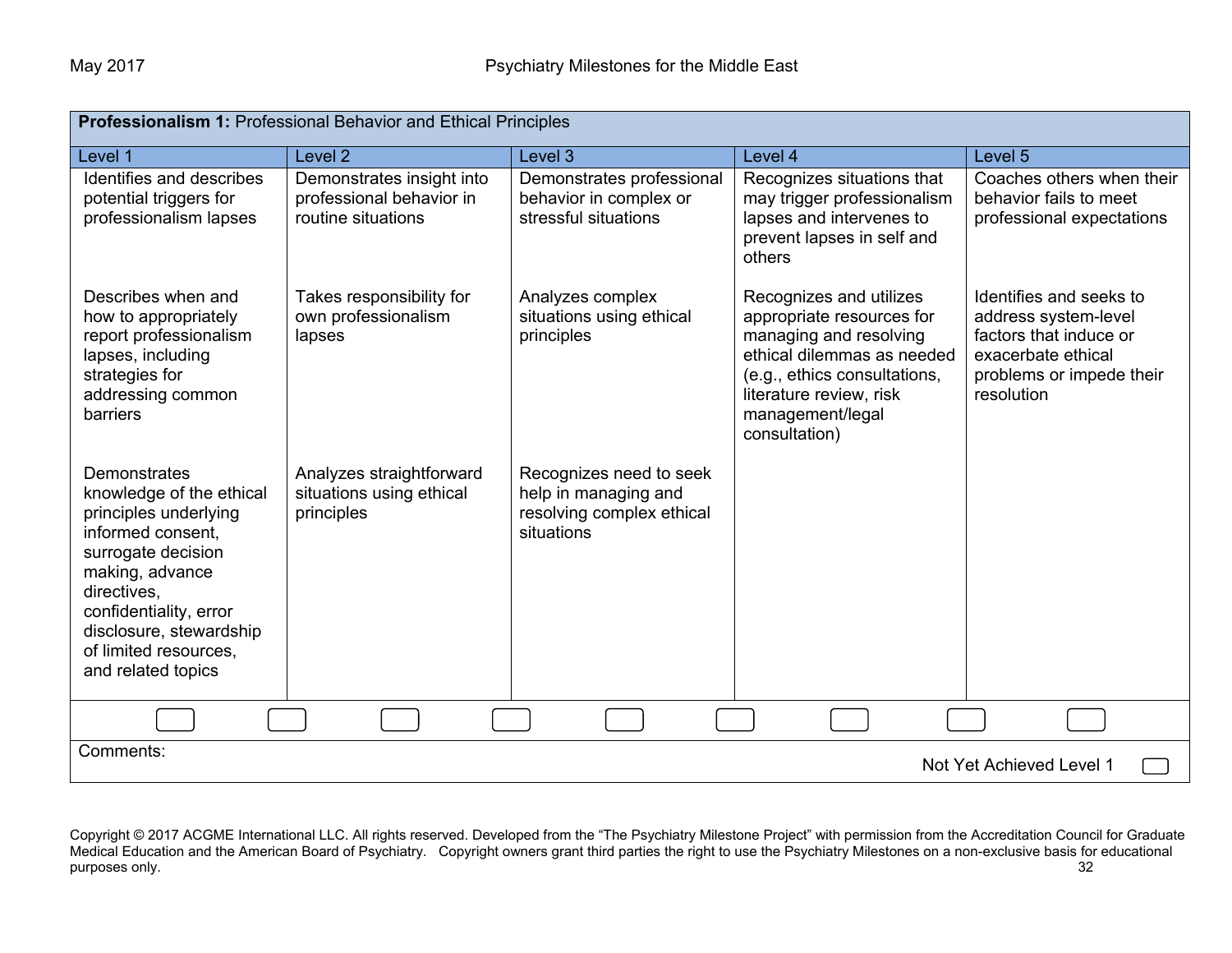| Professionalism 1: Professional Behavior and Ethical Principles                                                                                                                                                                                           |                                                                             |                                                                                            |                                                                                                                                                                                                              |                                                                                                                                           |  |
|-----------------------------------------------------------------------------------------------------------------------------------------------------------------------------------------------------------------------------------------------------------|-----------------------------------------------------------------------------|--------------------------------------------------------------------------------------------|--------------------------------------------------------------------------------------------------------------------------------------------------------------------------------------------------------------|-------------------------------------------------------------------------------------------------------------------------------------------|--|
| Level 1                                                                                                                                                                                                                                                   | Level <sub>2</sub>                                                          | Level 3                                                                                    | Level 4                                                                                                                                                                                                      | Level 5                                                                                                                                   |  |
| Identifies and describes<br>potential triggers for<br>professionalism lapses                                                                                                                                                                              | Demonstrates insight into<br>professional behavior in<br>routine situations | Demonstrates professional<br>behavior in complex or<br>stressful situations                | Recognizes situations that<br>may trigger professionalism<br>lapses and intervenes to<br>prevent lapses in self and<br>others                                                                                | Coaches others when their<br>behavior fails to meet<br>professional expectations                                                          |  |
| Describes when and<br>how to appropriately<br>report professionalism<br>lapses, including<br>strategies for<br>addressing common<br><b>barriers</b>                                                                                                       | Takes responsibility for<br>own professionalism<br>lapses                   | Analyzes complex<br>situations using ethical<br>principles                                 | Recognizes and utilizes<br>appropriate resources for<br>managing and resolving<br>ethical dilemmas as needed<br>(e.g., ethics consultations,<br>literature review, risk<br>management/legal<br>consultation) | Identifies and seeks to<br>address system-level<br>factors that induce or<br>exacerbate ethical<br>problems or impede their<br>resolution |  |
| <b>Demonstrates</b><br>knowledge of the ethical<br>principles underlying<br>informed consent,<br>surrogate decision<br>making, advance<br>directives,<br>confidentiality, error<br>disclosure, stewardship<br>of limited resources.<br>and related topics | Analyzes straightforward<br>situations using ethical<br>principles          | Recognizes need to seek<br>help in managing and<br>resolving complex ethical<br>situations |                                                                                                                                                                                                              |                                                                                                                                           |  |
|                                                                                                                                                                                                                                                           |                                                                             |                                                                                            |                                                                                                                                                                                                              |                                                                                                                                           |  |
| Comments:<br>Not Yet Achieved Level 1                                                                                                                                                                                                                     |                                                                             |                                                                                            |                                                                                                                                                                                                              |                                                                                                                                           |  |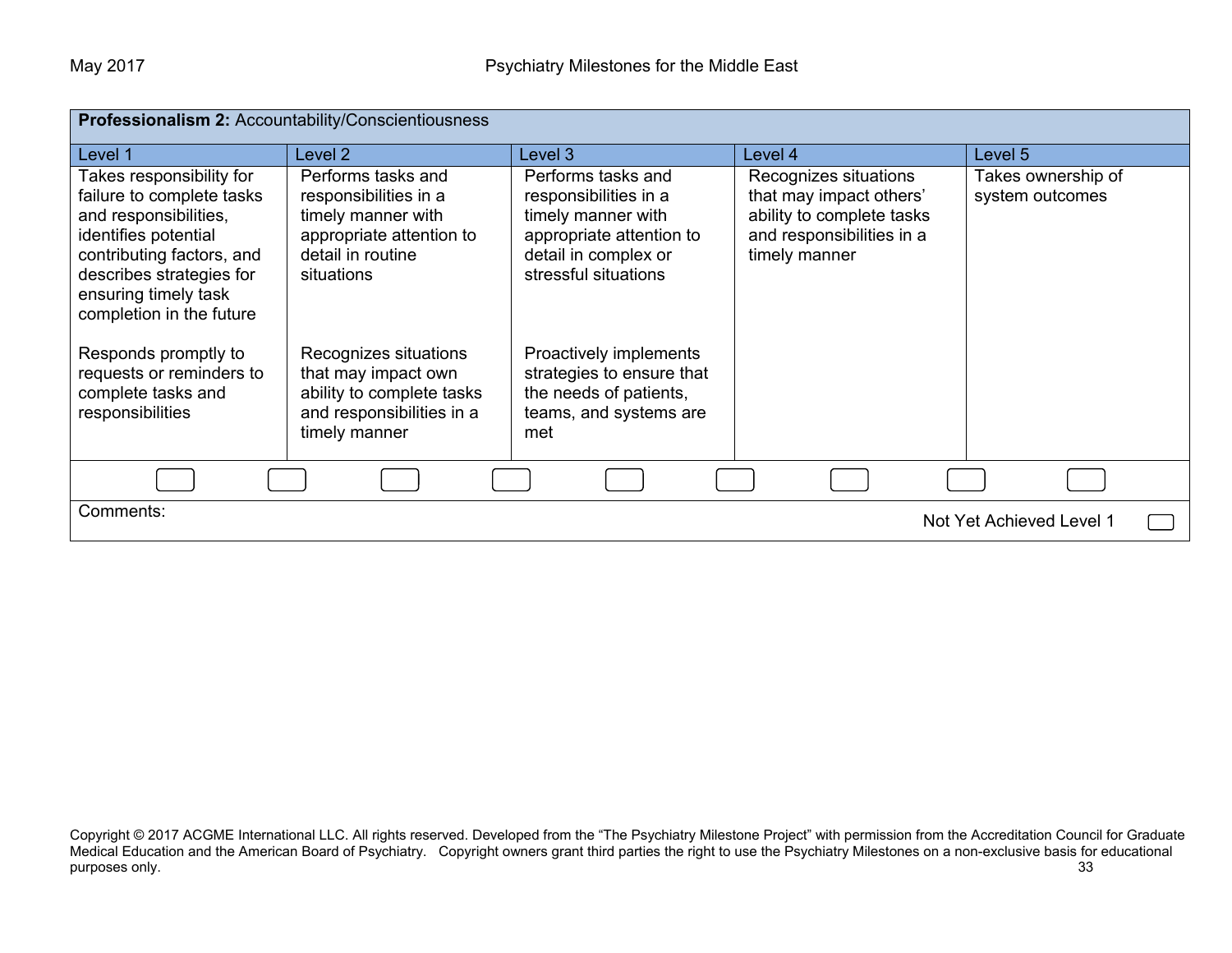| Professionalism 2: Accountability/Conscientiousness                                                                                                                                                                 |                                                                                                                                  |                                                                                                                                               |                                                                                                                             |                                       |
|---------------------------------------------------------------------------------------------------------------------------------------------------------------------------------------------------------------------|----------------------------------------------------------------------------------------------------------------------------------|-----------------------------------------------------------------------------------------------------------------------------------------------|-----------------------------------------------------------------------------------------------------------------------------|---------------------------------------|
| Level 1                                                                                                                                                                                                             | Level 2                                                                                                                          | Level 3                                                                                                                                       | Level 4                                                                                                                     | Level 5                               |
| Takes responsibility for<br>failure to complete tasks<br>and responsibilities,<br>identifies potential<br>contributing factors, and<br>describes strategies for<br>ensuring timely task<br>completion in the future | Performs tasks and<br>responsibilities in a<br>timely manner with<br>appropriate attention to<br>detail in routine<br>situations | Performs tasks and<br>responsibilities in a<br>timely manner with<br>appropriate attention to<br>detail in complex or<br>stressful situations | Recognizes situations<br>that may impact others'<br>ability to complete tasks<br>and responsibilities in a<br>timely manner | Takes ownership of<br>system outcomes |
| Responds promptly to<br>requests or reminders to<br>complete tasks and<br>responsibilities                                                                                                                          | Recognizes situations<br>that may impact own<br>ability to complete tasks<br>and responsibilities in a<br>timely manner          | Proactively implements<br>strategies to ensure that<br>the needs of patients,<br>teams, and systems are<br>met                                |                                                                                                                             |                                       |
|                                                                                                                                                                                                                     |                                                                                                                                  |                                                                                                                                               |                                                                                                                             |                                       |
| Comments:<br>Not Yet Achieved Level 1                                                                                                                                                                               |                                                                                                                                  |                                                                                                                                               |                                                                                                                             |                                       |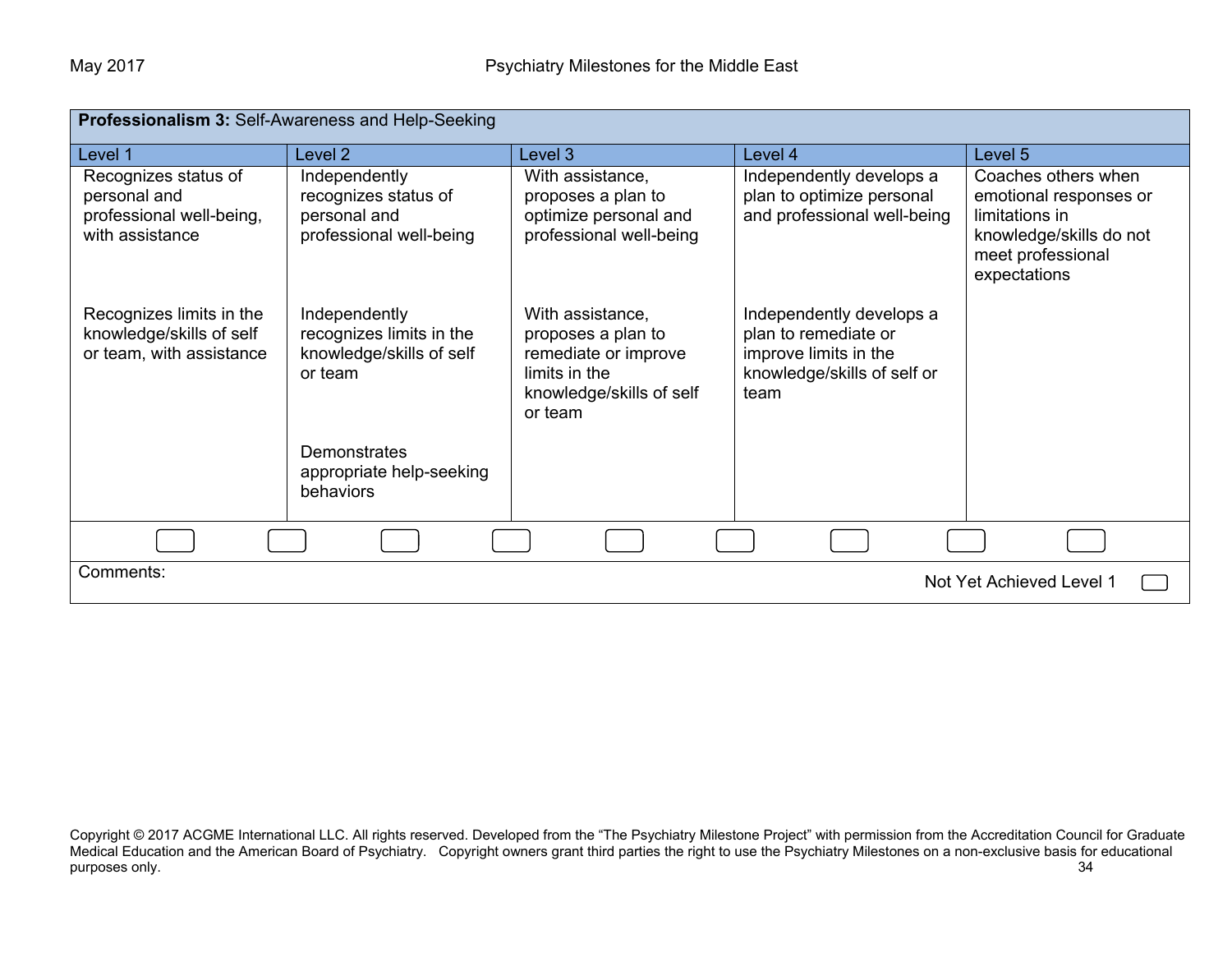| <b>Professionalism 3: Self-Awareness and Help-Seeking</b>                           |                                                                                  |                                                                                                                        |                                                                                                                  |                                                                                                                                 |  |
|-------------------------------------------------------------------------------------|----------------------------------------------------------------------------------|------------------------------------------------------------------------------------------------------------------------|------------------------------------------------------------------------------------------------------------------|---------------------------------------------------------------------------------------------------------------------------------|--|
| Level 1                                                                             | Level <sub>2</sub>                                                               | Level 3                                                                                                                | Level 4                                                                                                          | Level 5                                                                                                                         |  |
| Recognizes status of<br>personal and<br>professional well-being,<br>with assistance | Independently<br>recognizes status of<br>personal and<br>professional well-being | With assistance,<br>proposes a plan to<br>optimize personal and<br>professional well-being                             | Independently develops a<br>plan to optimize personal<br>and professional well-being                             | Coaches others when<br>emotional responses or<br>limitations in<br>knowledge/skills do not<br>meet professional<br>expectations |  |
| Recognizes limits in the<br>knowledge/skills of self<br>or team, with assistance    | Independently<br>recognizes limits in the<br>knowledge/skills of self<br>or team | With assistance,<br>proposes a plan to<br>remediate or improve<br>limits in the<br>knowledge/skills of self<br>or team | Independently develops a<br>plan to remediate or<br>improve limits in the<br>knowledge/skills of self or<br>team |                                                                                                                                 |  |
|                                                                                     | <b>Demonstrates</b><br>appropriate help-seeking<br>behaviors                     |                                                                                                                        |                                                                                                                  |                                                                                                                                 |  |
|                                                                                     |                                                                                  |                                                                                                                        |                                                                                                                  |                                                                                                                                 |  |
| Comments:<br>Not Yet Achieved Level 1                                               |                                                                                  |                                                                                                                        |                                                                                                                  |                                                                                                                                 |  |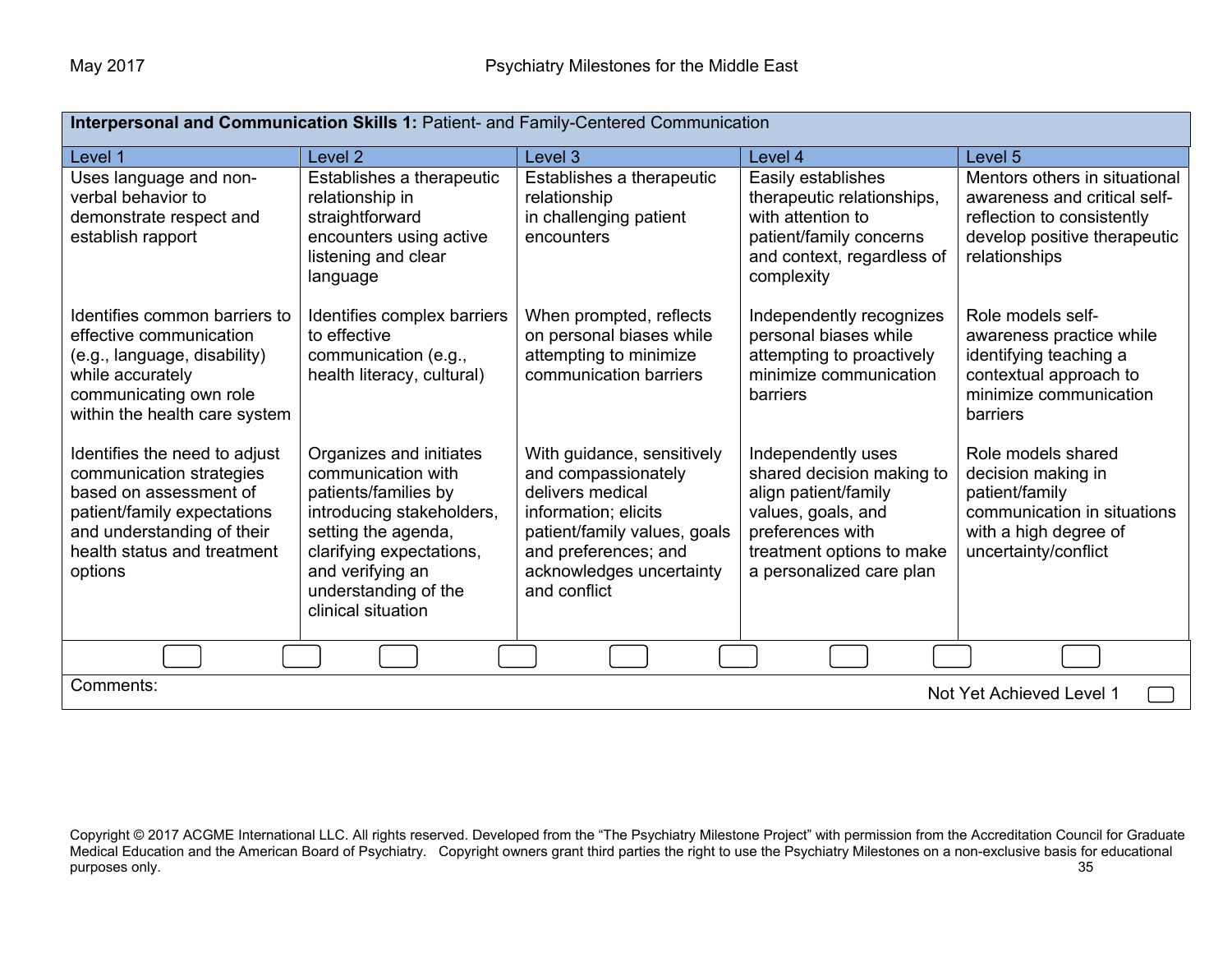| Interpersonal and Communication Skills 1: Patient- and Family-Centered Communication                                                                                                       |                                                                                                                                                                                                                         |                                                                                                                                                                                                   |                                                                                                                                                                            |                                                                                                                                              |
|--------------------------------------------------------------------------------------------------------------------------------------------------------------------------------------------|-------------------------------------------------------------------------------------------------------------------------------------------------------------------------------------------------------------------------|---------------------------------------------------------------------------------------------------------------------------------------------------------------------------------------------------|----------------------------------------------------------------------------------------------------------------------------------------------------------------------------|----------------------------------------------------------------------------------------------------------------------------------------------|
| Level 1                                                                                                                                                                                    | Level 2                                                                                                                                                                                                                 | Level <sub>3</sub>                                                                                                                                                                                | Level 4                                                                                                                                                                    | Level 5                                                                                                                                      |
| Uses language and non-<br>verbal behavior to<br>demonstrate respect and<br>establish rapport                                                                                               | Establishes a therapeutic<br>relationship in<br>straightforward<br>encounters using active<br>listening and clear<br>language                                                                                           | Establishes a therapeutic<br>relationship<br>in challenging patient<br>encounters                                                                                                                 | Easily establishes<br>therapeutic relationships,<br>with attention to<br>patient/family concerns<br>and context, regardless of<br>complexity                               | Mentors others in situational<br>awareness and critical self-<br>reflection to consistently<br>develop positive therapeutic<br>relationships |
| Identifies common barriers to<br>effective communication<br>(e.g., language, disability)<br>while accurately<br>communicating own role<br>within the health care system                    | Identifies complex barriers<br>to effective<br>communication (e.g.,<br>health literacy, cultural)                                                                                                                       | When prompted, reflects<br>on personal biases while<br>attempting to minimize<br>communication barriers                                                                                           | Independently recognizes<br>personal biases while<br>attempting to proactively<br>minimize communication<br>barriers                                                       | Role models self-<br>awareness practice while<br>identifying teaching a<br>contextual approach to<br>minimize communication<br>barriers      |
| Identifies the need to adjust<br>communication strategies<br>based on assessment of<br>patient/family expectations<br>and understanding of their<br>health status and treatment<br>options | Organizes and initiates<br>communication with<br>patients/families by<br>introducing stakeholders,<br>setting the agenda,<br>clarifying expectations,<br>and verifying an<br>understanding of the<br>clinical situation | With guidance, sensitively<br>and compassionately<br>delivers medical<br>information; elicits<br>patient/family values, goals<br>and preferences; and<br>acknowledges uncertainty<br>and conflict | Independently uses<br>shared decision making to<br>align patient/family<br>values, goals, and<br>preferences with<br>treatment options to make<br>a personalized care plan | Role models shared<br>decision making in<br>patient/family<br>communication in situations<br>with a high degree of<br>uncertainty/conflict   |
|                                                                                                                                                                                            |                                                                                                                                                                                                                         |                                                                                                                                                                                                   |                                                                                                                                                                            |                                                                                                                                              |
| Comments:<br>Not Yet Achieved Level 1                                                                                                                                                      |                                                                                                                                                                                                                         |                                                                                                                                                                                                   |                                                                                                                                                                            |                                                                                                                                              |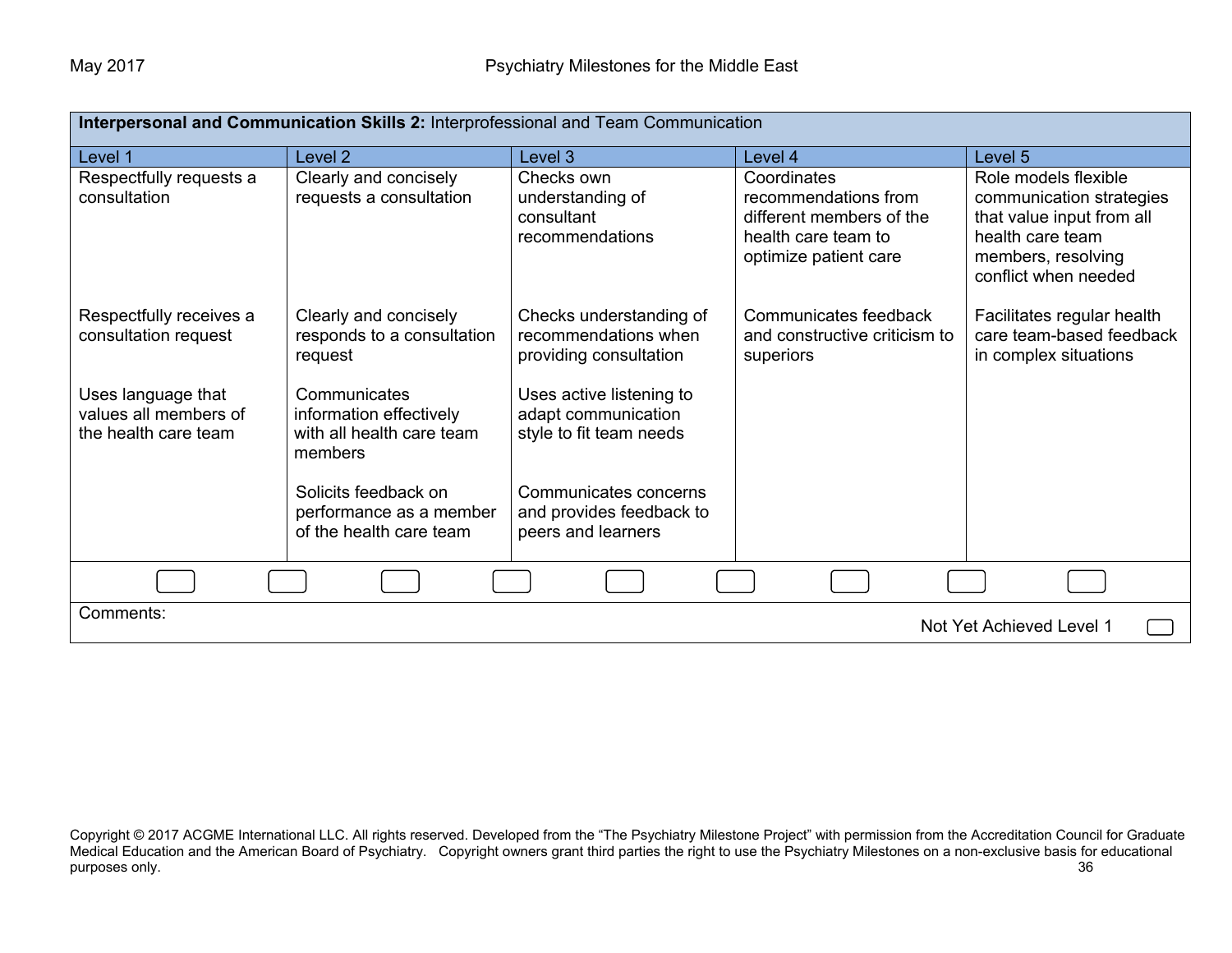| Interpersonal and Communication Skills 2: Interprofessional and Team Communication |                                                                                 |                                                                            |                                                                                                                 |                                                                                                                                                 |
|------------------------------------------------------------------------------------|---------------------------------------------------------------------------------|----------------------------------------------------------------------------|-----------------------------------------------------------------------------------------------------------------|-------------------------------------------------------------------------------------------------------------------------------------------------|
| Level 1                                                                            | Level <sub>2</sub>                                                              | Level 3                                                                    | Level 4                                                                                                         | Level 5                                                                                                                                         |
| Respectfully requests a<br>consultation                                            | Clearly and concisely<br>requests a consultation                                | Checks own<br>understanding of<br>consultant<br>recommendations            | Coordinates<br>recommendations from<br>different members of the<br>health care team to<br>optimize patient care | Role models flexible<br>communication strategies<br>that value input from all<br>health care team<br>members, resolving<br>conflict when needed |
| Respectfully receives a<br>consultation request                                    | Clearly and concisely<br>responds to a consultation<br>request                  | Checks understanding of<br>recommendations when<br>providing consultation  | Communicates feedback<br>and constructive criticism to<br>superiors                                             | Facilitates regular health<br>care team-based feedback<br>in complex situations                                                                 |
| Uses language that<br>values all members of<br>the health care team                | Communicates<br>information effectively<br>with all health care team<br>members | Uses active listening to<br>adapt communication<br>style to fit team needs |                                                                                                                 |                                                                                                                                                 |
|                                                                                    | Solicits feedback on<br>performance as a member<br>of the health care team      | Communicates concerns<br>and provides feedback to<br>peers and learners    |                                                                                                                 |                                                                                                                                                 |
|                                                                                    |                                                                                 |                                                                            |                                                                                                                 |                                                                                                                                                 |
| Comments:<br>Not Yet Achieved Level 1                                              |                                                                                 |                                                                            |                                                                                                                 |                                                                                                                                                 |